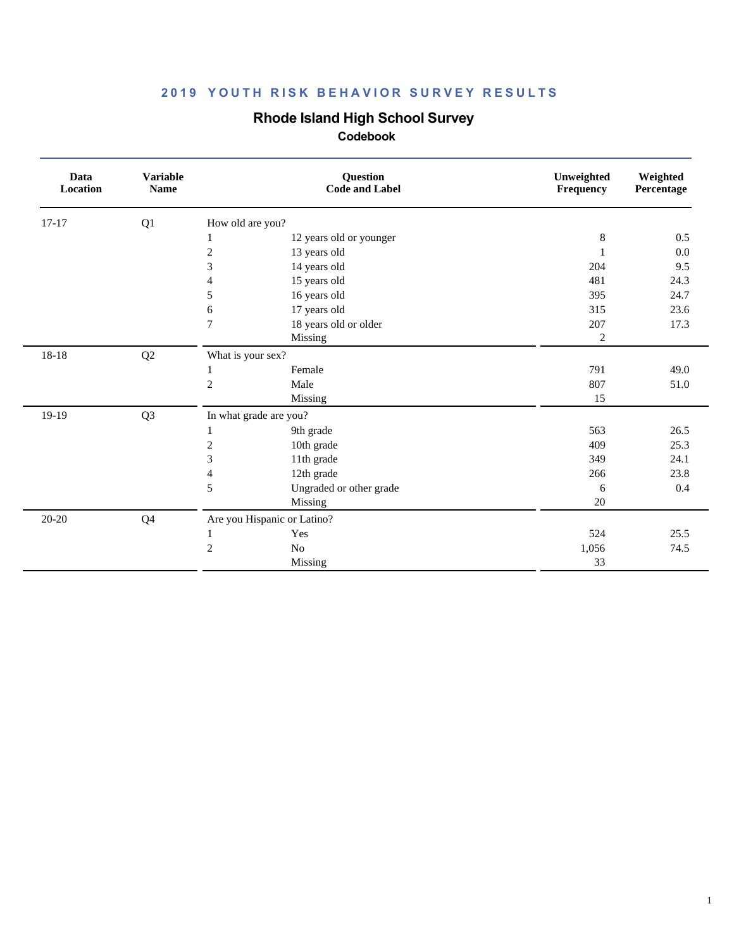## **Rhode Island High School Survey**

| Data<br>Location | <b>Variable</b><br><b>Name</b> | <b>Question</b><br><b>Code and Label</b> |                         | Unweighted<br>Frequency | Weighted<br>Percentage |
|------------------|--------------------------------|------------------------------------------|-------------------------|-------------------------|------------------------|
| $17 - 17$        | Q1                             | How old are you?                         |                         |                         |                        |
|                  |                                | 1                                        | 12 years old or younger | 8                       | 0.5                    |
|                  |                                | $\overline{c}$<br>13 years old           |                         |                         | $0.0\,$                |
|                  |                                | 3<br>14 years old                        |                         | 204                     | 9.5                    |
|                  |                                | 15 years old<br>4                        |                         | 481                     | 24.3                   |
|                  |                                | 5<br>16 years old                        |                         | 395                     | 24.7                   |
|                  |                                | 17 years old<br>6                        |                         | 315                     | 23.6                   |
|                  |                                | $\overline{7}$<br>18 years old or older  |                         | 207                     | 17.3                   |
|                  |                                | Missing                                  |                         | $\overline{2}$          |                        |
| 18-18            | Q2                             | What is your sex?                        |                         |                         |                        |
|                  |                                | Female                                   |                         | 791                     | 49.0                   |
|                  |                                | $\mathfrak{2}$<br>Male                   |                         | 807                     | 51.0                   |
|                  |                                | Missing                                  |                         | 15                      |                        |
| 19-19            | Q <sub>3</sub>                 | In what grade are you?                   |                         |                         |                        |
|                  |                                | 9th grade                                |                         | 563                     | 26.5                   |
|                  |                                | $\sqrt{2}$<br>10th grade                 |                         | 409                     | 25.3                   |
|                  |                                | 3<br>11th grade                          |                         | 349                     | 24.1                   |
|                  |                                | 12th grade<br>$\overline{4}$             |                         | 266                     | 23.8                   |
|                  |                                | 5                                        | Ungraded or other grade | 6                       | 0.4                    |
|                  |                                | Missing                                  |                         | 20                      |                        |
| $20 - 20$        | Q <sub>4</sub>                 | Are you Hispanic or Latino?              |                         |                         |                        |
|                  |                                | Yes<br>1                                 |                         | 524                     | 25.5                   |
|                  |                                | $\overline{2}$<br>No                     |                         | 1,056                   | 74.5                   |
|                  |                                | Missing                                  |                         | 33                      |                        |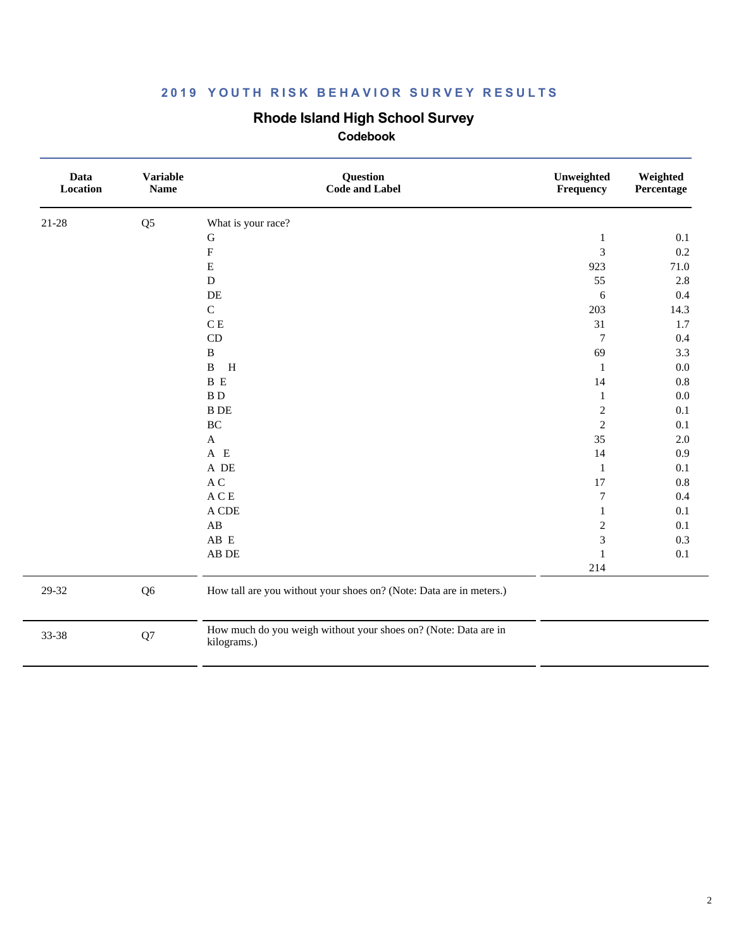### **Rhode Island High School Survey**

| Data<br>Location | <b>Variable</b><br><b>Name</b> | Question<br><b>Code and Label</b>                                              | Unweighted<br>Frequency | Weighted<br>Percentage |
|------------------|--------------------------------|--------------------------------------------------------------------------------|-------------------------|------------------------|
| $21 - 28$        | Q <sub>5</sub>                 | What is your race?                                                             |                         |                        |
|                  |                                | ${\bf G}$                                                                      | $\mathbf{1}$            | 0.1                    |
|                  |                                | $\mathbf F$                                                                    | 3                       | $0.2\,$                |
|                  |                                | $\mathbf E$                                                                    | 923                     | 71.0                   |
|                  |                                | ${\bf D}$                                                                      | 55                      | $2.8\,$                |
|                  |                                | $\rm DE$                                                                       | $\sqrt{6}$              | 0.4                    |
|                  |                                | $\mathbf C$                                                                    | 203                     | 14.3                   |
|                  |                                | $\mathbf C$ E                                                                  | 31                      | 1.7                    |
|                  |                                | $\mathop{\mathrm{CD}}$                                                         | $\tau$                  | 0.4                    |
|                  |                                | $\, {\bf B}$                                                                   | 69                      | 3.3                    |
|                  |                                | $\, {\bf B}$<br>H                                                              | $\mathbf{1}$            | $0.0\,$                |
|                  |                                | B E                                                                            | 14                      | $0.8\,$                |
|                  |                                | $B$ $D$                                                                        | $\mathbf{1}$            | $0.0\,$                |
|                  |                                | <b>B</b> DE                                                                    | $\sqrt{2}$              | 0.1                    |
|                  |                                | $\rm BC$                                                                       | $\sqrt{2}$              | 0.1                    |
|                  |                                | $\mathbf A$                                                                    | 35                      | $2.0\,$                |
|                  |                                | $A$ E                                                                          | 14                      | 0.9                    |
|                  |                                | A DE                                                                           | $\mathbf{1}$            | 0.1                    |
|                  |                                | $\mathbf A$ C                                                                  | 17                      | $0.8\,$                |
|                  |                                | $\mathbf A \mathbf C \mathbf E$                                                | $\boldsymbol{7}$        | 0.4                    |
|                  |                                | $\mathcal A$ CDE                                                               | $\mathbf{1}$            | 0.1                    |
|                  |                                | $\mathbf{A}\mathbf{B}$                                                         | $\sqrt{2}$              | 0.1                    |
|                  |                                | $\mathbf A\mathbf B\ \mathbf E$                                                | $\overline{\mathbf{3}}$ | 0.3                    |
|                  |                                | ${\rm AB}$ DE                                                                  | $\mathbf{1}$            | 0.1                    |
|                  |                                |                                                                                | 214                     |                        |
| 29-32            | Q <sub>6</sub>                 | How tall are you without your shoes on? (Note: Data are in meters.)            |                         |                        |
| 33-38            | Q7                             | How much do you weigh without your shoes on? (Note: Data are in<br>kilograms.) |                         |                        |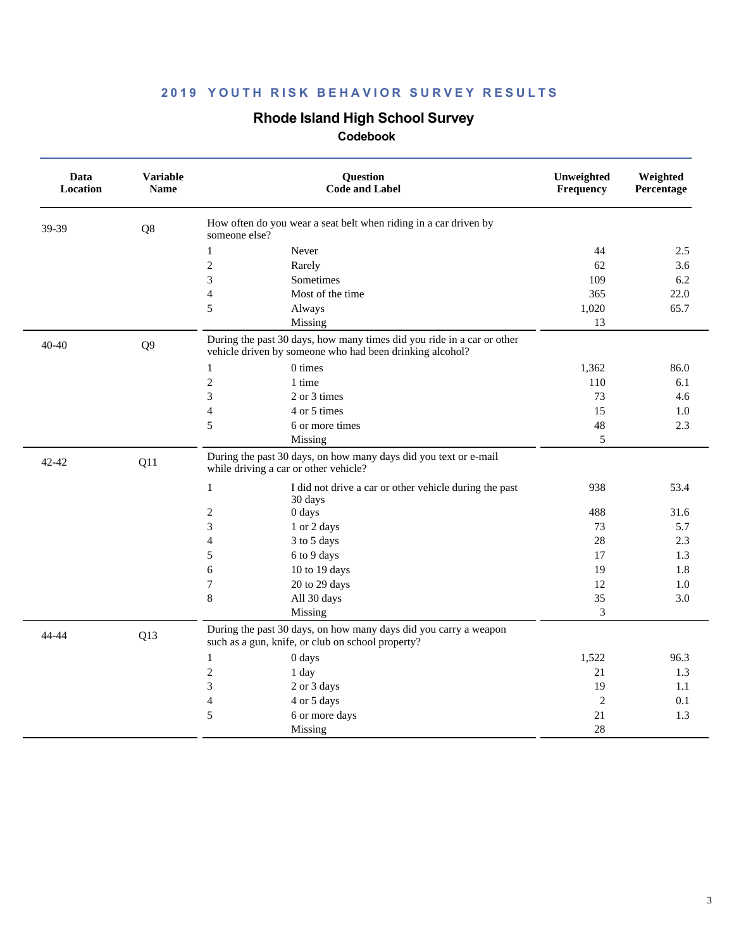## **Rhode Island High School Survey**

| Data<br>Location | <b>Variable</b><br><b>Name</b> | Question<br><b>Code and Label</b>                                                                                                  | Unweighted<br>Frequency | Weighted<br>Percentage |
|------------------|--------------------------------|------------------------------------------------------------------------------------------------------------------------------------|-------------------------|------------------------|
| 39-39            | Q8                             | How often do you wear a seat belt when riding in a car driven by<br>someone else?                                                  |                         |                        |
|                  |                                | $\mathbf{1}$<br>Never                                                                                                              | 44                      | 2.5                    |
|                  |                                | $\overline{c}$<br>Rarely                                                                                                           | 62                      | 3.6                    |
|                  |                                | 3<br><b>Sometimes</b>                                                                                                              | 109                     | 6.2                    |
|                  |                                | 4<br>Most of the time                                                                                                              | 365                     | 22.0                   |
|                  |                                | 5<br>Always                                                                                                                        | 1,020                   | 65.7                   |
|                  |                                | Missing                                                                                                                            | 13                      |                        |
| $40 - 40$        | Q <sub>9</sub>                 | During the past 30 days, how many times did you ride in a car or other<br>vehicle driven by someone who had been drinking alcohol? |                         |                        |
|                  |                                | $\mathbf{1}$<br>0 times                                                                                                            | 1,362                   | 86.0                   |
|                  |                                | $\mathfrak{2}$<br>1 time                                                                                                           | 110                     | 6.1                    |
|                  |                                | 3<br>2 or 3 times                                                                                                                  | 73                      | 4.6                    |
|                  |                                | 4<br>4 or 5 times                                                                                                                  | 15                      | 1.0                    |
|                  |                                | 5<br>6 or more times                                                                                                               | 48                      | 2.3                    |
|                  |                                | Missing                                                                                                                            | 5                       |                        |
| 42-42            | Q11                            | During the past 30 days, on how many days did you text or e-mail<br>while driving a car or other vehicle?                          |                         |                        |
|                  |                                | $\mathbf{1}$<br>I did not drive a car or other vehicle during the past<br>30 days                                                  | 938                     | 53.4                   |
|                  |                                | $\overline{c}$<br>0 days                                                                                                           | 488                     | 31.6                   |
|                  |                                | 3<br>1 or 2 days                                                                                                                   | 73                      | 5.7                    |
|                  |                                | $\overline{4}$<br>3 to 5 days                                                                                                      | 28                      | 2.3                    |
|                  |                                | 5<br>6 to 9 days                                                                                                                   | 17                      | 1.3                    |
|                  |                                | 6<br>10 to 19 days                                                                                                                 | 19                      | 1.8                    |
|                  |                                | $\tau$<br>20 to 29 days                                                                                                            | 12                      | 1.0                    |
|                  |                                | 8<br>All 30 days                                                                                                                   | 35                      | 3.0                    |
|                  |                                | Missing                                                                                                                            | 3                       |                        |
| 44-44            | Q13                            | During the past 30 days, on how many days did you carry a weapon<br>such as a gun, knife, or club on school property?              |                         |                        |
|                  |                                | 0 days<br>1                                                                                                                        | 1,522                   | 96.3                   |
|                  |                                | $\overline{c}$<br>1 day                                                                                                            | 21                      | 1.3                    |
|                  |                                | 3<br>2 or 3 days                                                                                                                   | 19                      | 1.1                    |
|                  |                                | 4<br>4 or 5 days                                                                                                                   | $\overline{2}$          | 0.1                    |
|                  |                                | 5<br>6 or more days                                                                                                                | 21                      | 1.3                    |
|                  |                                | Missing                                                                                                                            | 28                      |                        |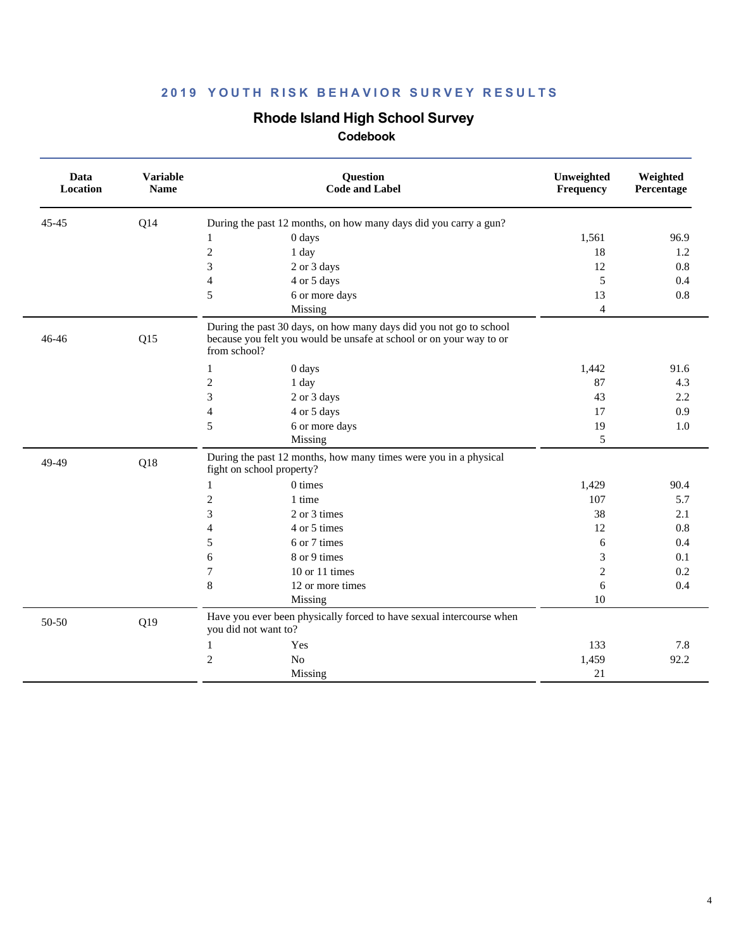## **Rhode Island High School Survey**

| Data<br><b>Location</b> | <b>Variable</b><br><b>Name</b> | Question<br><b>Code and Label</b>                                                                                                                         | Unweighted<br>Frequency | Weighted<br>Percentage |
|-------------------------|--------------------------------|-----------------------------------------------------------------------------------------------------------------------------------------------------------|-------------------------|------------------------|
| $45 - 45$               | Q14                            | During the past 12 months, on how many days did you carry a gun?                                                                                          |                         |                        |
|                         |                                | 0 days<br>1                                                                                                                                               | 1,561                   | 96.9                   |
|                         |                                | $\mathfrak{2}$<br>1 day                                                                                                                                   | 18                      | 1.2                    |
|                         |                                | 3<br>2 or 3 days                                                                                                                                          | 12                      | 0.8                    |
|                         |                                | $\overline{4}$<br>4 or 5 days                                                                                                                             | 5                       | 0.4                    |
|                         |                                | 5<br>6 or more days                                                                                                                                       | 13                      | 0.8                    |
|                         |                                | Missing                                                                                                                                                   | $\overline{4}$          |                        |
| 46-46                   | Q15                            | During the past 30 days, on how many days did you not go to school<br>because you felt you would be unsafe at school or on your way to or<br>from school? |                         |                        |
|                         |                                | $\mathbf{1}$<br>0 days                                                                                                                                    | 1,442                   | 91.6                   |
|                         |                                | $\overline{c}$<br>1 day                                                                                                                                   | 87                      | 4.3                    |
|                         |                                | 3<br>2 or 3 days                                                                                                                                          | 43                      | 2.2                    |
|                         |                                | $\overline{\mathcal{L}}$<br>4 or 5 days                                                                                                                   | 17                      | 0.9                    |
|                         |                                | 5<br>6 or more days                                                                                                                                       | 19                      | 1.0                    |
|                         |                                | Missing                                                                                                                                                   | 5                       |                        |
| 49-49                   | Q18                            | During the past 12 months, how many times were you in a physical<br>fight on school property?                                                             |                         |                        |
|                         |                                | 0 times<br>1                                                                                                                                              | 1,429                   | 90.4                   |
|                         |                                | $\sqrt{2}$<br>1 time                                                                                                                                      | 107                     | 5.7                    |
|                         |                                | 3<br>2 or 3 times                                                                                                                                         | 38                      | 2.1                    |
|                         |                                | 4 or 5 times<br>4                                                                                                                                         | 12                      | 0.8                    |
|                         |                                | 5<br>6 or 7 times                                                                                                                                         | 6                       | 0.4                    |
|                         |                                | 8 or 9 times<br>6                                                                                                                                         | 3                       | 0.1                    |
|                         |                                | 7<br>$10$ or $11$ times                                                                                                                                   | $\overline{2}$          | 0.2                    |
|                         |                                | 8<br>12 or more times                                                                                                                                     | 6                       | 0.4                    |
|                         |                                | Missing                                                                                                                                                   | 10                      |                        |
| 50-50                   | Q19                            | Have you ever been physically forced to have sexual intercourse when<br>you did not want to?                                                              |                         |                        |
|                         |                                | Yes<br>1                                                                                                                                                  | 133                     | 7.8                    |
|                         |                                | $\overline{c}$<br>N <sub>o</sub>                                                                                                                          | 1,459                   | 92.2                   |
|                         |                                | Missing                                                                                                                                                   | 21                      |                        |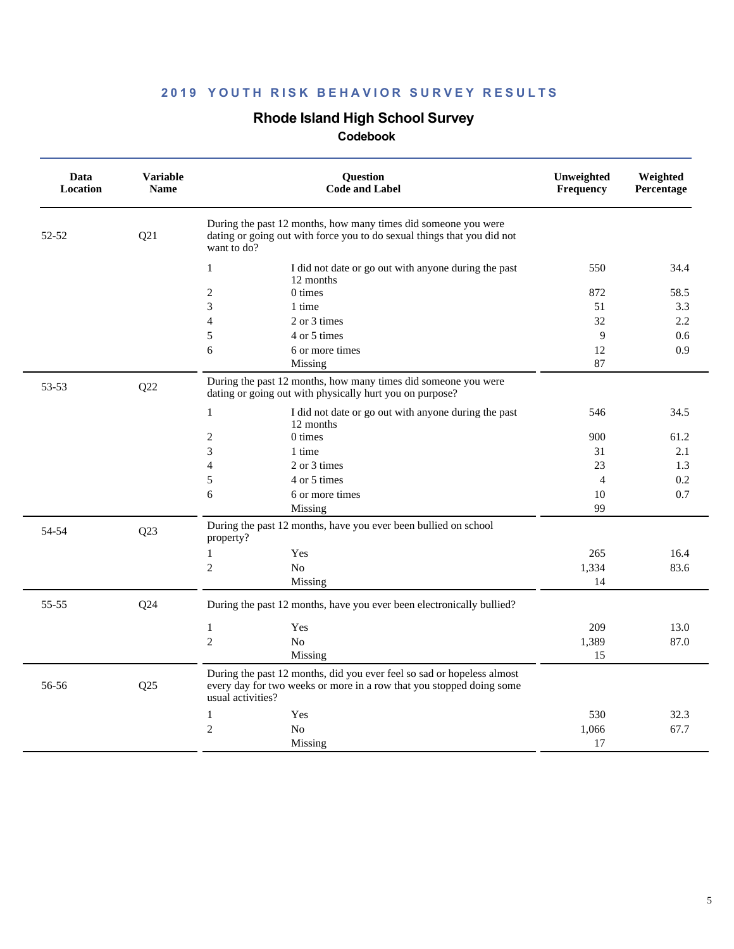## **Rhode Island High School Survey**

| Data<br>Location | <b>Variable</b><br><b>Name</b> | Question<br><b>Code and Label</b>                                                                                                                                   |                | Weighted<br>Percentage |
|------------------|--------------------------------|---------------------------------------------------------------------------------------------------------------------------------------------------------------------|----------------|------------------------|
| 52-52            | Q21                            | During the past 12 months, how many times did someone you were<br>dating or going out with force you to do sexual things that you did not<br>want to do?            |                |                        |
|                  |                                | $\mathbf{1}$<br>I did not date or go out with anyone during the past<br>12 months                                                                                   | 550            | 34.4                   |
|                  |                                | $\mathfrak{2}$<br>$0 \times$                                                                                                                                        | 872            | 58.5                   |
|                  |                                | 3<br>1 time                                                                                                                                                         | 51             | 3.3                    |
|                  |                                | $\overline{4}$<br>2 or 3 times                                                                                                                                      | 32             | 2.2                    |
|                  |                                | 5<br>4 or 5 times                                                                                                                                                   | 9              | 0.6                    |
|                  |                                | 6<br>6 or more times                                                                                                                                                | 12             | 0.9                    |
|                  |                                | Missing                                                                                                                                                             | 87             |                        |
| 53-53            | Q22                            | During the past 12 months, how many times did someone you were<br>dating or going out with physically hurt you on purpose?                                          |                |                        |
|                  |                                | $\mathbf{1}$<br>I did not date or go out with anyone during the past<br>12 months                                                                                   | 546            | 34.5                   |
|                  |                                | $\mathfrak{2}$<br>0 times                                                                                                                                           | 900            | 61.2                   |
|                  |                                | 3<br>1 time                                                                                                                                                         | 31             | 2.1                    |
|                  |                                | $\overline{4}$<br>2 or 3 times                                                                                                                                      | 23             | 1.3                    |
|                  |                                | 5<br>4 or 5 times                                                                                                                                                   | $\overline{4}$ | 0.2                    |
|                  |                                | 6<br>6 or more times                                                                                                                                                | 10             | 0.7                    |
|                  |                                | Missing                                                                                                                                                             | 99             |                        |
| 54-54            | Q23                            | During the past 12 months, have you ever been bullied on school<br>property?                                                                                        |                |                        |
|                  |                                | Yes<br>1                                                                                                                                                            | 265            | 16.4                   |
|                  |                                | $\overline{2}$<br>No                                                                                                                                                | 1,334          | 83.6                   |
|                  |                                | Missing                                                                                                                                                             | 14             |                        |
| 55-55            | Q24                            | During the past 12 months, have you ever been electronically bullied?                                                                                               |                |                        |
|                  |                                | $\mathbf{1}$<br>Yes                                                                                                                                                 | 209            | 13.0                   |
|                  |                                | $\overline{c}$<br>No                                                                                                                                                | 1,389          | 87.0                   |
|                  |                                | Missing                                                                                                                                                             | 15             |                        |
| 56-56            | Q25                            | During the past 12 months, did you ever feel so sad or hopeless almost<br>every day for two weeks or more in a row that you stopped doing some<br>usual activities? |                |                        |
|                  |                                | 1<br>Yes                                                                                                                                                            | 530            | 32.3                   |
|                  |                                | $\mathfrak{2}$<br>N <sub>0</sub>                                                                                                                                    | 1,066          | 67.7                   |
|                  |                                | Missing                                                                                                                                                             | 17             |                        |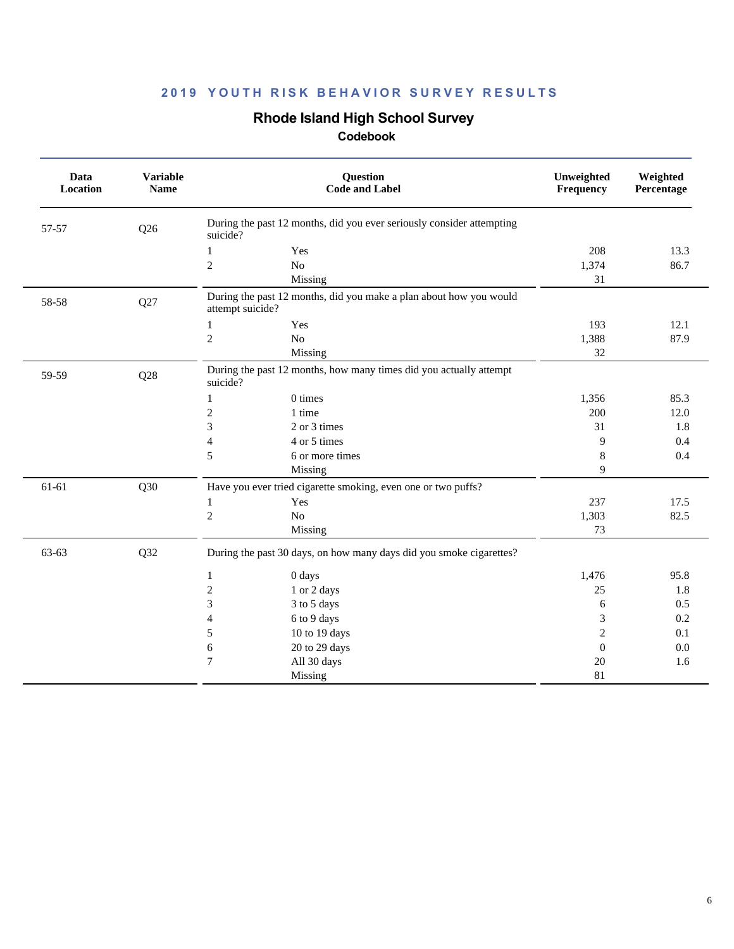## **Rhode Island High School Survey**

| Data<br>Location | <b>Variable</b><br><b>Name</b> | <b>Question</b><br><b>Code and Label</b>                                               | Unweighted<br>Frequency | Weighted<br>Percentage |
|------------------|--------------------------------|----------------------------------------------------------------------------------------|-------------------------|------------------------|
| 57-57            | Q26                            | During the past 12 months, did you ever seriously consider attempting<br>suicide?      |                         |                        |
|                  |                                | $\mathbf{1}$<br>Yes                                                                    | 208                     | 13.3                   |
|                  |                                | $\mathfrak{2}$<br>No                                                                   | 1,374                   | 86.7                   |
|                  |                                | Missing                                                                                | 31                      |                        |
| 58-58            | Q27                            | During the past 12 months, did you make a plan about how you would<br>attempt suicide? |                         |                        |
|                  |                                | Yes<br>1                                                                               | 193                     | 12.1                   |
|                  |                                | $\overline{c}$<br>No                                                                   | 1,388                   | 87.9                   |
|                  |                                | Missing                                                                                | 32                      |                        |
| 59-59            | Q28                            | During the past 12 months, how many times did you actually attempt<br>suicide?         |                         |                        |
|                  |                                | 0 times<br>$\mathbf{1}$                                                                | 1,356                   | 85.3                   |
|                  |                                | $\boldsymbol{2}$<br>1 time                                                             | 200                     | 12.0                   |
|                  |                                | 3<br>2 or 3 times                                                                      | 31                      | 1.8                    |
|                  |                                | 4 or 5 times<br>$\overline{\mathcal{L}}$                                               | 9                       | 0.4                    |
|                  |                                | 5<br>6 or more times                                                                   | 8                       | 0.4                    |
|                  |                                | Missing                                                                                | 9                       |                        |
| 61-61            | Q30                            | Have you ever tried cigarette smoking, even one or two puffs?                          |                         |                        |
|                  |                                | Yes<br>1                                                                               | 237                     | 17.5                   |
|                  |                                | $\overline{c}$<br>$\rm No$                                                             | 1,303                   | 82.5                   |
|                  |                                | Missing                                                                                | 73                      |                        |
| 63-63            | Q32                            | During the past 30 days, on how many days did you smoke cigarettes?                    |                         |                        |
|                  |                                | 0 days<br>1                                                                            | 1,476                   | 95.8                   |
|                  |                                | $\mathfrak{2}$<br>1 or 2 days                                                          | 25                      | 1.8                    |
|                  |                                | 3<br>3 to 5 days                                                                       | 6                       | 0.5                    |
|                  |                                | 6 to 9 days<br>$\overline{4}$                                                          | 3                       | 0.2                    |
|                  |                                | 10 to 19 days<br>5                                                                     | $\overline{2}$          | 0.1                    |
|                  |                                | 20 to 29 days<br>6                                                                     | $\theta$                | 0.0                    |
|                  |                                | $\tau$<br>All 30 days                                                                  | 20                      | 1.6                    |
|                  |                                | Missing                                                                                | 81                      |                        |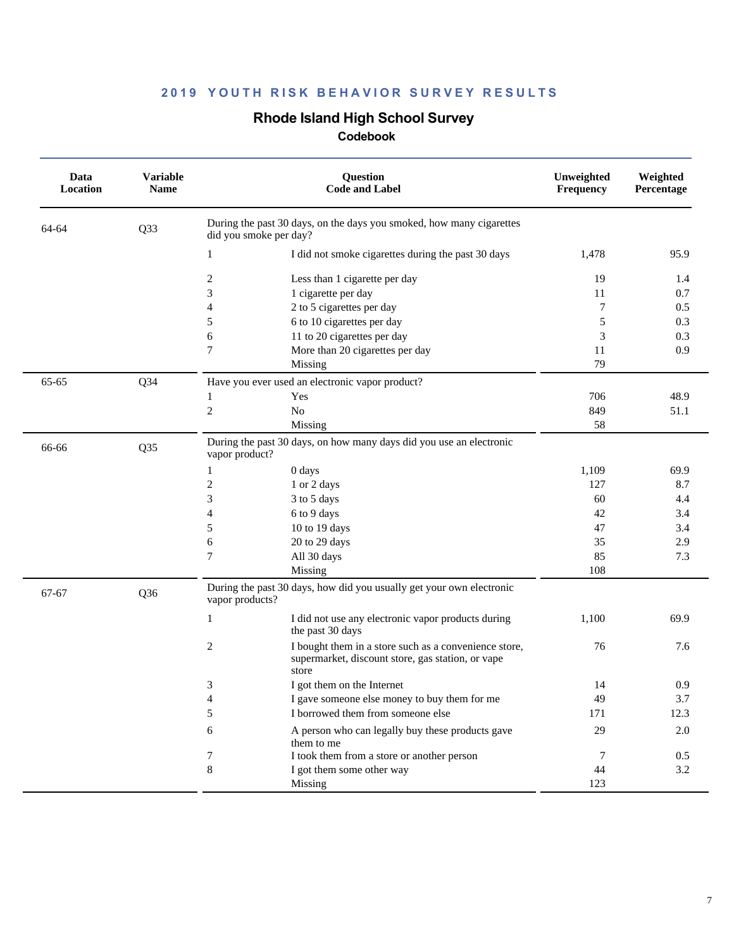## **Rhode Island High School Survey**

| Data<br>Location | <b>Variable</b><br><b>Name</b> | Question<br><b>Code and Label</b>                                                                                        | Unweighted<br>Frequency | Weighted<br>Percentage |
|------------------|--------------------------------|--------------------------------------------------------------------------------------------------------------------------|-------------------------|------------------------|
| 64-64            | Q33                            | During the past 30 days, on the days you smoked, how many cigarettes<br>did you smoke per day?                           |                         |                        |
|                  |                                | I did not smoke cigarettes during the past 30 days<br>1                                                                  | 1,478                   | 95.9                   |
|                  |                                | $\overline{c}$<br>Less than 1 cigarette per day                                                                          | 19                      | 1.4                    |
|                  |                                | 3<br>1 cigarette per day                                                                                                 | 11                      | 0.7                    |
|                  |                                | 2 to 5 cigarettes per day<br>4                                                                                           | 7                       | 0.5                    |
|                  |                                | 5<br>6 to 10 cigarettes per day                                                                                          | 5                       | 0.3                    |
|                  |                                | 6<br>11 to 20 cigarettes per day                                                                                         | 3                       | 0.3                    |
|                  |                                | 7<br>More than 20 cigarettes per day                                                                                     | 11                      | 0.9                    |
|                  |                                | Missing                                                                                                                  | 79                      |                        |
| 65-65            | $Q$ 34                         | Have you ever used an electronic vapor product?                                                                          |                         |                        |
|                  |                                | Yes<br>1                                                                                                                 | 706                     | 48.9                   |
|                  |                                | $\boldsymbol{2}$<br>No                                                                                                   | 849                     | 51.1                   |
|                  |                                | Missing                                                                                                                  | 58                      |                        |
| 66-66            | Q35                            | During the past 30 days, on how many days did you use an electronic<br>vapor product?                                    |                         |                        |
|                  |                                | 0 days<br>1                                                                                                              | 1,109                   | 69.9                   |
|                  |                                | $\overline{c}$<br>1 or 2 days                                                                                            | 127                     | 8.7                    |
|                  |                                | 3<br>3 to 5 days                                                                                                         | 60                      | 4.4                    |
|                  |                                | 4<br>6 to 9 days                                                                                                         | 42                      | 3.4                    |
|                  |                                | 10 to 19 days<br>5                                                                                                       | 47                      | 3.4                    |
|                  |                                | 20 to 29 days<br>6                                                                                                       | 35                      | 2.9                    |
|                  |                                | 7<br>All 30 days                                                                                                         | 85                      | 7.3                    |
|                  |                                | Missing                                                                                                                  | 108                     |                        |
| 67-67            | Q <sub>36</sub>                | During the past 30 days, how did you usually get your own electronic<br>vapor products?                                  |                         |                        |
|                  |                                | $\mathbf{1}$<br>I did not use any electronic vapor products during<br>the past 30 days                                   | 1,100                   | 69.9                   |
|                  |                                | 2<br>I bought them in a store such as a convenience store,<br>supermarket, discount store, gas station, or vape<br>store | 76                      | 7.6                    |
|                  |                                | 3<br>I got them on the Internet                                                                                          | 14                      | 0.9                    |
|                  |                                | 4<br>I gave someone else money to buy them for me                                                                        | 49                      | 3.7                    |
|                  |                                | 5<br>I borrowed them from someone else                                                                                   | 171                     | 12.3                   |
|                  |                                | A person who can legally buy these products gave<br>6<br>them to me                                                      | 29                      | $2.0\,$                |
|                  |                                | I took them from a store or another person<br>7                                                                          | 7                       | 0.5                    |
|                  |                                | 8<br>I got them some other way                                                                                           | 44                      | 3.2                    |
|                  |                                | Missing                                                                                                                  | 123                     |                        |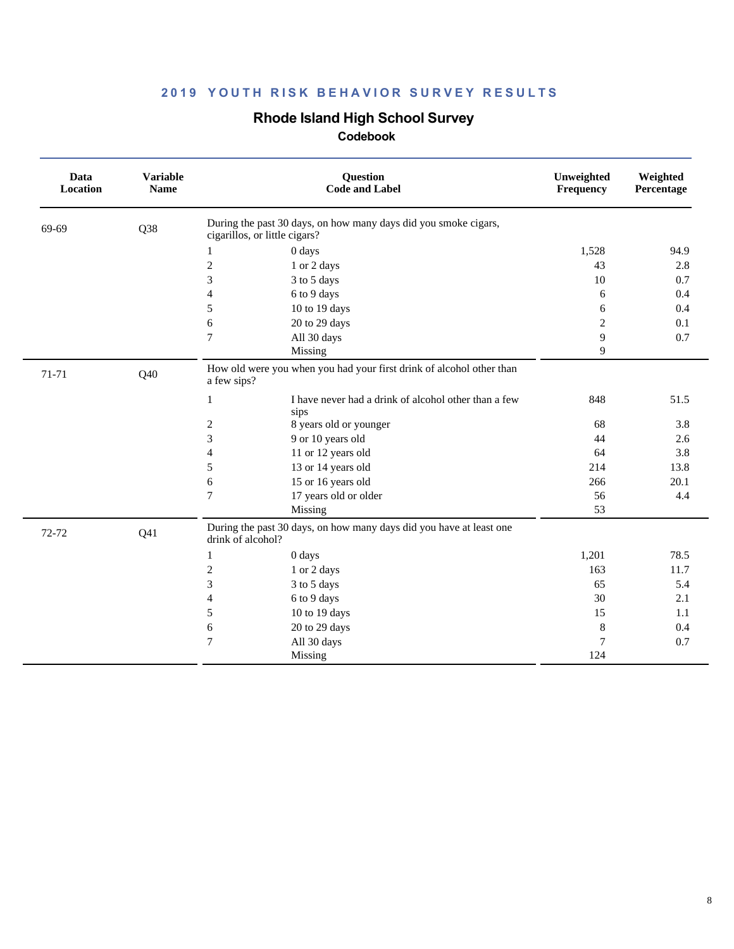## **Rhode Island High School Survey**

| Data<br>Location | <b>Variable</b><br><b>Name</b> | <b>Question</b><br><b>Code and Label</b>                                                         | Unweighted<br>Frequency | Weighted<br>Percentage |
|------------------|--------------------------------|--------------------------------------------------------------------------------------------------|-------------------------|------------------------|
| 69-69            | Q38                            | During the past 30 days, on how many days did you smoke cigars,<br>cigarillos, or little cigars? |                         |                        |
|                  |                                | 0 days<br>1                                                                                      | 1,528                   | 94.9                   |
|                  |                                | $\mathfrak{2}$<br>1 or 2 days                                                                    | 43                      | 2.8                    |
|                  |                                | 3<br>3 to 5 days                                                                                 | 10                      | 0.7                    |
|                  |                                | $\overline{4}$<br>6 to 9 days                                                                    | 6                       | 0.4                    |
|                  |                                | 5<br>10 to 19 days                                                                               | 6                       | 0.4                    |
|                  |                                | 6<br>20 to 29 days                                                                               | 2                       | 0.1                    |
|                  |                                | $\overline{7}$<br>All 30 days                                                                    | 9                       | 0.7                    |
|                  |                                | Missing                                                                                          | 9                       |                        |
| 71-71            | Q40                            | How old were you when you had your first drink of alcohol other than<br>a few sips?              |                         |                        |
|                  |                                | I have never had a drink of alcohol other than a few<br>1<br>sips                                | 848                     | 51.5                   |
|                  |                                | 2<br>8 years old or younger                                                                      | 68                      | 3.8                    |
|                  |                                | 3<br>9 or 10 years old                                                                           | 44                      | 2.6                    |
|                  |                                | $\overline{4}$<br>11 or 12 years old                                                             | 64                      | 3.8                    |
|                  |                                | 13 or 14 years old<br>5                                                                          | 214                     | 13.8                   |
|                  |                                | 15 or 16 years old<br>6                                                                          | 266                     | 20.1                   |
|                  |                                | $\tau$<br>17 years old or older                                                                  | 56                      | 4.4                    |
|                  |                                | Missing                                                                                          | 53                      |                        |
| 72-72            | Q <sub>41</sub>                | During the past 30 days, on how many days did you have at least one<br>drink of alcohol?         |                         |                        |
|                  |                                | 0 days<br>1                                                                                      | 1,201                   | 78.5                   |
|                  |                                | 2<br>1 or 2 days                                                                                 | 163                     | 11.7                   |
|                  |                                | 3<br>3 to 5 days                                                                                 | 65                      | 5.4                    |
|                  |                                | $\overline{4}$<br>6 to 9 days                                                                    | 30                      | 2.1                    |
|                  |                                | 5<br>10 to 19 days                                                                               | 15                      | 1.1                    |
|                  |                                | 20 to 29 days<br>6                                                                               | 8                       | 0.4                    |
|                  |                                | $\overline{7}$<br>All 30 days                                                                    | 7                       | 0.7                    |
|                  |                                | Missing                                                                                          | 124                     |                        |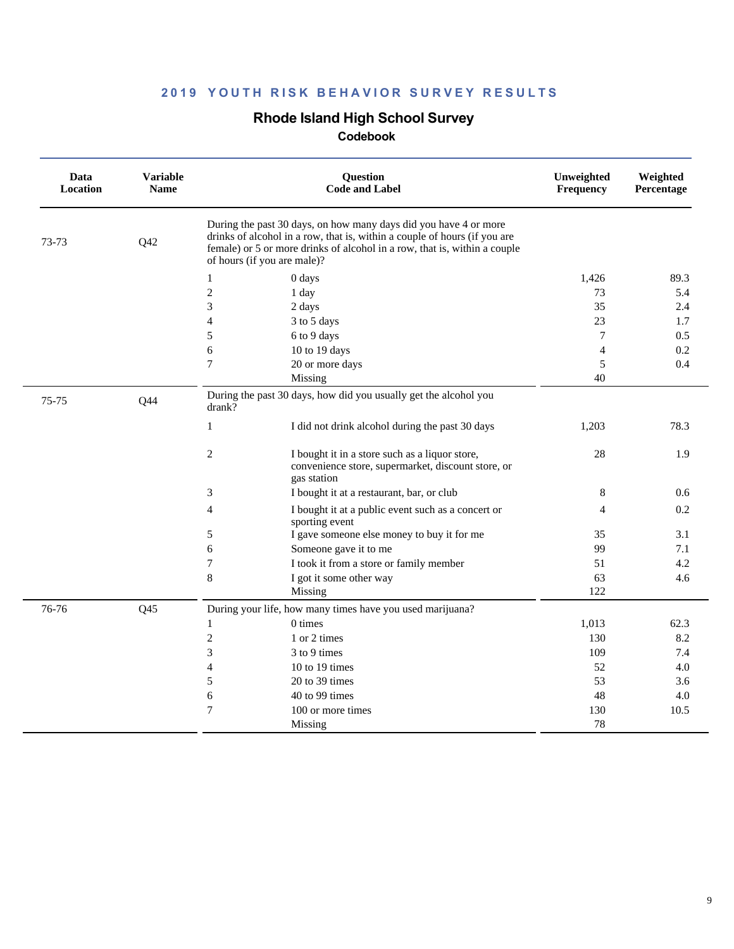### **Rhode Island High School Survey**

| Data<br>Location | <b>Variable</b><br><b>Name</b> | Question<br><b>Code and Label</b><br>During the past 30 days, on how many days did you have 4 or more<br>drinks of alcohol in a row, that is, within a couple of hours (if you are<br>female) or 5 or more drinks of alcohol in a row, that is, within a couple<br>of hours (if you are male)? |                                                                                                      | Unweighted<br>Frequency | Weighted<br>Percentage |
|------------------|--------------------------------|------------------------------------------------------------------------------------------------------------------------------------------------------------------------------------------------------------------------------------------------------------------------------------------------|------------------------------------------------------------------------------------------------------|-------------------------|------------------------|
| 73-73            | Q42                            |                                                                                                                                                                                                                                                                                                |                                                                                                      |                         |                        |
|                  |                                | 1<br>0 days                                                                                                                                                                                                                                                                                    |                                                                                                      | 1,426                   | 89.3                   |
|                  |                                | $\mathfrak{2}$<br>1 day                                                                                                                                                                                                                                                                        |                                                                                                      | 73                      | 5.4                    |
|                  |                                | 3<br>2 days                                                                                                                                                                                                                                                                                    |                                                                                                      | 35                      | 2.4                    |
|                  |                                | $\overline{4}$<br>3 to 5 days                                                                                                                                                                                                                                                                  |                                                                                                      | 23                      | 1.7                    |
|                  |                                | 5<br>6 to 9 days                                                                                                                                                                                                                                                                               |                                                                                                      | 7                       | 0.5                    |
|                  |                                | 6<br>10 to 19 days                                                                                                                                                                                                                                                                             |                                                                                                      | $\overline{4}$          | 0.2                    |
|                  |                                | $\tau$<br>20 or more days                                                                                                                                                                                                                                                                      |                                                                                                      | 5                       | 0.4                    |
|                  |                                | Missing                                                                                                                                                                                                                                                                                        |                                                                                                      | 40                      |                        |
| 75-75            | Q44                            | drank?                                                                                                                                                                                                                                                                                         | During the past 30 days, how did you usually get the alcohol you                                     |                         |                        |
|                  |                                | 1                                                                                                                                                                                                                                                                                              | I did not drink alcohol during the past 30 days                                                      | 1,203                   | 78.3                   |
|                  |                                | $\overline{c}$<br>gas station                                                                                                                                                                                                                                                                  | I bought it in a store such as a liquor store,<br>convenience store, supermarket, discount store, or | 28                      | 1.9                    |
|                  |                                | 3                                                                                                                                                                                                                                                                                              | I bought it at a restaurant, bar, or club                                                            | 8                       | 0.6                    |
|                  |                                | $\overline{4}$<br>sporting event                                                                                                                                                                                                                                                               | I bought it at a public event such as a concert or                                                   | 4                       | 0.2                    |
|                  |                                | 5                                                                                                                                                                                                                                                                                              | I gave someone else money to buy it for me                                                           | 35                      | 3.1                    |
|                  |                                | 6                                                                                                                                                                                                                                                                                              | Someone gave it to me                                                                                | 99                      | 7.1                    |
|                  |                                | $\tau$                                                                                                                                                                                                                                                                                         | I took it from a store or family member                                                              | 51                      | 4.2                    |
|                  |                                | 8                                                                                                                                                                                                                                                                                              | I got it some other way                                                                              | 63                      | 4.6                    |
|                  |                                | Missing                                                                                                                                                                                                                                                                                        |                                                                                                      | 122                     |                        |
| 76-76            | Q <sub>45</sub>                | During your life, how many times have you used marijuana?                                                                                                                                                                                                                                      |                                                                                                      |                         |                        |
|                  |                                | 1<br>0 times                                                                                                                                                                                                                                                                                   |                                                                                                      | 1,013                   | 62.3                   |
|                  |                                | $\mathfrak{2}$<br>1 or 2 times                                                                                                                                                                                                                                                                 |                                                                                                      | 130                     | 8.2                    |
|                  |                                | 3<br>3 to 9 times                                                                                                                                                                                                                                                                              |                                                                                                      | 109                     | 7.4                    |
|                  |                                | $\overline{4}$<br>10 to 19 times                                                                                                                                                                                                                                                               |                                                                                                      | 52                      | 4.0                    |
|                  |                                | 5<br>20 to 39 times                                                                                                                                                                                                                                                                            |                                                                                                      | 53                      | 3.6                    |
|                  |                                | 6<br>40 to 99 times                                                                                                                                                                                                                                                                            |                                                                                                      | 48                      | 4.0                    |
|                  |                                | $\tau$<br>100 or more times                                                                                                                                                                                                                                                                    |                                                                                                      | 130                     | 10.5                   |
|                  |                                | Missing                                                                                                                                                                                                                                                                                        |                                                                                                      | 78                      |                        |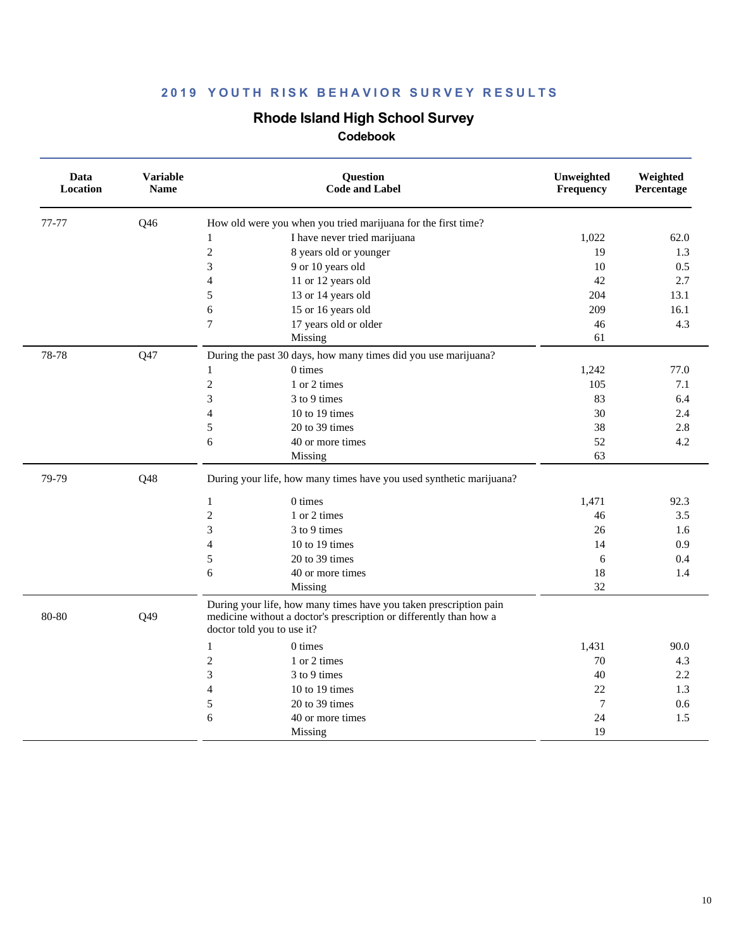## **Rhode Island High School Survey**

| Data<br>Location | <b>Variable</b><br><b>Name</b> | Question<br><b>Code and Label</b>                                                                                                                                     | Unweighted<br>Frequency | Weighted<br>Percentage |
|------------------|--------------------------------|-----------------------------------------------------------------------------------------------------------------------------------------------------------------------|-------------------------|------------------------|
| 77-77            | Q46                            | How old were you when you tried marijuana for the first time?                                                                                                         |                         |                        |
|                  |                                | I have never tried marijuana<br>$\mathbf{1}$                                                                                                                          | 1,022                   | 62.0                   |
|                  |                                | $\sqrt{2}$<br>8 years old or younger                                                                                                                                  | 19                      | 1.3                    |
|                  |                                | 3<br>9 or 10 years old                                                                                                                                                | 10                      | 0.5                    |
|                  |                                | 11 or 12 years old<br>$\overline{4}$                                                                                                                                  | 42                      | 2.7                    |
|                  |                                | 13 or 14 years old<br>5                                                                                                                                               | 204                     | 13.1                   |
|                  |                                | 15 or 16 years old<br>6                                                                                                                                               | 209                     | 16.1                   |
|                  |                                | 7<br>17 years old or older                                                                                                                                            | 46                      | 4.3                    |
|                  |                                | Missing                                                                                                                                                               | 61                      |                        |
| 78-78            | Q47                            | During the past 30 days, how many times did you use marijuana?                                                                                                        |                         |                        |
|                  |                                | 0 times<br>1                                                                                                                                                          | 1,242                   | 77.0                   |
|                  |                                | $\sqrt{2}$<br>1 or 2 times                                                                                                                                            | 105                     | 7.1                    |
|                  |                                | 3<br>3 to 9 times                                                                                                                                                     | 83                      | 6.4                    |
|                  |                                | $\overline{4}$<br>10 to 19 times                                                                                                                                      | 30                      | 2.4                    |
|                  |                                | 20 to 39 times<br>5                                                                                                                                                   | 38                      | 2.8                    |
|                  |                                | 6<br>40 or more times                                                                                                                                                 | 52                      | 4.2                    |
|                  |                                | Missing                                                                                                                                                               | 63                      |                        |
| 79-79            | Q48                            | During your life, how many times have you used synthetic marijuana?                                                                                                   |                         |                        |
|                  |                                | 0 times<br>$\mathbf{1}$                                                                                                                                               | 1,471                   | 92.3                   |
|                  |                                | $\mathfrak{2}$<br>1 or 2 times                                                                                                                                        | 46                      | 3.5                    |
|                  |                                | 3<br>3 to 9 times                                                                                                                                                     | 26                      | 1.6                    |
|                  |                                | 10 to 19 times<br>$\overline{4}$                                                                                                                                      | 14                      | 0.9                    |
|                  |                                | 20 to 39 times<br>5                                                                                                                                                   | 6                       | 0.4                    |
|                  |                                | 6<br>40 or more times                                                                                                                                                 | 18                      | 1.4                    |
|                  |                                | Missing                                                                                                                                                               | 32                      |                        |
| 80-80            | Q49                            | During your life, how many times have you taken prescription pain<br>medicine without a doctor's prescription or differently than how a<br>doctor told you to use it? |                         |                        |
|                  |                                | $0 \times$<br>$\mathbf{1}$                                                                                                                                            | 1,431                   | 90.0                   |
|                  |                                | $\overline{c}$<br>1 or 2 times                                                                                                                                        | 70                      | 4.3                    |
|                  |                                | 3<br>3 to 9 times                                                                                                                                                     | 40                      | 2.2                    |
|                  |                                | $\overline{4}$<br>10 to 19 times                                                                                                                                      | 22                      | 1.3                    |
|                  |                                | $\mathfrak s$<br>20 to 39 times                                                                                                                                       | $7\phantom{.0}$         | 0.6                    |
|                  |                                | 6<br>40 or more times                                                                                                                                                 | 24                      | 1.5                    |
|                  |                                | Missing                                                                                                                                                               | 19                      |                        |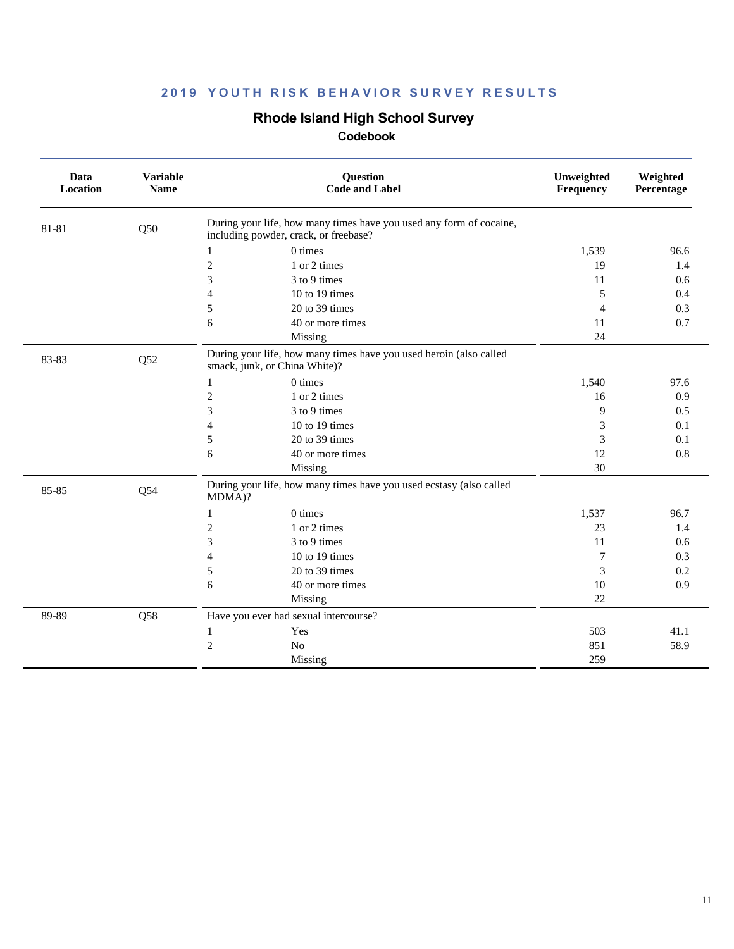### **Rhode Island High School Survey**

| Data<br>Location | <b>Variable</b><br><b>Name</b> | Question<br><b>Code and Label</b>                                                                            | Unweighted<br>Frequency | Weighted<br>Percentage |
|------------------|--------------------------------|--------------------------------------------------------------------------------------------------------------|-------------------------|------------------------|
| 81-81            | Q50                            | During your life, how many times have you used any form of cocaine,<br>including powder, crack, or freebase? |                         |                        |
|                  |                                | $0 \times$<br>1                                                                                              | 1,539                   | 96.6                   |
|                  |                                | $\overline{c}$<br>1 or 2 times                                                                               | 19                      | 1.4                    |
|                  |                                | 3<br>3 to 9 times                                                                                            | 11                      | 0.6                    |
|                  |                                | 10 to 19 times<br>4                                                                                          | 5                       | 0.4                    |
|                  |                                | 5<br>20 to 39 times                                                                                          | $\overline{4}$          | 0.3                    |
|                  |                                | 6<br>40 or more times                                                                                        | 11                      | 0.7                    |
|                  |                                | Missing                                                                                                      | 24                      |                        |
| 83-83            | Q52                            | During your life, how many times have you used heroin (also called<br>smack, junk, or China White)?          |                         |                        |
|                  |                                | $0 \times$<br>$\mathbf{1}$                                                                                   | 1,540                   | 97.6                   |
|                  |                                | $\mathfrak{2}$<br>1 or 2 times                                                                               | 16                      | 0.9                    |
|                  |                                | 3<br>3 to 9 times                                                                                            | 9                       | 0.5                    |
|                  |                                | 10 to 19 times<br>$\overline{4}$                                                                             | 3                       | 0.1                    |
|                  |                                | 5<br>$20$ to 39 times                                                                                        | 3                       | 0.1                    |
|                  |                                | 6<br>40 or more times                                                                                        | 12                      | 0.8                    |
|                  |                                | Missing                                                                                                      | 30                      |                        |
| 85-85            | Q54                            | During your life, how many times have you used ecstasy (also called<br>MDMA)?                                |                         |                        |
|                  |                                | 0 times<br>1                                                                                                 | 1,537                   | 96.7                   |
|                  |                                | $\mathfrak{2}$<br>1 or 2 times                                                                               | 23                      | 1.4                    |
|                  |                                | 3<br>3 to 9 times                                                                                            | 11                      | 0.6                    |
|                  |                                | 10 to 19 times<br>$\overline{4}$                                                                             | $\tau$                  | 0.3                    |
|                  |                                | 20 to 39 times<br>5                                                                                          | 3                       | 0.2                    |
|                  |                                | 40 or more times<br>6                                                                                        | 10                      | 0.9                    |
|                  |                                | Missing                                                                                                      | 22                      |                        |
| 89-89            | Q58                            | Have you ever had sexual intercourse?                                                                        |                         |                        |
|                  |                                | Yes<br>1                                                                                                     | 503                     | 41.1                   |
|                  |                                | $\overline{c}$<br>N <sub>o</sub>                                                                             | 851                     | 58.9                   |
|                  |                                | Missing                                                                                                      | 259                     |                        |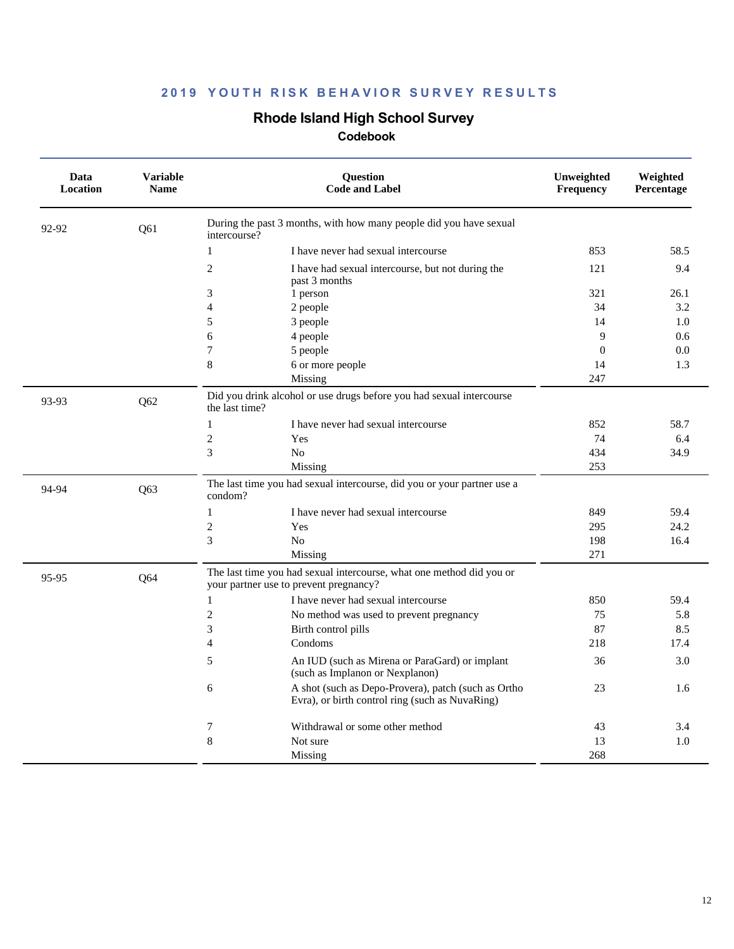### **Rhode Island High School Survey**

| Data<br>Location | <b>Variable</b><br><b>Name</b> | Question<br><b>Code and Label</b>                                                                              | Unweighted<br>Frequency | Weighted<br>Percentage |
|------------------|--------------------------------|----------------------------------------------------------------------------------------------------------------|-------------------------|------------------------|
| 92-92            | Q61                            | During the past 3 months, with how many people did you have sexual<br>intercourse?                             |                         |                        |
|                  |                                | $\mathbf{1}$<br>I have never had sexual intercourse                                                            | 853                     | 58.5                   |
|                  |                                | $\overline{2}$<br>I have had sexual intercourse, but not during the<br>past 3 months                           | 121                     | 9.4                    |
|                  |                                | 3<br>1 person                                                                                                  | 321                     | 26.1                   |
|                  |                                | $\overline{\mathcal{L}}$<br>2 people                                                                           | 34                      | 3.2                    |
|                  |                                | 5<br>3 people                                                                                                  | 14                      | 1.0                    |
|                  |                                | 6<br>4 people                                                                                                  | 9                       | 0.6                    |
|                  |                                | 7<br>5 people                                                                                                  | $\mathbf{0}$            | 0.0                    |
|                  |                                | 8<br>6 or more people                                                                                          | 14                      | 1.3                    |
|                  |                                | Missing                                                                                                        | 247                     |                        |
| 93-93            | Q62                            | Did you drink alcohol or use drugs before you had sexual intercourse<br>the last time?                         |                         |                        |
|                  |                                | $\mathbf{1}$<br>I have never had sexual intercourse                                                            | 852                     | 58.7                   |
|                  |                                | $\overline{2}$<br>Yes                                                                                          | 74                      | 6.4                    |
|                  |                                | 3<br>No                                                                                                        | 434                     | 34.9                   |
|                  |                                | Missing                                                                                                        | 253                     |                        |
| 94-94            | Q63                            | The last time you had sexual intercourse, did you or your partner use a<br>condom?                             |                         |                        |
|                  |                                | I have never had sexual intercourse<br>$\mathbf{1}$                                                            | 849                     | 59.4                   |
|                  |                                | $\mathfrak{2}$<br>Yes                                                                                          | 295                     | 24.2                   |
|                  |                                | 3<br>No                                                                                                        | 198                     | 16.4                   |
|                  |                                | Missing                                                                                                        | 271                     |                        |
| 95-95            | Q64                            | The last time you had sexual intercourse, what one method did you or<br>your partner use to prevent pregnancy? |                         |                        |
|                  |                                | $\mathbf{1}$<br>I have never had sexual intercourse                                                            | 850                     | 59.4                   |
|                  |                                | $\overline{2}$<br>No method was used to prevent pregnancy                                                      | 75                      | 5.8                    |
|                  |                                | 3<br>Birth control pills                                                                                       | 87                      | 8.5                    |
|                  |                                | $\overline{4}$<br>Condoms                                                                                      | 218                     | 17.4                   |
|                  |                                | 5<br>An IUD (such as Mirena or ParaGard) or implant<br>(such as Implanon or Nexplanon)                         | 36                      | 3.0                    |
|                  |                                | A shot (such as Depo-Provera), patch (such as Ortho<br>6<br>Evra), or birth control ring (such as NuvaRing)    | 23                      | 1.6                    |
|                  |                                | 7<br>Withdrawal or some other method                                                                           | 43                      | 3.4                    |
|                  |                                | 8<br>Not sure                                                                                                  | 13                      | 1.0                    |
|                  |                                | Missing                                                                                                        | 268                     |                        |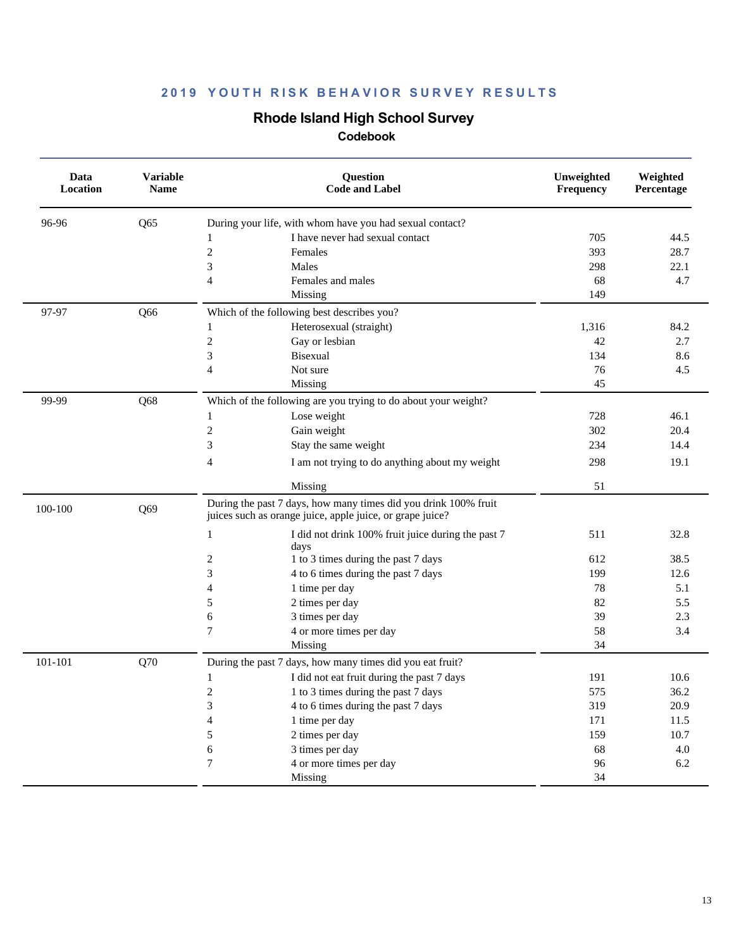## **Rhode Island High School Survey**

| Data<br>Location | <b>Variable</b><br><b>Name</b> | Question<br><b>Code and Label</b>                                                                                            | Unweighted<br>Frequency | Weighted<br>Percentage |
|------------------|--------------------------------|------------------------------------------------------------------------------------------------------------------------------|-------------------------|------------------------|
| 96-96            | Q65                            | During your life, with whom have you had sexual contact?                                                                     |                         |                        |
|                  |                                | I have never had sexual contact<br>1                                                                                         | 705                     | 44.5                   |
|                  |                                | $\boldsymbol{2}$<br>Females                                                                                                  | 393                     | 28.7                   |
|                  |                                | 3<br>Males                                                                                                                   | 298                     | 22.1                   |
|                  |                                | $\overline{\mathcal{L}}$<br>Females and males                                                                                | 68                      | 4.7                    |
|                  |                                | Missing                                                                                                                      | 149                     |                        |
| 97-97            | Q66                            | Which of the following best describes you?                                                                                   |                         |                        |
|                  |                                | Heterosexual (straight)<br>1                                                                                                 | 1,316                   | 84.2                   |
|                  |                                | $\boldsymbol{2}$<br>Gay or lesbian                                                                                           | 42                      | 2.7                    |
|                  |                                | 3<br><b>Bisexual</b>                                                                                                         | 134                     | 8.6                    |
|                  |                                | $\overline{4}$<br>Not sure                                                                                                   | 76                      | 4.5                    |
|                  |                                | Missing                                                                                                                      | 45                      |                        |
| 99-99            | Q68                            | Which of the following are you trying to do about your weight?                                                               |                         |                        |
|                  |                                | $\mathbf{1}$<br>Lose weight                                                                                                  | 728                     | 46.1                   |
|                  |                                | $\boldsymbol{2}$<br>Gain weight                                                                                              | 302                     | 20.4                   |
|                  |                                | 3<br>Stay the same weight                                                                                                    | 234                     | 14.4                   |
|                  |                                | 4<br>I am not trying to do anything about my weight                                                                          | 298                     | 19.1                   |
|                  |                                | Missing                                                                                                                      | 51                      |                        |
| 100-100          | Q69                            | During the past 7 days, how many times did you drink 100% fruit<br>juices such as orange juice, apple juice, or grape juice? |                         |                        |
|                  |                                | $\mathbf{1}$<br>I did not drink 100% fruit juice during the past 7<br>days                                                   | 511                     | 32.8                   |
|                  |                                | 2<br>1 to 3 times during the past 7 days                                                                                     | 612                     | 38.5                   |
|                  |                                | 3<br>4 to 6 times during the past 7 days                                                                                     | 199                     | 12.6                   |
|                  |                                | 4<br>1 time per day                                                                                                          | 78                      | 5.1                    |
|                  |                                | 5<br>2 times per day                                                                                                         | 82                      | 5.5                    |
|                  |                                | 3 times per day<br>6                                                                                                         | 39                      | 2.3                    |
|                  |                                | $\tau$<br>4 or more times per day                                                                                            | 58                      | 3.4                    |
|                  |                                | Missing                                                                                                                      | 34                      |                        |
| 101-101          | Q70                            | During the past 7 days, how many times did you eat fruit?                                                                    |                         |                        |
|                  |                                | I did not eat fruit during the past 7 days<br>1                                                                              | 191                     | 10.6                   |
|                  |                                | $\overline{c}$<br>1 to 3 times during the past 7 days                                                                        | 575                     | 36.2                   |
|                  |                                | 3<br>4 to 6 times during the past 7 days                                                                                     | 319                     | 20.9                   |
|                  |                                | 1 time per day<br>4                                                                                                          | 171                     | 11.5                   |
|                  |                                | 2 times per day<br>5                                                                                                         | 159                     | 10.7                   |
|                  |                                | 6<br>3 times per day                                                                                                         | 68                      | $4.0\,$                |
|                  |                                | $\tau$<br>4 or more times per day                                                                                            | 96                      | 6.2                    |
|                  |                                | Missing                                                                                                                      | 34                      |                        |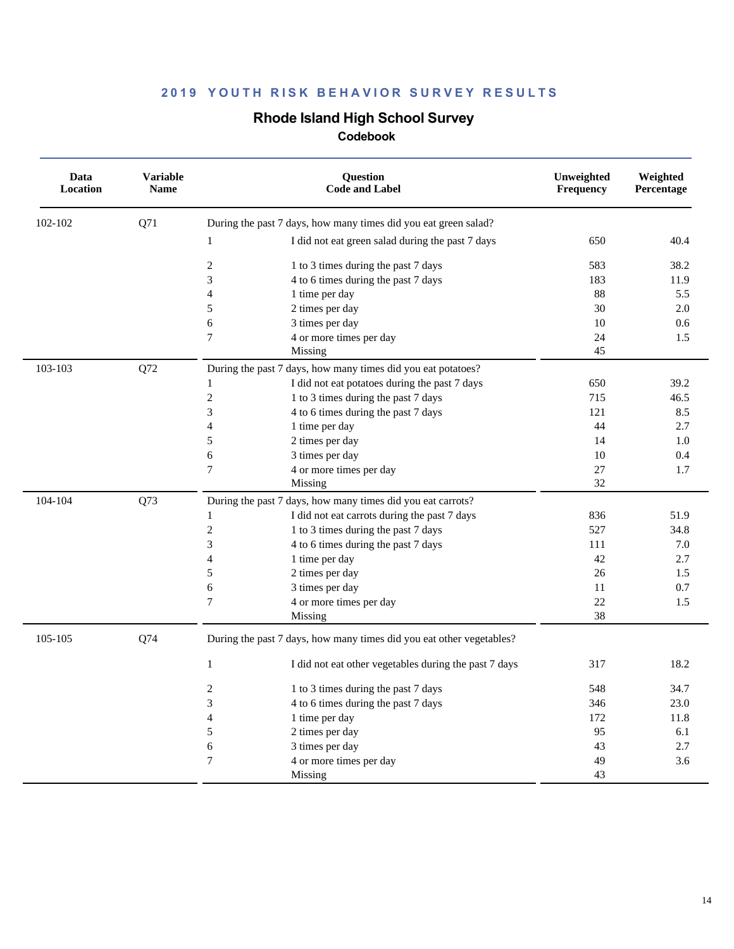### **Rhode Island High School Survey**

| Data<br>Location | <b>Variable</b><br><b>Name</b> | <b>Ouestion</b><br><b>Code and Label</b>                              | Unweighted<br>Frequency | Weighted<br>Percentage |
|------------------|--------------------------------|-----------------------------------------------------------------------|-------------------------|------------------------|
| 102-102          | Q71                            | During the past 7 days, how many times did you eat green salad?       |                         |                        |
|                  |                                | I did not eat green salad during the past 7 days<br>$\mathbf{1}$      | 650                     | 40.4                   |
|                  |                                | $\boldsymbol{2}$<br>1 to 3 times during the past 7 days               | 583                     | 38.2                   |
|                  |                                | 3<br>4 to 6 times during the past 7 days                              | 183                     | 11.9                   |
|                  |                                | $\overline{4}$<br>1 time per day                                      | 88                      | 5.5                    |
|                  |                                | 5<br>2 times per day                                                  | 30                      | 2.0                    |
|                  |                                | 6<br>3 times per day                                                  | 10                      | 0.6                    |
|                  |                                | $\tau$<br>4 or more times per day                                     | 24                      | 1.5                    |
|                  |                                | Missing                                                               | 45                      |                        |
| 103-103          | Q72                            | During the past 7 days, how many times did you eat potatoes?          |                         |                        |
|                  |                                | I did not eat potatoes during the past 7 days<br>$\mathbf{1}$         | 650                     | 39.2                   |
|                  |                                | $\overline{c}$<br>1 to 3 times during the past 7 days                 | 715                     | 46.5                   |
|                  |                                | 3<br>4 to 6 times during the past 7 days                              | 121                     | 8.5                    |
|                  |                                | $\overline{4}$<br>1 time per day                                      | 44                      | 2.7                    |
|                  |                                | 5<br>2 times per day                                                  | 14                      | 1.0                    |
|                  |                                | 6<br>3 times per day                                                  | 10                      | 0.4                    |
|                  |                                | $\overline{7}$<br>4 or more times per day                             | 27                      | 1.7                    |
|                  |                                | Missing                                                               | 32                      |                        |
| 104-104          | Q73                            | During the past 7 days, how many times did you eat carrots?           |                         |                        |
|                  |                                | I did not eat carrots during the past 7 days<br>$\mathbf{1}$          | 836                     | 51.9                   |
|                  |                                | $\overline{c}$<br>1 to 3 times during the past 7 days                 | 527                     | 34.8                   |
|                  |                                | 3<br>4 to 6 times during the past 7 days                              | 111                     | 7.0                    |
|                  |                                | $\overline{4}$<br>1 time per day                                      | 42                      | 2.7                    |
|                  |                                | 5<br>2 times per day                                                  | 26                      | 1.5                    |
|                  |                                | 6<br>3 times per day                                                  | 11                      | 0.7                    |
|                  |                                | $\tau$<br>4 or more times per day                                     | 22                      | 1.5                    |
|                  |                                | Missing                                                               | 38                      |                        |
| 105-105          | Q74                            | During the past 7 days, how many times did you eat other vegetables?  |                         |                        |
|                  |                                | $\mathbf{1}$<br>I did not eat other vegetables during the past 7 days | 317                     | 18.2                   |
|                  |                                | 2<br>1 to 3 times during the past 7 days                              | 548                     | 34.7                   |
|                  |                                | 3<br>4 to 6 times during the past 7 days                              | 346                     | 23.0                   |
|                  |                                | $\overline{4}$<br>1 time per day                                      | 172                     | 11.8                   |
|                  |                                | 5<br>2 times per day                                                  | 95                      | 6.1                    |
|                  |                                | 6<br>3 times per day                                                  | 43                      | 2.7                    |
|                  |                                | $\overline{7}$<br>4 or more times per day                             | 49                      | 3.6                    |
|                  |                                | Missing                                                               | 43                      |                        |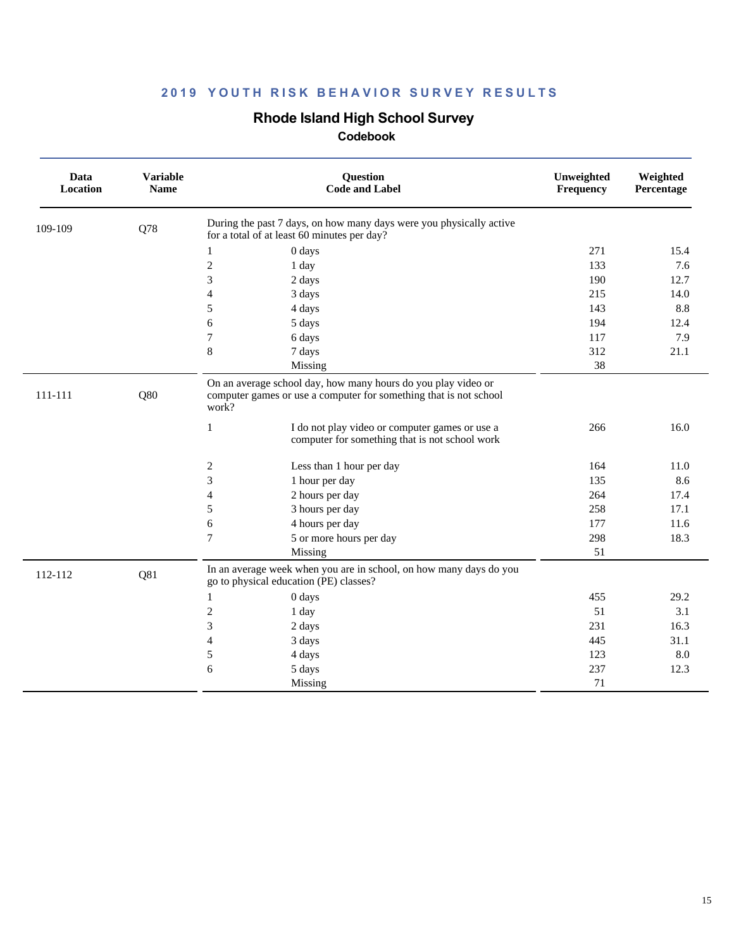### **Rhode Island High School Survey**

| Data<br>Location | <b>Variable</b><br><b>Name</b> | <b>Question</b><br><b>Code and Label</b>                                                                                                                                                       | Unweighted<br>Frequency | Weighted<br>Percentage |
|------------------|--------------------------------|------------------------------------------------------------------------------------------------------------------------------------------------------------------------------------------------|-------------------------|------------------------|
| 109-109          | Q78                            | During the past 7 days, on how many days were you physically active<br>for a total of at least 60 minutes per day?                                                                             |                         |                        |
|                  |                                | 0 days<br>1                                                                                                                                                                                    | 271                     | 15.4                   |
|                  |                                | $\overline{c}$<br>1 day                                                                                                                                                                        | 133                     | 7.6                    |
|                  |                                | 3<br>2 days                                                                                                                                                                                    | 190                     | 12.7                   |
|                  |                                | 4<br>3 days                                                                                                                                                                                    | 215                     | 14.0                   |
|                  |                                | 5<br>4 days                                                                                                                                                                                    | 143                     | 8.8                    |
|                  |                                | 6<br>5 days                                                                                                                                                                                    | 194                     | 12.4                   |
|                  |                                | $\tau$<br>6 days                                                                                                                                                                               | 117                     | 7.9                    |
|                  |                                | 8<br>7 days                                                                                                                                                                                    | 312                     | 21.1                   |
|                  |                                | Missing                                                                                                                                                                                        | 38                      |                        |
| 111-111          | Q80                            | computer games or use a computer for something that is not school<br>work?<br>$\mathbf{1}$<br>I do not play video or computer games or use a<br>computer for something that is not school work | 266                     | 16.0                   |
|                  |                                | 2<br>Less than 1 hour per day                                                                                                                                                                  | 164                     | 11.0                   |
|                  |                                | 3<br>1 hour per day                                                                                                                                                                            | 135                     | 8.6                    |
|                  |                                | $\overline{4}$<br>2 hours per day                                                                                                                                                              | 264                     | 17.4                   |
|                  |                                | 5<br>3 hours per day                                                                                                                                                                           | 258                     | 17.1                   |
|                  |                                | 6<br>4 hours per day                                                                                                                                                                           | 177                     | 11.6                   |
|                  |                                | $\tau$<br>5 or more hours per day                                                                                                                                                              | 298                     | 18.3                   |
|                  |                                | Missing                                                                                                                                                                                        | 51                      |                        |
| 112-112          | Q81                            | In an average week when you are in school, on how many days do you<br>go to physical education (PE) classes?                                                                                   |                         |                        |
|                  |                                | 0 days<br>1                                                                                                                                                                                    | 455                     | 29.2                   |
|                  |                                | $\overline{c}$<br>1 day                                                                                                                                                                        | 51                      | 3.1                    |
|                  |                                | 3<br>2 days                                                                                                                                                                                    | 231                     | 16.3                   |
|                  |                                | 3 days<br>4                                                                                                                                                                                    | 445                     | 31.1                   |
|                  |                                | 5<br>4 days                                                                                                                                                                                    | 123                     | 8.0                    |
|                  |                                | 6<br>5 days                                                                                                                                                                                    | 237                     | 12.3                   |
|                  |                                | Missing                                                                                                                                                                                        | 71                      |                        |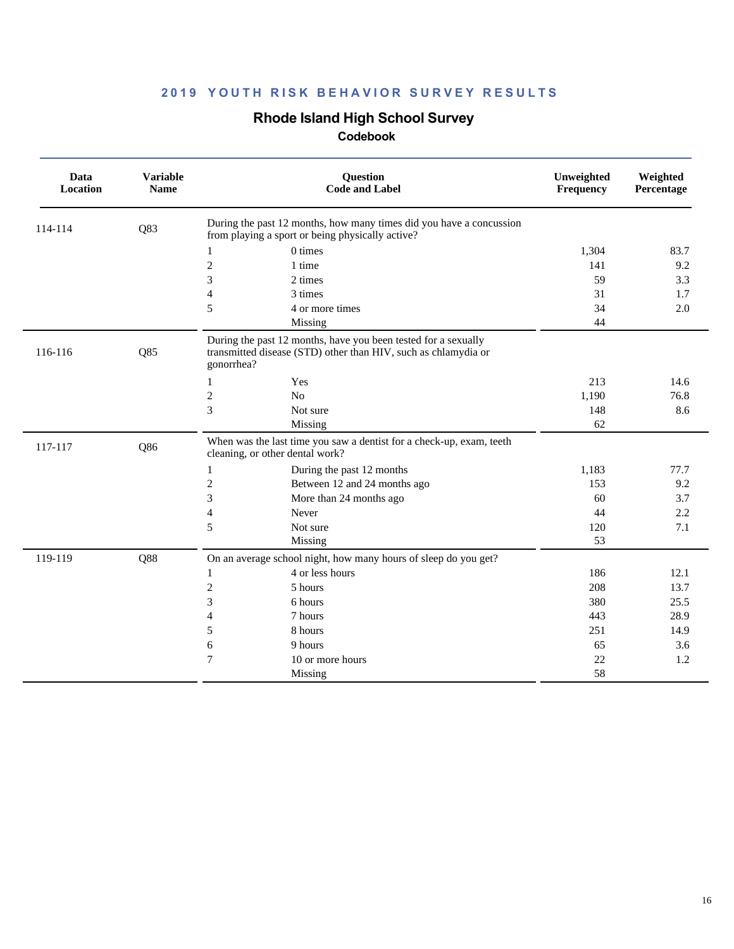# **Rhode Island High School Survey**

| Data<br>Location | <b>Variable</b><br><b>Name</b> | Question<br><b>Code and Label</b>                                                                                                              | Unweighted<br>Frequency | Weighted<br>Percentage |
|------------------|--------------------------------|------------------------------------------------------------------------------------------------------------------------------------------------|-------------------------|------------------------|
| 114-114          | Q83                            | During the past 12 months, how many times did you have a concussion<br>from playing a sport or being physically active?                        |                         |                        |
|                  |                                | 0 times<br>1                                                                                                                                   | 1,304                   | 83.7                   |
|                  |                                | $\mathfrak{2}$<br>1 time                                                                                                                       | 141                     | 9.2                    |
|                  |                                | 3<br>2 times                                                                                                                                   | 59                      | 3.3                    |
|                  |                                | $\overline{4}$<br>3 times                                                                                                                      | 31                      | 1.7                    |
|                  |                                | 5<br>4 or more times                                                                                                                           | 34                      | 2.0                    |
|                  |                                | Missing                                                                                                                                        | 44                      |                        |
| 116-116          | Q85                            | During the past 12 months, have you been tested for a sexually<br>transmitted disease (STD) other than HIV, such as chlamydia or<br>gonorrhea? |                         |                        |
|                  |                                | Yes<br>1                                                                                                                                       | 213                     | 14.6                   |
|                  |                                | $\overline{c}$<br>No                                                                                                                           | 1,190                   | 76.8                   |
|                  |                                | 3<br>Not sure                                                                                                                                  | 148                     | 8.6                    |
|                  |                                | Missing                                                                                                                                        | 62                      |                        |
| 117-117          | Q86                            | When was the last time you saw a dentist for a check-up, exam, teeth<br>cleaning, or other dental work?                                        |                         |                        |
|                  |                                | During the past 12 months<br>1                                                                                                                 | 1,183                   | 77.7                   |
|                  |                                | $\mathfrak{2}$<br>Between 12 and 24 months ago                                                                                                 | 153                     | 9.2                    |
|                  |                                | 3<br>More than 24 months ago                                                                                                                   | 60                      | 3.7                    |
|                  |                                | 4<br>Never                                                                                                                                     | 44                      | 2.2                    |
|                  |                                | 5<br>Not sure                                                                                                                                  | 120                     | 7.1                    |
|                  |                                | Missing                                                                                                                                        | 53                      |                        |
| 119-119          | Q88                            | On an average school night, how many hours of sleep do you get?                                                                                |                         |                        |
|                  |                                | 4 or less hours<br>1                                                                                                                           | 186                     | 12.1                   |
|                  |                                | $\mathfrak{2}$<br>5 hours                                                                                                                      | 208                     | 13.7                   |
|                  |                                | 3<br>6 hours                                                                                                                                   | 380                     | 25.5                   |
|                  |                                | $\overline{4}$<br>7 hours                                                                                                                      | 443                     | 28.9                   |
|                  |                                | 5<br>8 hours                                                                                                                                   | 251                     | 14.9                   |
|                  |                                | 6<br>9 hours                                                                                                                                   | 65                      | 3.6                    |
|                  |                                | $\tau$<br>10 or more hours                                                                                                                     | 22                      | 1.2                    |
|                  |                                | Missing                                                                                                                                        | 58                      |                        |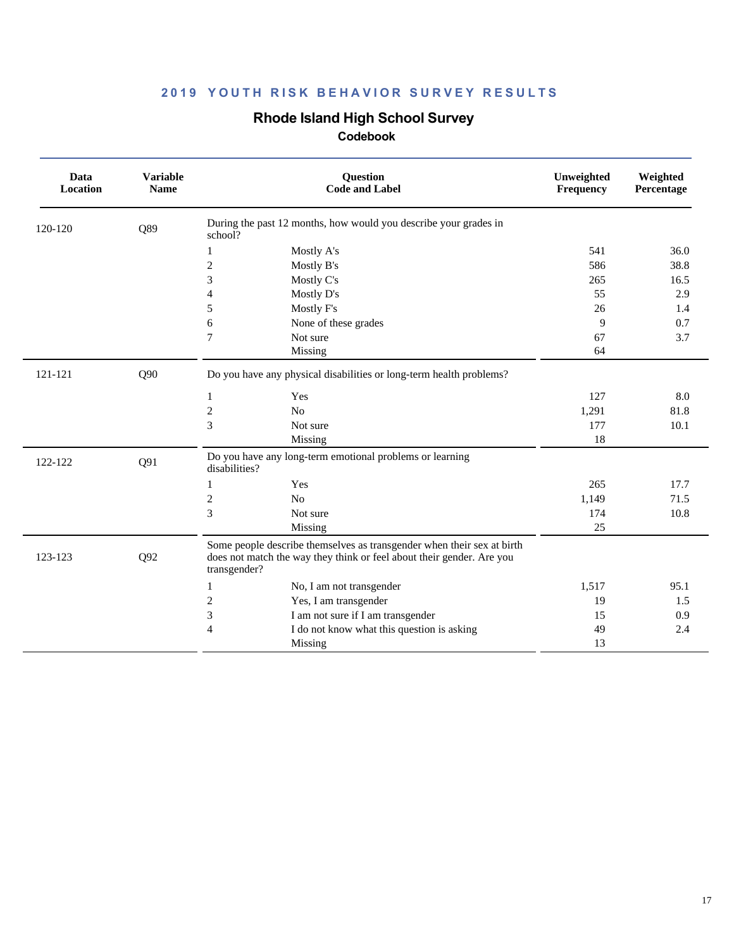## **Rhode Island High School Survey**

| Data<br>Location | <b>Variable</b><br><b>Name</b> | <b>Question</b><br><b>Code and Label</b>                                                                                                                        | Unweighted<br>Frequency | Weighted<br>Percentage |
|------------------|--------------------------------|-----------------------------------------------------------------------------------------------------------------------------------------------------------------|-------------------------|------------------------|
| 120-120          | Q89                            | During the past 12 months, how would you describe your grades in<br>school?                                                                                     |                         |                        |
|                  |                                | Mostly A's<br>1                                                                                                                                                 | 541                     | 36.0                   |
|                  |                                | $\sqrt{2}$<br>Mostly B's                                                                                                                                        | 586                     | 38.8                   |
|                  |                                | 3<br>Mostly C's                                                                                                                                                 | 265                     | 16.5                   |
|                  |                                | $\overline{4}$<br>Mostly D's                                                                                                                                    | 55                      | 2.9                    |
|                  |                                | Mostly F's<br>5                                                                                                                                                 | 26                      | 1.4                    |
|                  |                                | 6<br>None of these grades                                                                                                                                       | 9                       | 0.7                    |
|                  |                                | 7<br>Not sure                                                                                                                                                   | 67                      | 3.7                    |
|                  |                                | Missing                                                                                                                                                         | 64                      |                        |
| 121-121          | Q90                            | Do you have any physical disabilities or long-term health problems?                                                                                             |                         |                        |
|                  |                                | Yes<br>1                                                                                                                                                        | 127                     | 8.0                    |
|                  |                                | $\boldsymbol{2}$<br>N <sub>o</sub>                                                                                                                              | 1,291                   | 81.8                   |
|                  |                                | 3<br>Not sure                                                                                                                                                   | 177                     | 10.1                   |
|                  |                                | Missing                                                                                                                                                         | 18                      |                        |
| 122-122          | Q91                            | Do you have any long-term emotional problems or learning<br>disabilities?                                                                                       |                         |                        |
|                  |                                | Yes<br>1                                                                                                                                                        | 265                     | 17.7                   |
|                  |                                | $\mathfrak{2}$<br>N <sub>o</sub>                                                                                                                                | 1,149                   | 71.5                   |
|                  |                                | 3<br>Not sure                                                                                                                                                   | 174                     | 10.8                   |
|                  |                                | Missing                                                                                                                                                         | 25                      |                        |
| 123-123          | Q92                            | Some people describe themselves as transgender when their sex at birth<br>does not match the way they think or feel about their gender. Are you<br>transgender? |                         |                        |
|                  |                                | No, I am not transgender<br>1                                                                                                                                   | 1,517                   | 95.1                   |
|                  |                                | Yes, I am transgender<br>$\boldsymbol{2}$                                                                                                                       | 19                      | 1.5                    |
|                  |                                | 3<br>I am not sure if I am transgender                                                                                                                          | 15                      | 0.9                    |
|                  |                                | $\overline{4}$<br>I do not know what this question is asking                                                                                                    | 49                      | 2.4                    |
|                  |                                | Missing                                                                                                                                                         | 13                      |                        |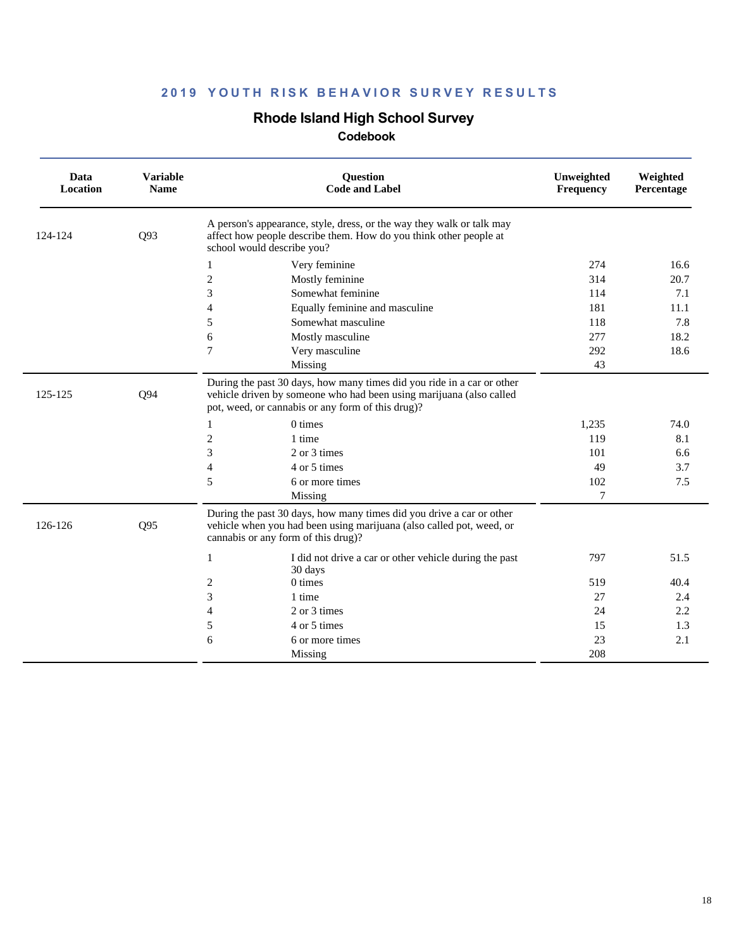## **Rhode Island High School Survey**

| Data<br>Location | <b>Variable</b><br><b>Name</b> | <b>Question</b><br><b>Code and Label</b>                                                                                                                                                           | Unweighted<br><b>Frequency</b> | Weighted<br>Percentage |
|------------------|--------------------------------|----------------------------------------------------------------------------------------------------------------------------------------------------------------------------------------------------|--------------------------------|------------------------|
| 124-124          | Q93                            | A person's appearance, style, dress, or the way they walk or talk may<br>affect how people describe them. How do you think other people at<br>school would describe you?                           |                                |                        |
|                  |                                | Very feminine<br>$\mathbf{1}$                                                                                                                                                                      | 274                            | 16.6                   |
|                  |                                | $\overline{2}$<br>Mostly feminine                                                                                                                                                                  | 314                            | 20.7                   |
|                  |                                | 3<br>Somewhat feminine                                                                                                                                                                             | 114                            | 7.1                    |
|                  |                                | $\overline{4}$<br>Equally feminine and masculine                                                                                                                                                   | 181                            | 11.1                   |
|                  |                                | Somewhat masculine<br>5                                                                                                                                                                            | 118                            | 7.8                    |
|                  |                                | 6<br>Mostly masculine                                                                                                                                                                              | 277                            | 18.2                   |
|                  |                                | Very masculine<br>7                                                                                                                                                                                | 292                            | 18.6                   |
|                  |                                | Missing                                                                                                                                                                                            | 43                             |                        |
| 125-125          | Q94                            | During the past 30 days, how many times did you ride in a car or other<br>vehicle driven by someone who had been using marijuana (also called<br>pot, weed, or cannabis or any form of this drug)? |                                |                        |
|                  |                                | 0 times<br>1                                                                                                                                                                                       | 1,235                          | 74.0                   |
|                  |                                | $\mathfrak{2}$<br>1 time                                                                                                                                                                           | 119                            | 8.1                    |
|                  |                                | 3<br>2 or 3 times                                                                                                                                                                                  | 101                            | 6.6                    |
|                  |                                | $\overline{4}$<br>4 or 5 times                                                                                                                                                                     | 49                             | 3.7                    |
|                  |                                | 5<br>6 or more times                                                                                                                                                                               | 102                            | 7.5                    |
|                  |                                | Missing                                                                                                                                                                                            | $\overline{7}$                 |                        |
| 126-126          | Q95                            | During the past 30 days, how many times did you drive a car or other<br>vehicle when you had been using marijuana (also called pot, weed, or<br>cannabis or any form of this drug)?                |                                |                        |
|                  |                                | I did not drive a car or other vehicle during the past<br>$\mathbf{1}$<br>30 days                                                                                                                  | 797                            | 51.5                   |
|                  |                                | $\overline{c}$<br>0 times                                                                                                                                                                          | 519                            | 40.4                   |
|                  |                                | 3<br>1 time                                                                                                                                                                                        | 27                             | 2.4                    |
|                  |                                | $\overline{4}$<br>2 or 3 times                                                                                                                                                                     | 24                             | 2.2                    |
|                  |                                | 5<br>4 or 5 times                                                                                                                                                                                  | 15                             | 1.3                    |
|                  |                                | 6<br>6 or more times                                                                                                                                                                               | 23                             | 2.1                    |
|                  |                                | Missing                                                                                                                                                                                            | 208                            |                        |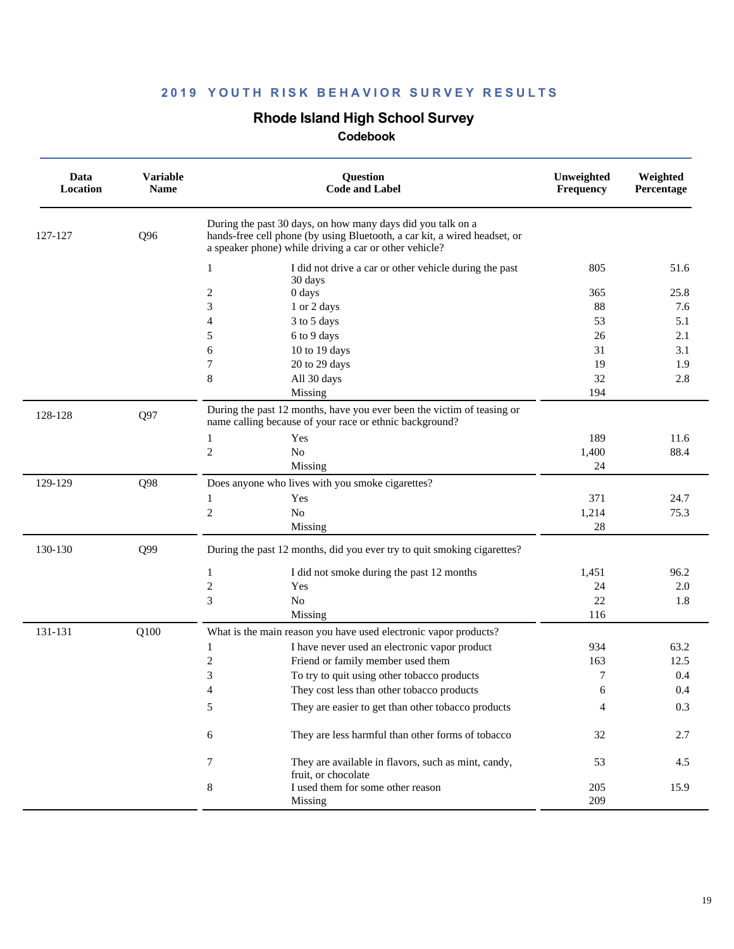### **Rhode Island High School Survey**

| Data<br>Location | <b>Variable</b><br><b>Name</b> | <b>Question</b><br><b>Code and Label</b>                                                                                                                                                           | Unweighted<br>Frequency | Weighted<br>Percentage |
|------------------|--------------------------------|----------------------------------------------------------------------------------------------------------------------------------------------------------------------------------------------------|-------------------------|------------------------|
| 127-127          | Q96                            | During the past 30 days, on how many days did you talk on a<br>hands-free cell phone (by using Bluetooth, a car kit, a wired headset, or<br>a speaker phone) while driving a car or other vehicle? |                         |                        |
|                  |                                | I did not drive a car or other vehicle during the past<br>1                                                                                                                                        | 805                     | 51.6                   |
|                  |                                | 30 days<br>2<br>0 days                                                                                                                                                                             | 365                     | 25.8                   |
|                  |                                | 3<br>1 or 2 days                                                                                                                                                                                   | 88                      | 7.6                    |
|                  |                                | 4<br>3 to 5 days                                                                                                                                                                                   | 53                      | 5.1                    |
|                  |                                | 5<br>6 to 9 days                                                                                                                                                                                   | 26                      | 2.1                    |
|                  |                                | 6<br>10 to 19 days                                                                                                                                                                                 | 31                      | 3.1                    |
|                  |                                | 7<br>20 to 29 days                                                                                                                                                                                 | 19                      | 1.9                    |
|                  |                                | 8<br>All 30 days                                                                                                                                                                                   | 32                      | 2.8                    |
|                  |                                | Missing                                                                                                                                                                                            | 194                     |                        |
| 128-128          | Q97                            | During the past 12 months, have you ever been the victim of teasing or<br>name calling because of your race or ethnic background?                                                                  |                         |                        |
|                  |                                | Yes<br>1                                                                                                                                                                                           | 189                     | 11.6                   |
|                  |                                | $\overline{c}$<br>No                                                                                                                                                                               | 1,400                   | 88.4                   |
|                  |                                | Missing                                                                                                                                                                                            | 24                      |                        |
| 129-129          | Q98                            | Does anyone who lives with you smoke cigarettes?                                                                                                                                                   |                         |                        |
|                  |                                | Yes<br>1                                                                                                                                                                                           | 371                     | 24.7                   |
|                  |                                | $\overline{c}$<br>No                                                                                                                                                                               | 1,214                   | 75.3                   |
|                  |                                | Missing                                                                                                                                                                                            | 28                      |                        |
| 130-130          | Q99                            | During the past 12 months, did you ever try to quit smoking cigarettes?                                                                                                                            |                         |                        |
|                  |                                | 1<br>I did not smoke during the past 12 months                                                                                                                                                     | 1,451                   | 96.2                   |
|                  |                                | $\sqrt{2}$<br>Yes                                                                                                                                                                                  | 24                      | 2.0                    |
|                  |                                | 3<br>N <sub>o</sub>                                                                                                                                                                                | 22                      | 1.8                    |
|                  |                                | Missing                                                                                                                                                                                            | 116                     |                        |
| 131-131          | Q100                           | What is the main reason you have used electronic vapor products?                                                                                                                                   |                         |                        |
|                  |                                | I have never used an electronic vapor product<br>1                                                                                                                                                 | 934                     | 63.2                   |
|                  |                                | 2<br>Friend or family member used them                                                                                                                                                             | 163                     | 12.5                   |
|                  |                                | 3<br>To try to quit using other tobacco products                                                                                                                                                   | 7                       | 0.4                    |
|                  |                                | 4<br>They cost less than other tobacco products                                                                                                                                                    | 6                       | 0.4                    |
|                  |                                | 5<br>They are easier to get than other tobacco products                                                                                                                                            | 4                       | 0.3                    |
|                  |                                | They are less harmful than other forms of tobacco<br>6                                                                                                                                             | 32                      | 2.7                    |
|                  |                                | They are available in flavors, such as mint, candy,<br>7<br>fruit, or chocolate                                                                                                                    | 53                      | 4.5                    |
|                  |                                | 8<br>I used them for some other reason                                                                                                                                                             | 205                     | 15.9                   |
|                  |                                | Missing                                                                                                                                                                                            | 209                     |                        |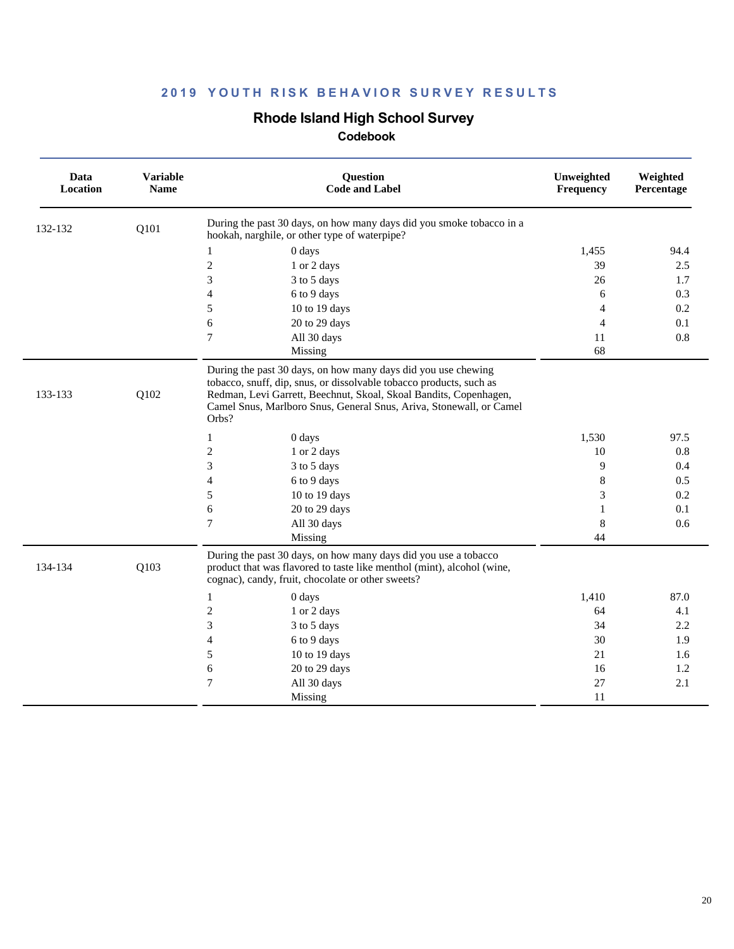## **Rhode Island High School Survey**

| Data<br><b>Location</b> | <b>Variable</b><br><b>Name</b> | Question<br><b>Code and Label</b>                                                                                                                                                                                                                                                         | Unweighted<br>Frequency  | Weighted<br>Percentage |
|-------------------------|--------------------------------|-------------------------------------------------------------------------------------------------------------------------------------------------------------------------------------------------------------------------------------------------------------------------------------------|--------------------------|------------------------|
| 132-132                 | Q101                           | During the past 30 days, on how many days did you smoke tobacco in a<br>hookah, narghile, or other type of waterpipe?                                                                                                                                                                     |                          |                        |
|                         |                                | 0 days<br>$\mathbf{1}$                                                                                                                                                                                                                                                                    | 1,455                    | 94.4                   |
|                         |                                | $\overline{c}$<br>1 or 2 days                                                                                                                                                                                                                                                             | 39                       | 2.5                    |
|                         |                                | 3<br>3 to 5 days                                                                                                                                                                                                                                                                          | 26                       | 1.7                    |
|                         |                                | $\overline{\mathcal{L}}$<br>6 to 9 days                                                                                                                                                                                                                                                   | 6                        | 0.3                    |
|                         |                                | 5<br>10 to 19 days                                                                                                                                                                                                                                                                        | 4                        | 0.2                    |
|                         |                                | 6<br>20 to 29 days                                                                                                                                                                                                                                                                        | $\overline{\mathcal{A}}$ | 0.1                    |
|                         |                                | $\overline{7}$<br>All 30 days                                                                                                                                                                                                                                                             | 11                       | 0.8                    |
|                         |                                | Missing                                                                                                                                                                                                                                                                                   | 68                       |                        |
| 133-133                 | Q102                           | During the past 30 days, on how many days did you use chewing<br>tobacco, snuff, dip, snus, or dissolvable tobacco products, such as<br>Redman, Levi Garrett, Beechnut, Skoal, Skoal Bandits, Copenhagen,<br>Camel Snus, Marlboro Snus, General Snus, Ariva, Stonewall, or Camel<br>Orbs? |                          |                        |
|                         |                                | 0 days<br>1                                                                                                                                                                                                                                                                               | 1,530                    | 97.5                   |
|                         |                                | $\overline{c}$<br>1 or 2 days                                                                                                                                                                                                                                                             | 10                       | 0.8                    |
|                         |                                | 3<br>3 to 5 days                                                                                                                                                                                                                                                                          | 9                        | 0.4                    |
|                         |                                | $\overline{4}$<br>6 to 9 days                                                                                                                                                                                                                                                             | 8                        | 0.5                    |
|                         |                                | 5<br>10 to 19 days                                                                                                                                                                                                                                                                        | 3                        | 0.2                    |
|                         |                                | 6<br>20 to 29 days                                                                                                                                                                                                                                                                        | 1                        | 0.1                    |
|                         |                                | $\tau$<br>All 30 days                                                                                                                                                                                                                                                                     | 8                        | 0.6                    |
|                         |                                | Missing                                                                                                                                                                                                                                                                                   | 44                       |                        |
| 134-134                 | Q103                           | During the past 30 days, on how many days did you use a tobacco<br>product that was flavored to taste like menthol (mint), alcohol (wine,<br>cognac), candy, fruit, chocolate or other sweets?                                                                                            |                          |                        |
|                         |                                | 0 days<br>1                                                                                                                                                                                                                                                                               | 1,410                    | 87.0                   |
|                         |                                | $\overline{c}$<br>1 or 2 days                                                                                                                                                                                                                                                             | 64                       | 4.1                    |
|                         |                                | 3<br>3 to 5 days                                                                                                                                                                                                                                                                          | 34                       | 2.2                    |
|                         |                                | $\overline{4}$<br>6 to 9 days                                                                                                                                                                                                                                                             | 30                       | 1.9                    |
|                         |                                | 5<br>10 to 19 days                                                                                                                                                                                                                                                                        | 21                       | 1.6                    |
|                         |                                | 20 to 29 days<br>6                                                                                                                                                                                                                                                                        | 16                       | 1.2                    |
|                         |                                | $\tau$<br>All 30 days                                                                                                                                                                                                                                                                     | 27                       | 2.1                    |
|                         |                                | Missing                                                                                                                                                                                                                                                                                   | 11                       |                        |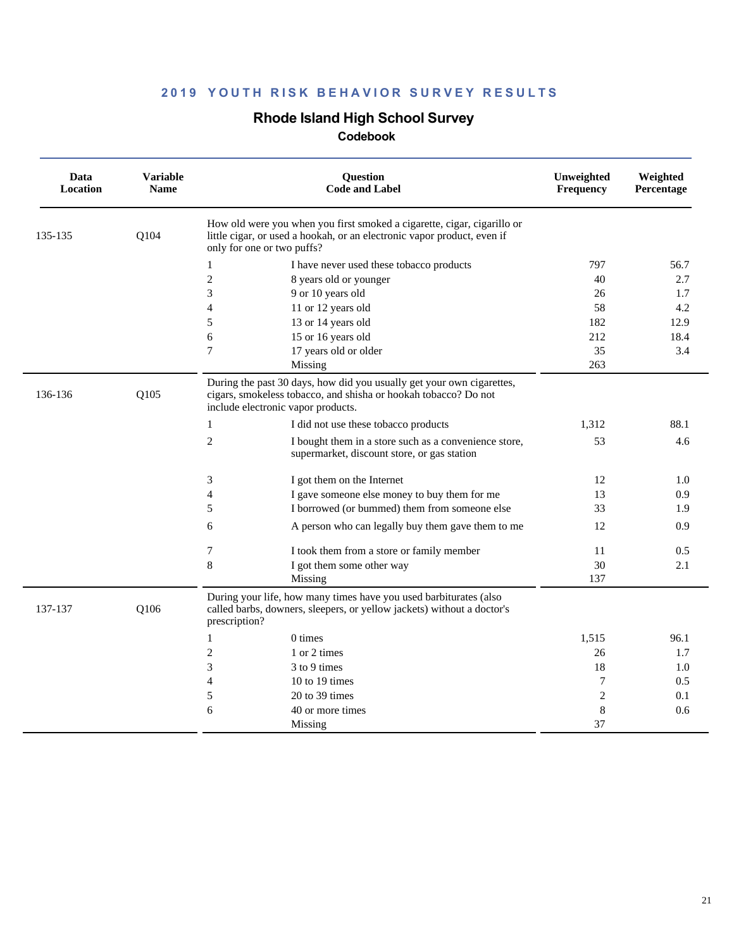### **Rhode Island High School Survey**

| Data<br>Location | <b>Variable</b><br><b>Name</b> | <b>Ouestion</b><br><b>Code and Label</b>                                                                                                                                         | Unweighted<br>Frequency | Weighted<br>Percentage |
|------------------|--------------------------------|----------------------------------------------------------------------------------------------------------------------------------------------------------------------------------|-------------------------|------------------------|
| 135-135          | Q104                           | How old were you when you first smoked a cigarette, cigar, cigarillo or<br>little cigar, or used a hookah, or an electronic vapor product, even if<br>only for one or two puffs? |                         |                        |
|                  |                                | I have never used these tobacco products<br>1                                                                                                                                    | 797                     | 56.7                   |
|                  |                                | $\mathfrak{2}$<br>8 years old or younger                                                                                                                                         | 40                      | 2.7                    |
|                  |                                | 3<br>9 or 10 years old                                                                                                                                                           | 26                      | 1.7                    |
|                  |                                | 11 or 12 years old<br>4                                                                                                                                                          | 58                      | 4.2                    |
|                  |                                | 5<br>13 or 14 years old                                                                                                                                                          | 182                     | 12.9                   |
|                  |                                | 6<br>15 or 16 years old                                                                                                                                                          | 212                     | 18.4                   |
|                  |                                | $\overline{7}$<br>17 years old or older                                                                                                                                          | 35                      | 3.4                    |
|                  |                                | Missing                                                                                                                                                                          | 263                     |                        |
| 136-136          | Q105                           | During the past 30 days, how did you usually get your own cigarettes,<br>cigars, smokeless tobacco, and shisha or hookah tobacco? Do not<br>include electronic vapor products.   |                         |                        |
|                  |                                | $\mathbf{1}$<br>I did not use these tobacco products                                                                                                                             | 1,312                   | 88.1                   |
|                  |                                | $\overline{c}$<br>I bought them in a store such as a convenience store,<br>supermarket, discount store, or gas station                                                           | 53                      | 4.6                    |
|                  |                                | 3<br>I got them on the Internet                                                                                                                                                  | 12                      | 1.0                    |
|                  |                                | 4<br>I gave someone else money to buy them for me                                                                                                                                | 13                      | 0.9                    |
|                  |                                | 5<br>I borrowed (or bummed) them from someone else                                                                                                                               | 33                      | 1.9                    |
|                  |                                | 6<br>A person who can legally buy them gave them to me                                                                                                                           | 12                      | 0.9                    |
|                  |                                | 7<br>I took them from a store or family member                                                                                                                                   | 11                      | 0.5                    |
|                  |                                | 8<br>I got them some other way                                                                                                                                                   | 30                      | 2.1                    |
|                  |                                | Missing                                                                                                                                                                          | 137                     |                        |
| 137-137          | Q106                           | During your life, how many times have you used barbiturates (also<br>called barbs, downers, sleepers, or yellow jackets) without a doctor's<br>prescription?                     |                         |                        |
|                  |                                | 1<br>0 times                                                                                                                                                                     | 1,515                   | 96.1                   |
|                  |                                | 2<br>1 or 2 times                                                                                                                                                                | 26                      | 1.7                    |
|                  |                                | 3<br>3 to 9 times                                                                                                                                                                | 18                      | 1.0                    |
|                  |                                | 4<br>10 to 19 times                                                                                                                                                              | 7                       | 0.5                    |
|                  |                                | 5<br>20 to 39 times                                                                                                                                                              | $\overline{2}$          | 0.1                    |
|                  |                                | 6<br>40 or more times                                                                                                                                                            | 8                       | 0.6                    |
|                  |                                | Missing                                                                                                                                                                          | 37                      |                        |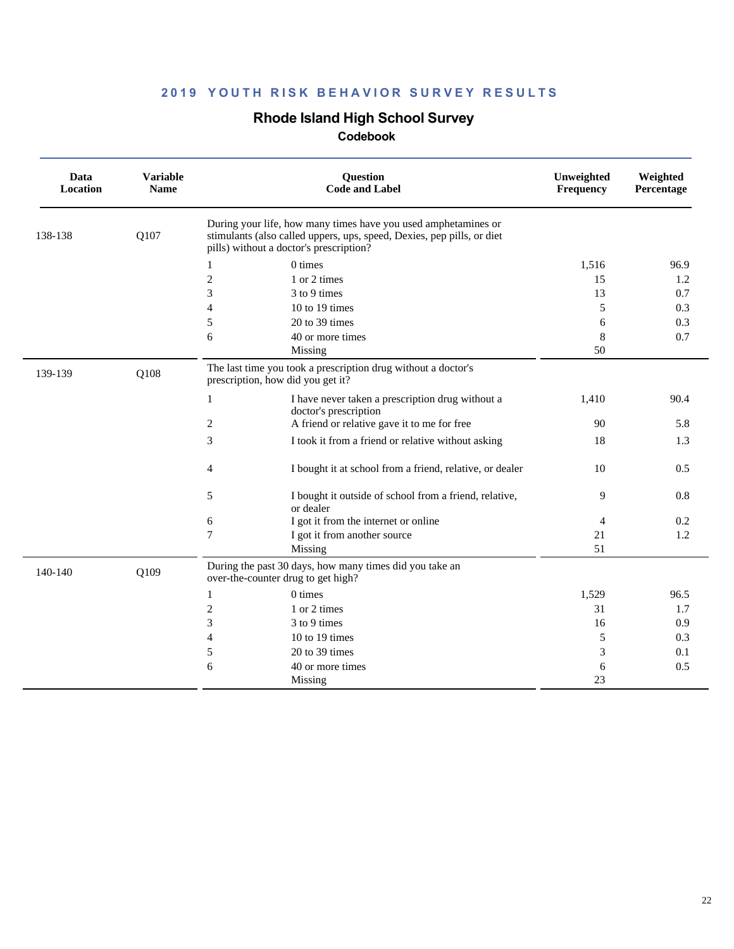### **Rhode Island High School Survey**

| Data<br>Location | <b>Variable</b><br><b>Name</b> | Question<br><b>Code and Label</b>                                                                                                                                                   | Unweighted<br>Frequency | Weighted<br>Percentage |
|------------------|--------------------------------|-------------------------------------------------------------------------------------------------------------------------------------------------------------------------------------|-------------------------|------------------------|
| 138-138          | Q107                           | During your life, how many times have you used amphetamines or<br>stimulants (also called uppers, ups, speed, Dexies, pep pills, or diet<br>pills) without a doctor's prescription? |                         |                        |
|                  |                                | $0 \times$<br>1                                                                                                                                                                     | 1,516                   | 96.9                   |
|                  |                                | $\overline{c}$<br>1 or 2 times                                                                                                                                                      | 15                      | 1.2                    |
|                  |                                | 3<br>3 to 9 times                                                                                                                                                                   | 13                      | 0.7                    |
|                  |                                | 4<br>10 to 19 times                                                                                                                                                                 | 5                       | 0.3                    |
|                  |                                | 5<br>$20$ to 39 times                                                                                                                                                               | 6                       | 0.3                    |
|                  |                                | 6<br>40 or more times                                                                                                                                                               | 8                       | 0.7                    |
|                  |                                | Missing                                                                                                                                                                             | 50                      |                        |
| 139-139          | Q108                           | The last time you took a prescription drug without a doctor's<br>prescription, how did you get it?                                                                                  |                         |                        |
|                  |                                | I have never taken a prescription drug without a<br>$\mathbf{1}$<br>doctor's prescription                                                                                           | 1,410                   | 90.4                   |
|                  |                                | A friend or relative gave it to me for free<br>2                                                                                                                                    | 90                      | 5.8                    |
|                  |                                | 3<br>I took it from a friend or relative without asking                                                                                                                             | 18                      | 1.3                    |
|                  |                                | I bought it at school from a friend, relative, or dealer<br>4                                                                                                                       | 10                      | 0.5                    |
|                  |                                | I bought it outside of school from a friend, relative,<br>5<br>or dealer                                                                                                            | 9                       | 0.8                    |
|                  |                                | I got it from the internet or online<br>6                                                                                                                                           | 4                       | 0.2                    |
|                  |                                | 7<br>I got it from another source                                                                                                                                                   | 21                      | 1.2                    |
|                  |                                | Missing                                                                                                                                                                             | 51                      |                        |
| 140-140          | Q109                           | During the past 30 days, how many times did you take an<br>over-the-counter drug to get high?                                                                                       |                         |                        |
|                  |                                | 0 times<br>1                                                                                                                                                                        | 1,529                   | 96.5                   |
|                  |                                | $\overline{c}$<br>1 or 2 times                                                                                                                                                      | 31                      | 1.7                    |
|                  |                                | 3<br>3 to 9 times                                                                                                                                                                   | 16                      | 0.9                    |
|                  |                                | 4<br>10 to 19 times                                                                                                                                                                 | 5                       | 0.3                    |
|                  |                                | 5<br>20 to 39 times                                                                                                                                                                 | 3                       | 0.1                    |
|                  |                                | 6<br>40 or more times                                                                                                                                                               | 6                       | 0.5                    |
|                  |                                | Missing                                                                                                                                                                             | 23                      |                        |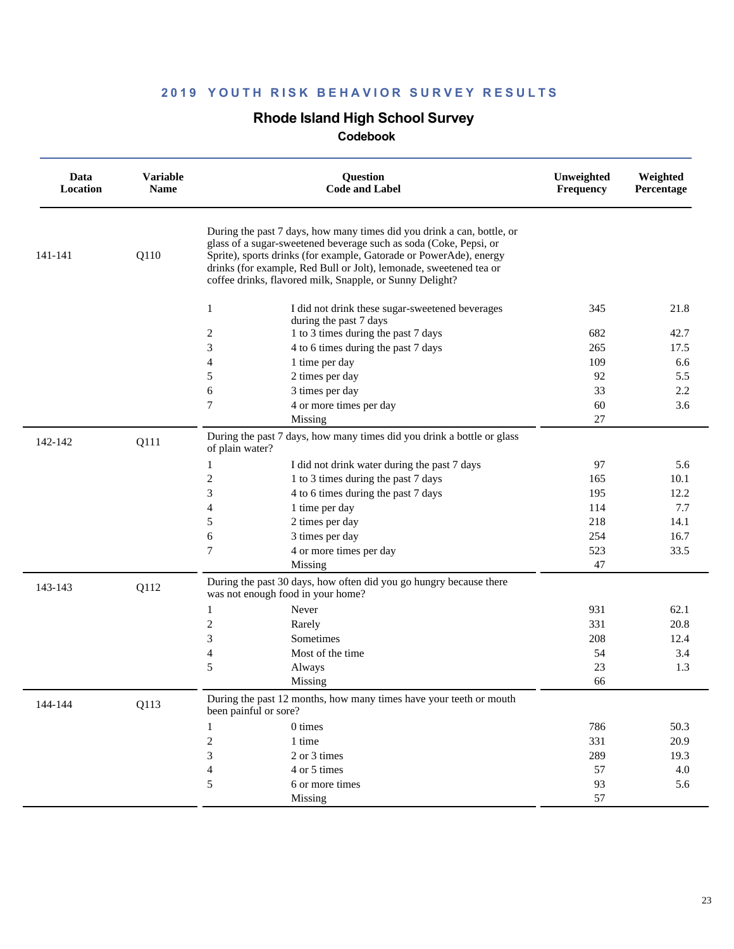### **Rhode Island High School Survey**

| Data<br>Location | <b>Variable</b><br><b>Name</b> | <b>Question</b><br><b>Code and Label</b>                                                                                                                                                                                                                                                                                                            | Unweighted<br>Frequency | Weighted<br>Percentage |
|------------------|--------------------------------|-----------------------------------------------------------------------------------------------------------------------------------------------------------------------------------------------------------------------------------------------------------------------------------------------------------------------------------------------------|-------------------------|------------------------|
| 141-141          | Q110                           | During the past 7 days, how many times did you drink a can, bottle, or<br>glass of a sugar-sweetened beverage such as soda (Coke, Pepsi, or<br>Sprite), sports drinks (for example, Gatorade or PowerAde), energy<br>drinks (for example, Red Bull or Jolt), lemonade, sweetened tea or<br>coffee drinks, flavored milk, Snapple, or Sunny Delight? |                         |                        |
|                  |                                | 1<br>I did not drink these sugar-sweetened beverages                                                                                                                                                                                                                                                                                                | 345                     | 21.8                   |
|                  |                                | during the past 7 days                                                                                                                                                                                                                                                                                                                              |                         |                        |
|                  |                                | 1 to 3 times during the past 7 days<br>$\boldsymbol{2}$                                                                                                                                                                                                                                                                                             | 682                     | 42.7                   |
|                  |                                | 3<br>4 to 6 times during the past 7 days                                                                                                                                                                                                                                                                                                            | 265                     | 17.5                   |
|                  |                                | 4<br>1 time per day<br>2 times per day<br>5                                                                                                                                                                                                                                                                                                         | 109<br>92               | 6.6<br>5.5             |
|                  |                                | 3 times per day<br>6                                                                                                                                                                                                                                                                                                                                | 33                      | 2.2                    |
|                  |                                | 7<br>4 or more times per day                                                                                                                                                                                                                                                                                                                        | 60                      | 3.6                    |
|                  |                                | Missing                                                                                                                                                                                                                                                                                                                                             | 27                      |                        |
| 142-142          | Q111                           | During the past 7 days, how many times did you drink a bottle or glass<br>of plain water?                                                                                                                                                                                                                                                           |                         |                        |
|                  |                                | I did not drink water during the past 7 days<br>1                                                                                                                                                                                                                                                                                                   | 97                      | 5.6                    |
|                  |                                | 2<br>1 to 3 times during the past 7 days                                                                                                                                                                                                                                                                                                            | 165                     | 10.1                   |
|                  |                                | 3<br>4 to 6 times during the past 7 days                                                                                                                                                                                                                                                                                                            | 195                     | 12.2                   |
|                  |                                | $\overline{4}$<br>1 time per day                                                                                                                                                                                                                                                                                                                    | 114                     | 7.7                    |
|                  |                                | 5<br>2 times per day                                                                                                                                                                                                                                                                                                                                | 218                     | 14.1                   |
|                  |                                | 6<br>3 times per day                                                                                                                                                                                                                                                                                                                                | 254                     | 16.7                   |
|                  |                                | $\tau$<br>4 or more times per day                                                                                                                                                                                                                                                                                                                   | 523                     | 33.5                   |
|                  |                                | Missing                                                                                                                                                                                                                                                                                                                                             | 47                      |                        |
| 143-143          | Q112                           | During the past 30 days, how often did you go hungry because there<br>was not enough food in your home?                                                                                                                                                                                                                                             |                         |                        |
|                  |                                | Never<br>1                                                                                                                                                                                                                                                                                                                                          | 931                     | 62.1                   |
|                  |                                | $\mathbf{2}$<br>Rarely                                                                                                                                                                                                                                                                                                                              | 331                     | 20.8                   |
|                  |                                | 3<br>Sometimes                                                                                                                                                                                                                                                                                                                                      | 208                     | 12.4                   |
|                  |                                | $\overline{4}$<br>Most of the time                                                                                                                                                                                                                                                                                                                  | 54                      | 3.4                    |
|                  |                                | 5<br>Always                                                                                                                                                                                                                                                                                                                                         | 23                      | 1.3                    |
|                  |                                | Missing                                                                                                                                                                                                                                                                                                                                             | 66                      |                        |
| 144-144          | Q113                           | During the past 12 months, how many times have your teeth or mouth<br>been painful or sore?                                                                                                                                                                                                                                                         |                         |                        |
|                  |                                | 0 times<br>1                                                                                                                                                                                                                                                                                                                                        | 786                     | 50.3                   |
|                  |                                | $\mathbf{2}$<br>1 time                                                                                                                                                                                                                                                                                                                              | 331                     | 20.9                   |
|                  |                                | 3<br>2 or 3 times                                                                                                                                                                                                                                                                                                                                   | 289                     | 19.3                   |
|                  |                                | $\overline{4}$<br>4 or 5 times                                                                                                                                                                                                                                                                                                                      | 57                      | 4.0                    |
|                  |                                | 5<br>6 or more times                                                                                                                                                                                                                                                                                                                                | 93                      | 5.6                    |
|                  |                                | Missing                                                                                                                                                                                                                                                                                                                                             | 57                      |                        |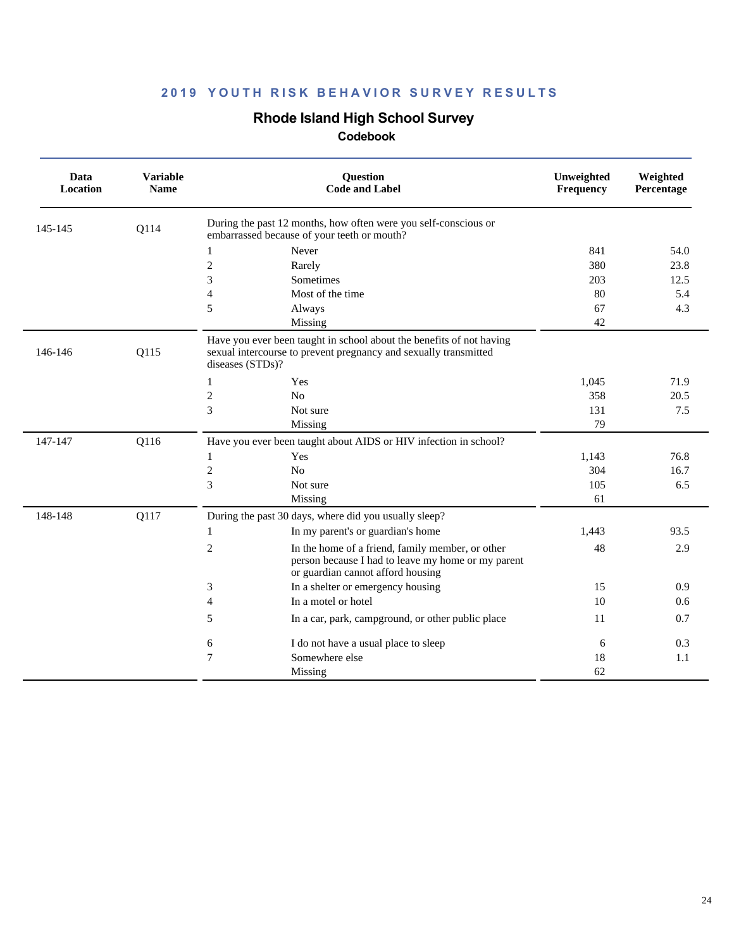## **Rhode Island High School Survey**

| Data<br><b>Location</b> | <b>Variable</b><br><b>Name</b> | Question<br><b>Code and Label</b>                                                                                                                            | Unweighted<br>Frequency | Weighted<br>Percentage |
|-------------------------|--------------------------------|--------------------------------------------------------------------------------------------------------------------------------------------------------------|-------------------------|------------------------|
| 145-145                 | Q114                           | During the past 12 months, how often were you self-conscious or<br>embarrassed because of your teeth or mouth?                                               |                         |                        |
|                         |                                | Never<br>1                                                                                                                                                   | 841                     | 54.0                   |
|                         |                                | $\overline{c}$<br>Rarely                                                                                                                                     | 380                     | 23.8                   |
|                         |                                | 3<br>Sometimes                                                                                                                                               | 203                     | 12.5                   |
|                         |                                | 4<br>Most of the time                                                                                                                                        | 80                      | 5.4                    |
|                         |                                | 5<br>Always                                                                                                                                                  | 67                      | 4.3                    |
|                         |                                | Missing                                                                                                                                                      | 42                      |                        |
| 146-146                 | Q115                           | Have you ever been taught in school about the benefits of not having<br>sexual intercourse to prevent pregnancy and sexually transmitted<br>diseases (STDs)? |                         |                        |
|                         |                                | Yes<br>1                                                                                                                                                     | 1,045                   | 71.9                   |
|                         |                                | $\overline{c}$<br>No                                                                                                                                         | 358                     | 20.5                   |
|                         |                                | 3<br>Not sure                                                                                                                                                | 131                     | 7.5                    |
|                         |                                | Missing                                                                                                                                                      | 79                      |                        |
| 147-147                 | Q116                           | Have you ever been taught about AIDS or HIV infection in school?                                                                                             |                         |                        |
|                         |                                | Yes<br>1                                                                                                                                                     | 1,143                   | 76.8                   |
|                         |                                | $\overline{c}$<br>No                                                                                                                                         | 304                     | 16.7                   |
|                         |                                | 3<br>Not sure                                                                                                                                                | 105                     | 6.5                    |
|                         |                                | Missing                                                                                                                                                      | 61                      |                        |
| 148-148                 | Q117                           | During the past 30 days, where did you usually sleep?                                                                                                        |                         |                        |
|                         |                                | In my parent's or guardian's home<br>1                                                                                                                       | 1,443                   | 93.5                   |
|                         |                                | 2<br>In the home of a friend, family member, or other<br>person because I had to leave my home or my parent<br>or guardian cannot afford housing             | 48                      | 2.9                    |
|                         |                                | In a shelter or emergency housing<br>3                                                                                                                       | 15                      | 0.9                    |
|                         |                                | 4<br>In a motel or hotel                                                                                                                                     | 10                      | 0.6                    |
|                         |                                | 5<br>In a car, park, campground, or other public place                                                                                                       | 11                      | 0.7                    |
|                         |                                | 6<br>I do not have a usual place to sleep                                                                                                                    | 6                       | 0.3                    |
|                         |                                | 7<br>Somewhere else                                                                                                                                          | 18                      | 1.1                    |
|                         |                                | Missing                                                                                                                                                      | 62                      |                        |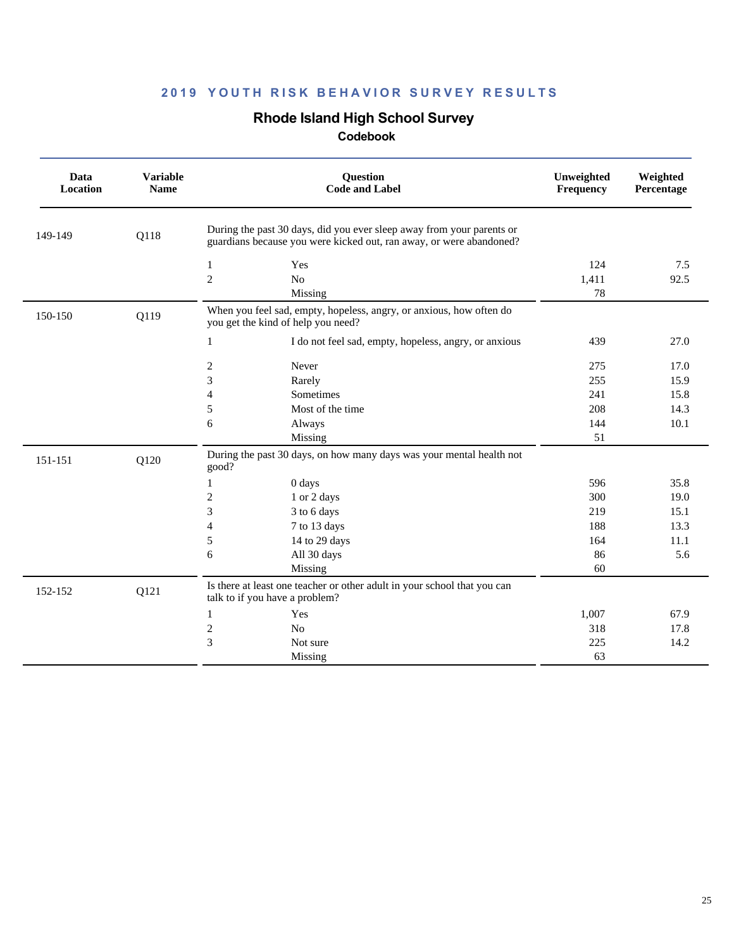## **Rhode Island High School Survey**

| Data<br>Location | <b>Variable</b><br><b>Name</b> | <b>Question</b><br><b>Code and Label</b>                                                                                                     | Unweighted<br><b>Frequency</b> | Weighted<br>Percentage |
|------------------|--------------------------------|----------------------------------------------------------------------------------------------------------------------------------------------|--------------------------------|------------------------|
| 149-149          | Q118                           | During the past 30 days, did you ever sleep away from your parents or<br>guardians because you were kicked out, ran away, or were abandoned? |                                |                        |
|                  |                                | $\mathbf{1}$<br>Yes                                                                                                                          | 124                            | 7.5                    |
|                  |                                | $\overline{c}$<br>N <sub>o</sub>                                                                                                             | 1,411                          | 92.5                   |
|                  |                                | Missing                                                                                                                                      | 78                             |                        |
| 150-150          | Q119                           | When you feel sad, empty, hopeless, angry, or anxious, how often do<br>you get the kind of help you need?                                    |                                |                        |
|                  |                                | $\mathbf{1}$<br>I do not feel sad, empty, hopeless, angry, or anxious                                                                        | 439                            | 27.0                   |
|                  |                                | 2<br>Never                                                                                                                                   | 275                            | 17.0                   |
|                  |                                | 3<br>Rarely                                                                                                                                  | 255                            | 15.9                   |
|                  |                                | Sometimes<br>$\overline{4}$                                                                                                                  | 241                            | 15.8                   |
|                  |                                | 5<br>Most of the time                                                                                                                        | 208                            | 14.3                   |
|                  |                                | 6<br>Always                                                                                                                                  | 144                            | 10.1                   |
|                  |                                | Missing                                                                                                                                      | 51                             |                        |
| 151-151          | Q120                           | During the past 30 days, on how many days was your mental health not<br>good?                                                                |                                |                        |
|                  |                                | $\mathbf{1}$<br>0 days                                                                                                                       | 596                            | 35.8                   |
|                  |                                | $\sqrt{2}$<br>1 or 2 days                                                                                                                    | 300                            | 19.0                   |
|                  |                                | 3<br>3 to 6 days                                                                                                                             | 219                            | 15.1                   |
|                  |                                | 4<br>7 to 13 days                                                                                                                            | 188                            | 13.3                   |
|                  |                                | 5<br>14 to 29 days                                                                                                                           | 164                            | 11.1                   |
|                  |                                | 6<br>All 30 days                                                                                                                             | 86                             | 5.6                    |
|                  |                                | Missing                                                                                                                                      | 60                             |                        |
| 152-152          | Q121                           | Is there at least one teacher or other adult in your school that you can<br>talk to if you have a problem?                                   |                                |                        |
|                  |                                | $\mathbf{1}$<br>Yes                                                                                                                          | 1,007                          | 67.9                   |
|                  |                                | $\boldsymbol{2}$<br>No                                                                                                                       | 318                            | 17.8                   |
|                  |                                | 3<br>Not sure                                                                                                                                | 225                            | 14.2                   |
|                  |                                | Missing                                                                                                                                      | 63                             |                        |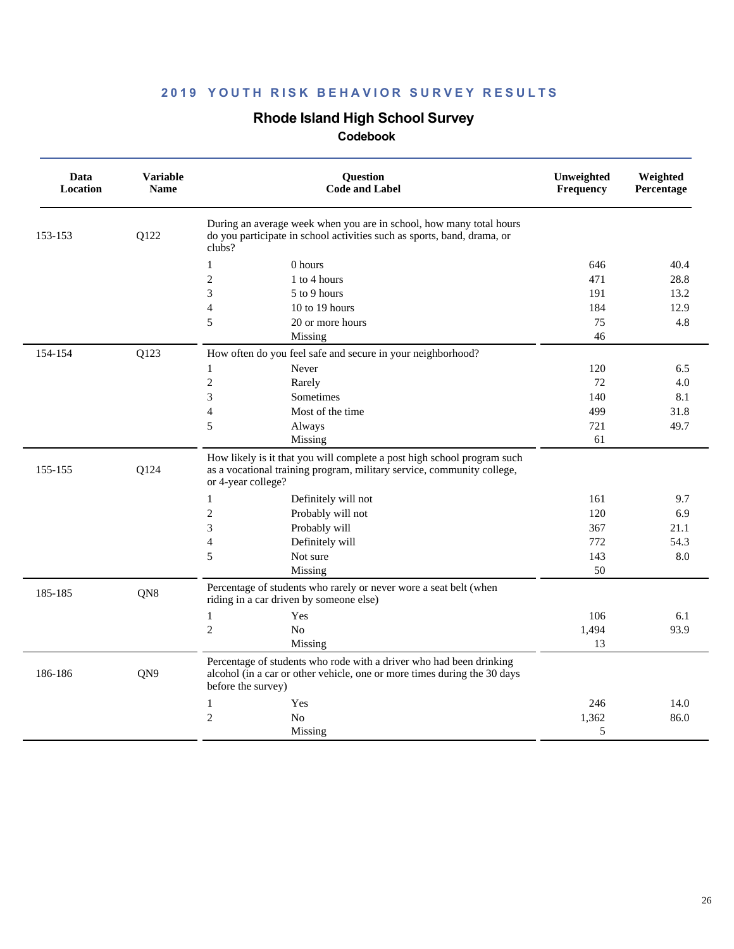## **Rhode Island High School Survey**

| Data<br>Location | <b>Variable</b><br><b>Name</b> | Question<br><b>Code and Label</b>                                                                                                                                       | Unweighted<br>Frequency | Weighted<br>Percentage |
|------------------|--------------------------------|-------------------------------------------------------------------------------------------------------------------------------------------------------------------------|-------------------------|------------------------|
| 153-153          | Q122                           | During an average week when you are in school, how many total hours<br>do you participate in school activities such as sports, band, drama, or<br>clubs?                |                         |                        |
|                  |                                | $\mathbf{1}$<br>0 hours                                                                                                                                                 | 646                     | 40.4                   |
|                  |                                | $\overline{c}$<br>1 to 4 hours                                                                                                                                          | 471                     | 28.8                   |
|                  |                                | 3<br>5 to 9 hours                                                                                                                                                       | 191                     | 13.2                   |
|                  |                                | $\overline{4}$<br>10 to 19 hours                                                                                                                                        | 184                     | 12.9                   |
|                  |                                | 5<br>20 or more hours                                                                                                                                                   | 75                      | 4.8                    |
|                  |                                | Missing                                                                                                                                                                 | 46                      |                        |
| 154-154          | Q123                           | How often do you feel safe and secure in your neighborhood?                                                                                                             |                         |                        |
|                  |                                | $\mathbf{1}$<br>Never                                                                                                                                                   | 120                     | 6.5                    |
|                  |                                | $\overline{2}$<br>Rarely                                                                                                                                                | 72                      | 4.0                    |
|                  |                                | 3<br>Sometimes                                                                                                                                                          | 140                     | 8.1                    |
|                  |                                | 4<br>Most of the time                                                                                                                                                   | 499                     | 31.8                   |
|                  |                                | 5<br>Always                                                                                                                                                             | 721                     | 49.7                   |
|                  |                                | Missing                                                                                                                                                                 | 61                      |                        |
| 155-155          | Q124                           | How likely is it that you will complete a post high school program such<br>as a vocational training program, military service, community college,<br>or 4-year college? |                         |                        |
|                  |                                | 1<br>Definitely will not                                                                                                                                                | 161                     | 9.7                    |
|                  |                                | $\overline{c}$<br>Probably will not                                                                                                                                     | 120                     | 6.9                    |
|                  |                                | 3<br>Probably will                                                                                                                                                      | 367                     | 21.1                   |
|                  |                                | 4<br>Definitely will                                                                                                                                                    | 772                     | 54.3                   |
|                  |                                | 5<br>Not sure                                                                                                                                                           | 143                     | 8.0                    |
|                  |                                | Missing                                                                                                                                                                 | 50                      |                        |
| 185-185          | QN8                            | Percentage of students who rarely or never wore a seat belt (when<br>riding in a car driven by someone else)                                                            |                         |                        |
|                  |                                | $\mathbf{1}$<br>Yes                                                                                                                                                     | 106                     | 6.1                    |
|                  |                                | $\overline{c}$<br>N <sub>o</sub>                                                                                                                                        | 1,494                   | 93.9                   |
|                  |                                | Missing                                                                                                                                                                 | 13                      |                        |
| 186-186          | QN9                            | Percentage of students who rode with a driver who had been drinking<br>alcohol (in a car or other vehicle, one or more times during the 30 days<br>before the survey)   |                         |                        |
|                  |                                | $\mathbf{1}$<br>Yes                                                                                                                                                     | 246                     | 14.0                   |
|                  |                                | $\overline{c}$<br>N <sub>o</sub>                                                                                                                                        | 1,362                   | 86.0                   |
|                  |                                | Missing                                                                                                                                                                 | 5                       |                        |
|                  |                                |                                                                                                                                                                         |                         |                        |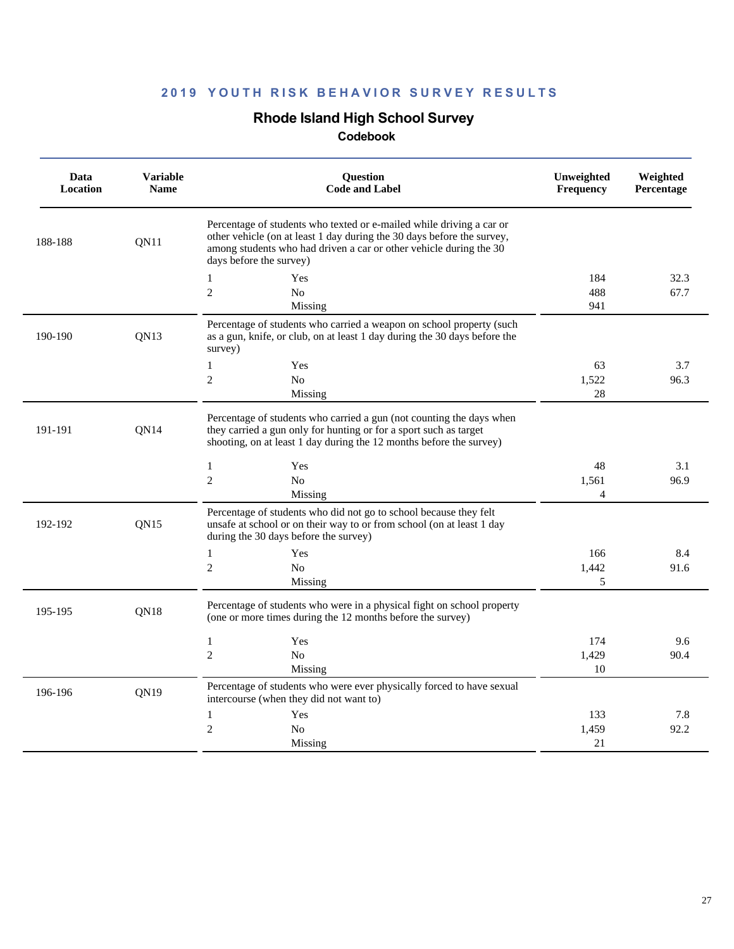## **Rhode Island High School Survey**

| Data<br>Location | <b>Variable</b><br><b>Name</b> | <b>Question</b><br><b>Code and Label</b>                                                                                                                                                                                                        | Unweighted<br>Frequency | Weighted<br>Percentage |
|------------------|--------------------------------|-------------------------------------------------------------------------------------------------------------------------------------------------------------------------------------------------------------------------------------------------|-------------------------|------------------------|
| 188-188          | ON11                           | Percentage of students who texted or e-mailed while driving a car or<br>other vehicle (on at least 1 day during the 30 days before the survey,<br>among students who had driven a car or other vehicle during the 30<br>days before the survey) |                         |                        |
|                  |                                | $\mathbf{1}$<br>Yes                                                                                                                                                                                                                             | 184                     | 32.3                   |
|                  |                                | $\overline{2}$<br>N <sub>o</sub>                                                                                                                                                                                                                | 488                     | 67.7                   |
|                  |                                | Missing                                                                                                                                                                                                                                         | 941                     |                        |
| 190-190          | QN13                           | Percentage of students who carried a weapon on school property (such<br>as a gun, knife, or club, on at least 1 day during the 30 days before the<br>survey)                                                                                    |                         |                        |
|                  |                                | 1<br>Yes                                                                                                                                                                                                                                        | 63                      | 3.7                    |
|                  |                                | $\overline{c}$<br>N <sub>0</sub>                                                                                                                                                                                                                | 1,522                   | 96.3                   |
|                  |                                | Missing                                                                                                                                                                                                                                         | 28                      |                        |
| 191-191          | QN14                           | Percentage of students who carried a gun (not counting the days when<br>they carried a gun only for hunting or for a sport such as target<br>shooting, on at least 1 day during the 12 months before the survey)                                |                         |                        |
|                  |                                | $\mathbf{1}$<br>Yes                                                                                                                                                                                                                             | 48                      | 3.1                    |
|                  |                                | $\overline{c}$<br>N <sub>0</sub>                                                                                                                                                                                                                | 1,561                   | 96.9                   |
|                  |                                | Missing                                                                                                                                                                                                                                         | 4                       |                        |
| 192-192          | QN15                           | Percentage of students who did not go to school because they felt<br>unsafe at school or on their way to or from school (on at least 1 day<br>during the 30 days before the survey)                                                             |                         |                        |
|                  |                                | 1<br>Yes                                                                                                                                                                                                                                        | 166                     | 8.4                    |
|                  |                                | $\overline{2}$<br>N <sub>o</sub>                                                                                                                                                                                                                | 1,442                   | 91.6                   |
|                  |                                | Missing                                                                                                                                                                                                                                         | 5                       |                        |
| 195-195          | QN <sub>18</sub>               | Percentage of students who were in a physical fight on school property<br>(one or more times during the 12 months before the survey)                                                                                                            |                         |                        |
|                  |                                | $\mathbf{1}$<br>Yes                                                                                                                                                                                                                             | 174                     | 9.6                    |
|                  |                                | $\overline{2}$<br>N <sub>0</sub>                                                                                                                                                                                                                | 1,429                   | 90.4                   |
|                  |                                | Missing                                                                                                                                                                                                                                         | 10                      |                        |
| 196-196          | QN19                           | Percentage of students who were ever physically forced to have sexual<br>intercourse (when they did not want to)                                                                                                                                |                         |                        |
|                  |                                | $\mathbf{1}$<br>Yes                                                                                                                                                                                                                             | 133                     | 7.8                    |
|                  |                                | $\overline{c}$<br>No                                                                                                                                                                                                                            | 1,459                   | 92.2                   |
|                  |                                | Missing                                                                                                                                                                                                                                         | 21                      |                        |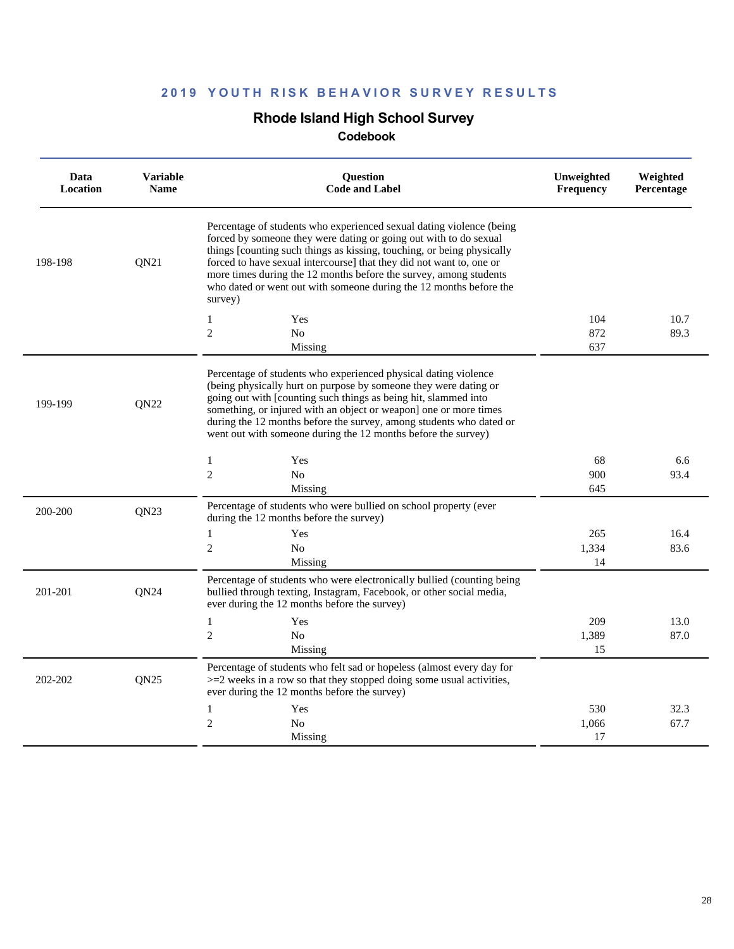## **Rhode Island High School Survey**

| Data<br>Location | <b>Variable</b><br><b>Name</b> | <b>Question</b><br><b>Code and Label</b>                                                                                                                                                                                                                                                                                                                                                                                                          | Unweighted<br><b>Frequency</b> | Weighted<br><b>Percentage</b> |
|------------------|--------------------------------|---------------------------------------------------------------------------------------------------------------------------------------------------------------------------------------------------------------------------------------------------------------------------------------------------------------------------------------------------------------------------------------------------------------------------------------------------|--------------------------------|-------------------------------|
| 198-198          | QN21                           | Percentage of students who experienced sexual dating violence (being<br>forced by someone they were dating or going out with to do sexual<br>things [counting such things as kissing, touching, or being physically<br>forced to have sexual intercourse] that they did not want to, one or<br>more times during the 12 months before the survey, among students<br>who dated or went out with someone during the 12 months before the<br>survey) |                                |                               |
|                  |                                | $\mathbf{1}$<br>Yes                                                                                                                                                                                                                                                                                                                                                                                                                               | 104                            | 10.7                          |
|                  |                                | $\overline{2}$<br>N <sub>0</sub>                                                                                                                                                                                                                                                                                                                                                                                                                  | 872                            | 89.3                          |
|                  |                                | Missing                                                                                                                                                                                                                                                                                                                                                                                                                                           | 637                            |                               |
| 199-199          | QN22                           | Percentage of students who experienced physical dating violence<br>(being physically hurt on purpose by someone they were dating or<br>going out with [counting such things as being hit, slammed into<br>something, or injured with an object or weapon] one or more times<br>during the 12 months before the survey, among students who dated or<br>went out with someone during the 12 months before the survey)                               |                                |                               |
|                  |                                | 1<br>Yes                                                                                                                                                                                                                                                                                                                                                                                                                                          | 68                             | 6.6                           |
|                  |                                | $\overline{c}$<br>No                                                                                                                                                                                                                                                                                                                                                                                                                              | 900                            | 93.4                          |
|                  |                                | Missing                                                                                                                                                                                                                                                                                                                                                                                                                                           | 645                            |                               |
| 200-200          | <b>ON23</b>                    | Percentage of students who were bullied on school property (ever<br>during the 12 months before the survey)                                                                                                                                                                                                                                                                                                                                       |                                |                               |
|                  |                                | $\mathbf{1}$<br>Yes                                                                                                                                                                                                                                                                                                                                                                                                                               | 265                            | 16.4                          |
|                  |                                | $\overline{c}$<br>N <sub>0</sub>                                                                                                                                                                                                                                                                                                                                                                                                                  | 1,334                          | 83.6                          |
|                  |                                | Missing                                                                                                                                                                                                                                                                                                                                                                                                                                           | 14                             |                               |
| 201-201          | QN24                           | Percentage of students who were electronically bullied (counting being<br>bullied through texting, Instagram, Facebook, or other social media,<br>ever during the 12 months before the survey)                                                                                                                                                                                                                                                    |                                |                               |
|                  |                                | 1<br>Yes                                                                                                                                                                                                                                                                                                                                                                                                                                          | 209                            | 13.0                          |
|                  |                                | $\overline{c}$<br>No                                                                                                                                                                                                                                                                                                                                                                                                                              | 1,389                          | 87.0                          |
|                  |                                | Missing                                                                                                                                                                                                                                                                                                                                                                                                                                           | 15                             |                               |
| 202-202          | QN25                           | Percentage of students who felt sad or hopeless (almost every day for<br>$>=$ 2 weeks in a row so that they stopped doing some usual activities,<br>ever during the 12 months before the survey)                                                                                                                                                                                                                                                  |                                |                               |
|                  |                                | $\mathbf{1}$<br>Yes                                                                                                                                                                                                                                                                                                                                                                                                                               | 530                            | 32.3                          |
|                  |                                | $\mathfrak{2}$<br>N <sub>0</sub>                                                                                                                                                                                                                                                                                                                                                                                                                  | 1,066                          | 67.7                          |
|                  |                                | Missing                                                                                                                                                                                                                                                                                                                                                                                                                                           | 17                             |                               |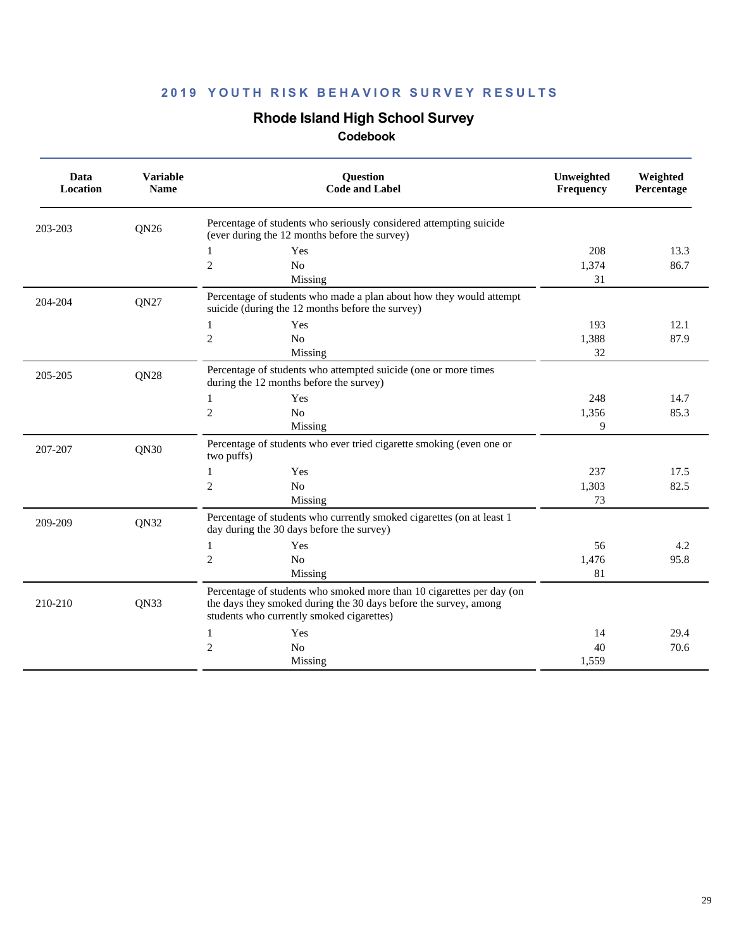## **Rhode Island High School Survey**

| Data<br><b>Location</b> | <b>Variable</b><br><b>Name</b> | Question<br><b>Code and Label</b>                                                                                                                                                      | Unweighted<br>Frequency | Weighted<br>Percentage |
|-------------------------|--------------------------------|----------------------------------------------------------------------------------------------------------------------------------------------------------------------------------------|-------------------------|------------------------|
| 203-203                 | QN <sub>26</sub>               | Percentage of students who seriously considered attempting suicide<br>(ever during the 12 months before the survey)                                                                    |                         |                        |
|                         |                                | Yes<br>1                                                                                                                                                                               | 208                     | 13.3                   |
|                         |                                | $\overline{c}$<br>No                                                                                                                                                                   | 1,374                   | 86.7                   |
|                         |                                | Missing                                                                                                                                                                                | 31                      |                        |
| 204-204                 | QN27                           | Percentage of students who made a plan about how they would attempt<br>suicide (during the 12 months before the survey)                                                                |                         |                        |
|                         |                                | Yes<br>$\mathbf{1}$                                                                                                                                                                    | 193                     | 12.1                   |
|                         |                                | $\mathbf{2}$<br>N <sub>o</sub>                                                                                                                                                         | 1,388                   | 87.9                   |
|                         |                                | Missing                                                                                                                                                                                | 32                      |                        |
| 205-205                 | QN28                           | Percentage of students who attempted suicide (one or more times<br>during the 12 months before the survey)                                                                             |                         |                        |
|                         |                                | Yes<br>1                                                                                                                                                                               | 248                     | 14.7                   |
|                         |                                | $\mathbf{2}$<br>No                                                                                                                                                                     | 1,356                   | 85.3                   |
|                         |                                | Missing                                                                                                                                                                                | 9                       |                        |
| 207-207                 | QN30                           | Percentage of students who ever tried cigarette smoking (even one or<br>two puffs)                                                                                                     |                         |                        |
|                         |                                | $\mathbf{1}$<br>Yes                                                                                                                                                                    | 237                     | 17.5                   |
|                         |                                | $\mathbf{2}$<br>No                                                                                                                                                                     | 1,303                   | 82.5                   |
|                         |                                | Missing                                                                                                                                                                                | 73                      |                        |
| 209-209                 | QN32                           | Percentage of students who currently smoked cigarettes (on at least 1<br>day during the 30 days before the survey)                                                                     |                         |                        |
|                         |                                | 1<br>Yes                                                                                                                                                                               | 56                      | 4.2                    |
|                         |                                | $\mathbf{2}$<br>No                                                                                                                                                                     | 1,476                   | 95.8                   |
|                         |                                | Missing                                                                                                                                                                                | 81                      |                        |
| 210-210                 | QN33                           | Percentage of students who smoked more than 10 cigarettes per day (on<br>the days they smoked during the 30 days before the survey, among<br>students who currently smoked cigarettes) |                         |                        |
|                         |                                | Yes<br>1                                                                                                                                                                               | 14                      | 29.4                   |
|                         |                                | $\mathfrak{2}$<br>N <sub>o</sub>                                                                                                                                                       | 40                      | 70.6                   |
|                         |                                | Missing                                                                                                                                                                                | 1,559                   |                        |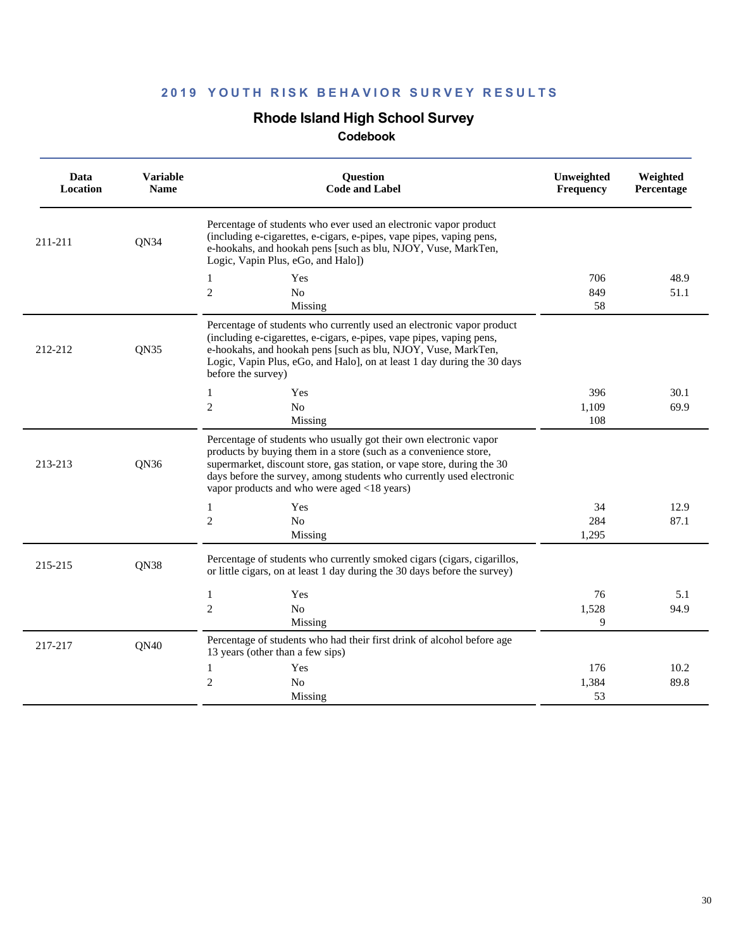## **Rhode Island High School Survey**

| Data<br>Location | <b>Variable</b><br><b>Name</b> | <b>Ouestion</b><br><b>Code and Label</b>                                                                                                                                                                                                                                                                                               | Unweighted<br>Frequency | Weighted<br>Percentage |
|------------------|--------------------------------|----------------------------------------------------------------------------------------------------------------------------------------------------------------------------------------------------------------------------------------------------------------------------------------------------------------------------------------|-------------------------|------------------------|
| 211-211          | QN34                           | Percentage of students who ever used an electronic vapor product<br>(including e-cigarettes, e-cigars, e-pipes, vape pipes, vaping pens,<br>e-hookahs, and hookah pens [such as blu, NJOY, Vuse, MarkTen,<br>Logic, Vapin Plus, eGo, and Halo])                                                                                        |                         |                        |
|                  |                                | 1<br>Yes                                                                                                                                                                                                                                                                                                                               | 706                     | 48.9                   |
|                  |                                | $\mathfrak{2}$<br>No                                                                                                                                                                                                                                                                                                                   | 849                     | 51.1                   |
| 212-212          | <b>ON35</b>                    | Missing<br>Percentage of students who currently used an electronic vapor product<br>(including e-cigarettes, e-cigars, e-pipes, vape pipes, vaping pens,<br>e-hookahs, and hookah pens [such as blu, NJOY, Vuse, MarkTen,<br>Logic, Vapin Plus, eGo, and Halo], on at least 1 day during the 30 days<br>before the survey)             | 58                      |                        |
|                  |                                | Yes<br>1                                                                                                                                                                                                                                                                                                                               | 396                     | 30.1                   |
|                  |                                | $\mathfrak{2}$<br>No                                                                                                                                                                                                                                                                                                                   | 1,109                   | 69.9                   |
|                  |                                | Missing                                                                                                                                                                                                                                                                                                                                | 108                     |                        |
| 213-213          | QN36                           | Percentage of students who usually got their own electronic vapor<br>products by buying them in a store (such as a convenience store,<br>supermarket, discount store, gas station, or vape store, during the 30<br>days before the survey, among students who currently used electronic<br>vapor products and who were aged <18 years) |                         |                        |
|                  |                                | Yes<br>1                                                                                                                                                                                                                                                                                                                               | 34                      | 12.9                   |
|                  |                                | $\overline{2}$<br>No                                                                                                                                                                                                                                                                                                                   | 284                     | 87.1                   |
|                  |                                | Missing                                                                                                                                                                                                                                                                                                                                | 1,295                   |                        |
| 215-215          | QN38                           | Percentage of students who currently smoked cigars (cigars, cigarillos,<br>or little cigars, on at least 1 day during the 30 days before the survey)                                                                                                                                                                                   |                         |                        |
|                  |                                | Yes<br>1                                                                                                                                                                                                                                                                                                                               | 76                      | 5.1                    |
|                  |                                | $\overline{2}$<br>No                                                                                                                                                                                                                                                                                                                   | 1,528                   | 94.9                   |
|                  |                                | Missing                                                                                                                                                                                                                                                                                                                                | 9                       |                        |
| 217-217          | QN40                           | Percentage of students who had their first drink of alcohol before age<br>13 years (other than a few sips)                                                                                                                                                                                                                             |                         |                        |
|                  |                                | 1<br>Yes                                                                                                                                                                                                                                                                                                                               | 176                     | 10.2                   |
|                  |                                | $\overline{2}$<br>N <sub>0</sub>                                                                                                                                                                                                                                                                                                       | 1,384                   | 89.8                   |
|                  |                                | Missing                                                                                                                                                                                                                                                                                                                                | 53                      |                        |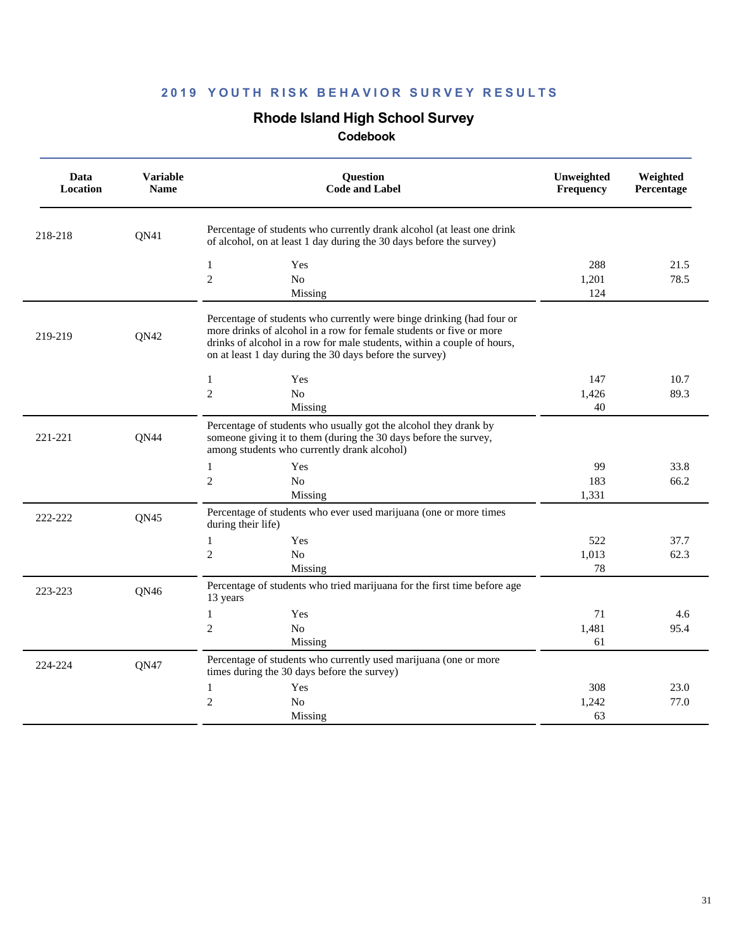### **Rhode Island High School Survey**

| Data<br>Location | <b>Variable</b><br><b>Name</b> | Question<br><b>Code and Label</b>                                                                                                                                                                                                                                                  | Unweighted<br>Frequency | Weighted<br>Percentage |
|------------------|--------------------------------|------------------------------------------------------------------------------------------------------------------------------------------------------------------------------------------------------------------------------------------------------------------------------------|-------------------------|------------------------|
| 218-218          | QN41                           | Percentage of students who currently drank alcohol (at least one drink<br>of alcohol, on at least 1 day during the 30 days before the survey)                                                                                                                                      |                         |                        |
|                  |                                | Yes<br>$\mathbf{1}$<br>$\overline{2}$<br>N <sub>0</sub><br>Missing                                                                                                                                                                                                                 | 288<br>1,201<br>124     | 21.5<br>78.5           |
| 219-219          | QN42                           | Percentage of students who currently were binge drinking (had four or<br>more drinks of alcohol in a row for female students or five or more<br>drinks of alcohol in a row for male students, within a couple of hours,<br>on at least 1 day during the 30 days before the survey) |                         |                        |
|                  |                                | $\mathbf{1}$<br>Yes<br>$\overline{2}$<br>No<br>Missing                                                                                                                                                                                                                             | 147<br>1,426<br>40      | 10.7<br>89.3           |
| 221-221          | QN44                           | Percentage of students who usually got the alcohol they drank by<br>someone giving it to them (during the 30 days before the survey,<br>among students who currently drank alcohol)                                                                                                |                         |                        |
|                  |                                | $\mathbf{1}$<br>Yes<br>$\mathfrak{2}$<br>N <sub>0</sub><br>Missing                                                                                                                                                                                                                 | 99<br>183<br>1,331      | 33.8<br>66.2           |
| 222-222          | QN45                           | Percentage of students who ever used marijuana (one or more times<br>during their life)                                                                                                                                                                                            |                         |                        |
|                  |                                | Yes<br>$\mathbf{1}$<br>$\mathfrak{2}$<br>N <sub>0</sub><br>Missing                                                                                                                                                                                                                 | 522<br>1,013<br>78      | 37.7<br>62.3           |
| 223-223          | QN46                           | Percentage of students who tried marijuana for the first time before age<br>13 years                                                                                                                                                                                               |                         |                        |
|                  |                                | Yes<br>$\mathbf{1}$<br>$\mathfrak{2}$<br>N <sub>0</sub><br>Missing                                                                                                                                                                                                                 | 71<br>1,481<br>61       | 4.6<br>95.4            |
| 224-224          | <b>QN47</b>                    | Percentage of students who currently used marijuana (one or more<br>times during the 30 days before the survey)                                                                                                                                                                    |                         |                        |
|                  |                                | $\mathbf{1}$<br>Yes<br>$\overline{c}$<br>N <sub>0</sub><br>Missing                                                                                                                                                                                                                 | 308<br>1,242<br>63      | 23.0<br>77.0           |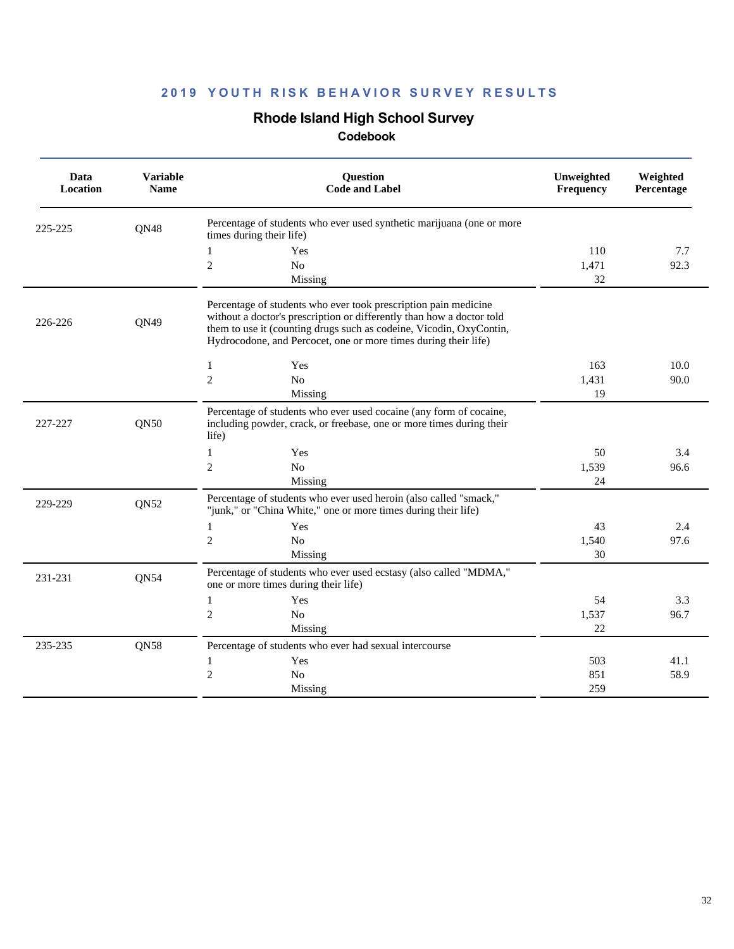# **Rhode Island High School Survey**

| Data<br>Location | <b>Variable</b><br><b>Name</b> | Question<br><b>Code and Label</b>                                                                                                                                                                                                                                                  | Unweighted<br>Frequency | Weighted<br>Percentage |
|------------------|--------------------------------|------------------------------------------------------------------------------------------------------------------------------------------------------------------------------------------------------------------------------------------------------------------------------------|-------------------------|------------------------|
| 225-225          | QN48                           | Percentage of students who ever used synthetic marijuana (one or more<br>times during their life)                                                                                                                                                                                  |                         |                        |
|                  |                                | 1<br>Yes<br>$\mathbf{2}$<br>No<br>Missing                                                                                                                                                                                                                                          | 110<br>1,471<br>32      | 7.7<br>92.3            |
| 226-226          | QN49                           | Percentage of students who ever took prescription pain medicine<br>without a doctor's prescription or differently than how a doctor told<br>them to use it (counting drugs such as codeine, Vicodin, OxyContin,<br>Hydrocodone, and Percocet, one or more times during their life) |                         |                        |
|                  |                                | $\mathbf{1}$<br>Yes<br>$\overline{c}$<br>N <sub>o</sub><br>Missing                                                                                                                                                                                                                 | 163<br>1,431<br>19      | 10.0<br>90.0           |
| 227-227          | QN50                           | Percentage of students who ever used cocaine (any form of cocaine,<br>including powder, crack, or freebase, one or more times during their<br>life)                                                                                                                                |                         |                        |
|                  |                                | $\mathbf{1}$<br>Yes<br>$\overline{c}$<br>N <sub>o</sub><br>Missing                                                                                                                                                                                                                 | 50<br>1,539<br>24       | 3.4<br>96.6            |
| 229-229          | QN52                           | Percentage of students who ever used heroin (also called "smack,"<br>"junk," or "China White," one or more times during their life)                                                                                                                                                |                         |                        |
|                  |                                | Yes<br>1<br>$\mathfrak{2}$<br>No<br>Missing                                                                                                                                                                                                                                        | 43<br>1,540<br>30       | 2.4<br>97.6            |
| 231-231          | <b>QN54</b>                    | Percentage of students who ever used ecstasy (also called "MDMA,"<br>one or more times during their life)                                                                                                                                                                          |                         |                        |
|                  |                                | $\mathbf{1}$<br>Yes<br>$\overline{c}$<br>No<br>Missing                                                                                                                                                                                                                             | 54<br>1,537<br>22       | 3.3<br>96.7            |
| 235-235          | QN58                           | Percentage of students who ever had sexual intercourse<br>Yes<br>1<br>$\overline{c}$<br>No                                                                                                                                                                                         | 503<br>851              | 41.1<br>58.9           |
|                  |                                | Missing                                                                                                                                                                                                                                                                            | 259                     |                        |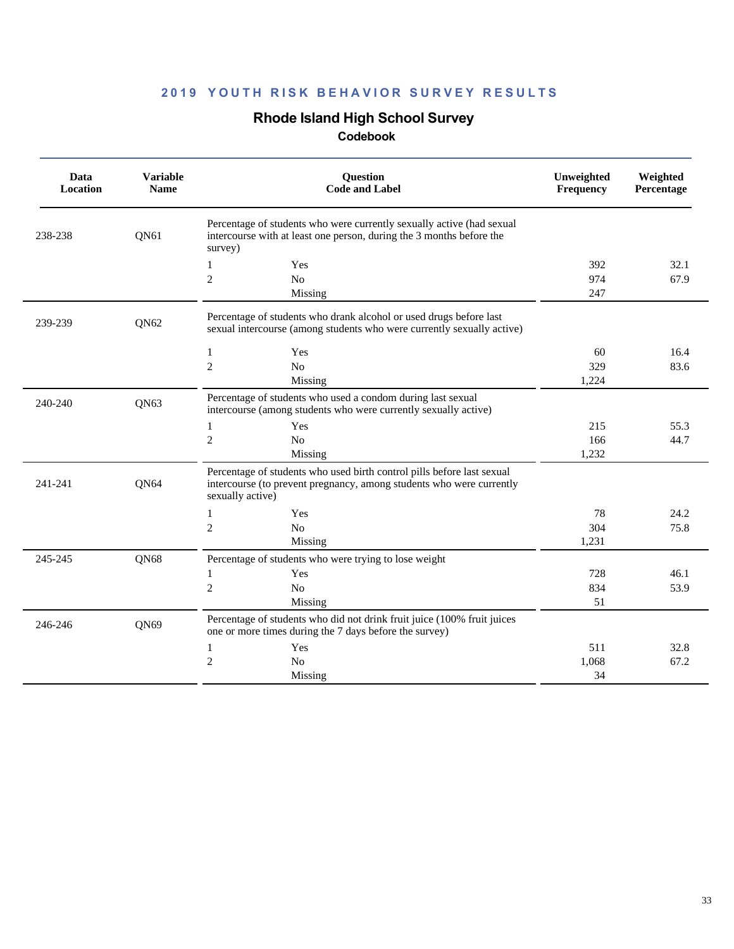## **Rhode Island High School Survey**

| Data<br>Location | <b>Variable</b><br><b>Name</b> | <b>Ouestion</b><br><b>Code and Label</b>                                                                                                                           | Unweighted<br><b>Frequency</b> | Weighted<br>Percentage |
|------------------|--------------------------------|--------------------------------------------------------------------------------------------------------------------------------------------------------------------|--------------------------------|------------------------|
| 238-238          | QN61                           | Percentage of students who were currently sexually active (had sexual<br>intercourse with at least one person, during the 3 months before the<br>survey)           |                                |                        |
|                  |                                | 1<br>Yes                                                                                                                                                           | 392                            | 32.1                   |
|                  |                                | $\mathfrak{2}$<br>No                                                                                                                                               | 974                            | 67.9                   |
|                  |                                | Missing                                                                                                                                                            | 247                            |                        |
| 239-239          | QN62                           | Percentage of students who drank alcohol or used drugs before last<br>sexual intercourse (among students who were currently sexually active)                       |                                |                        |
|                  |                                | Yes<br>1                                                                                                                                                           | 60                             | 16.4                   |
|                  |                                | $\overline{2}$<br>No                                                                                                                                               | 329                            | 83.6                   |
|                  |                                | Missing                                                                                                                                                            | 1,224                          |                        |
| 240-240          | QN63                           | Percentage of students who used a condom during last sexual<br>intercourse (among students who were currently sexually active)                                     |                                |                        |
|                  |                                | $\mathbf{1}$<br>Yes                                                                                                                                                | 215                            | 55.3                   |
|                  |                                | $\mathfrak{2}$<br>No                                                                                                                                               | 166                            | 44.7                   |
|                  |                                | Missing                                                                                                                                                            | 1,232                          |                        |
| 241-241          | QN64                           | Percentage of students who used birth control pills before last sexual<br>intercourse (to prevent pregnancy, among students who were currently<br>sexually active) |                                |                        |
|                  |                                | $\mathbf{1}$<br>Yes                                                                                                                                                | 78                             | 24.2                   |
|                  |                                | $\mathfrak{2}$<br>No                                                                                                                                               | 304                            | 75.8                   |
|                  |                                | Missing                                                                                                                                                            | 1.231                          |                        |
| 245-245          | QN68                           | Percentage of students who were trying to lose weight                                                                                                              |                                |                        |
|                  |                                | Yes<br>1                                                                                                                                                           | 728                            | 46.1                   |
|                  |                                | $\sqrt{2}$<br>No                                                                                                                                                   | 834                            | 53.9                   |
|                  |                                | Missing                                                                                                                                                            | 51                             |                        |
| 246-246          | QN69                           | Percentage of students who did not drink fruit juice (100% fruit juices<br>one or more times during the 7 days before the survey)                                  |                                |                        |
|                  |                                | $\mathbf{1}$<br>Yes                                                                                                                                                | 511                            | 32.8                   |
|                  |                                | $\overline{2}$<br>N <sub>o</sub>                                                                                                                                   | 1.068                          | 67.2                   |
|                  |                                | Missing                                                                                                                                                            | 34                             |                        |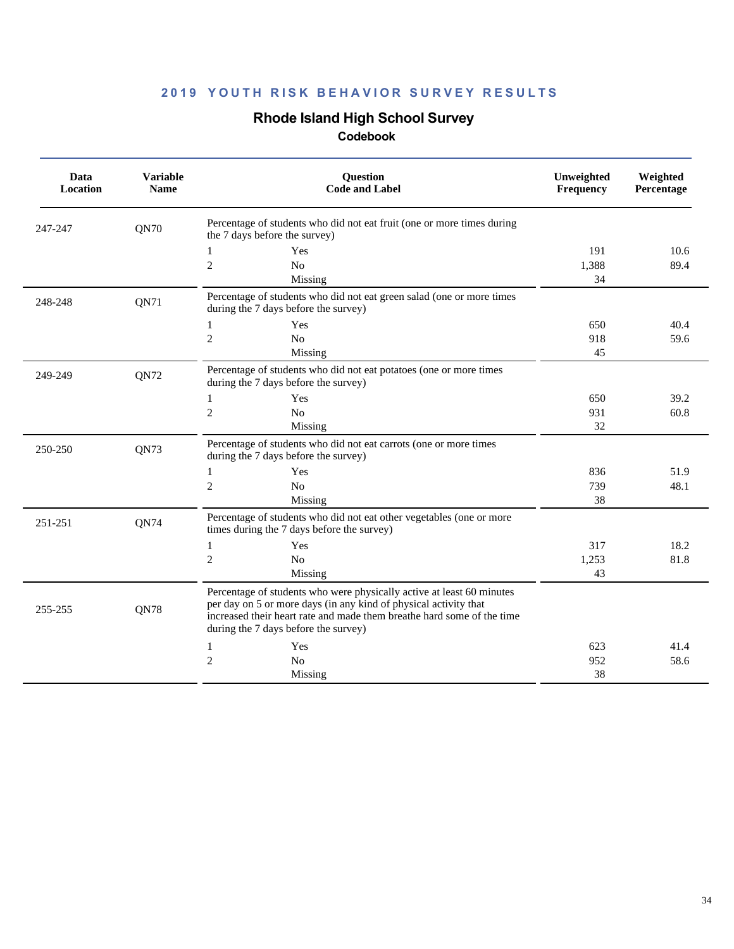# **Rhode Island High School Survey**

| Data<br>Location | <b>Variable</b><br><b>Name</b> | Question<br><b>Code and Label</b>                                                                                                                                                                                                                           | Unweighted<br><b>Frequency</b> | Weighted<br>Percentage |
|------------------|--------------------------------|-------------------------------------------------------------------------------------------------------------------------------------------------------------------------------------------------------------------------------------------------------------|--------------------------------|------------------------|
| 247-247          | <b>QN70</b>                    | Percentage of students who did not eat fruit (one or more times during<br>the 7 days before the survey)                                                                                                                                                     |                                |                        |
|                  |                                | Yes<br>1                                                                                                                                                                                                                                                    | 191                            | 10.6                   |
|                  |                                | $\overline{2}$<br>N <sub>o</sub>                                                                                                                                                                                                                            | 1.388                          | 89.4                   |
|                  |                                | Missing                                                                                                                                                                                                                                                     | 34                             |                        |
| 248-248          | QN71                           | Percentage of students who did not eat green salad (one or more times<br>during the 7 days before the survey)                                                                                                                                               |                                |                        |
|                  |                                | Yes<br>1                                                                                                                                                                                                                                                    | 650                            | 40.4                   |
|                  |                                | $\sqrt{2}$<br>No                                                                                                                                                                                                                                            | 918                            | 59.6                   |
|                  |                                | Missing                                                                                                                                                                                                                                                     | 45                             |                        |
| 249-249          | QN72                           | Percentage of students who did not eat potatoes (one or more times<br>during the 7 days before the survey)                                                                                                                                                  |                                |                        |
|                  |                                | Yes<br>$\mathbf{1}$                                                                                                                                                                                                                                         | 650                            | 39.2                   |
|                  |                                | $\mathfrak{2}$<br>N <sub>o</sub>                                                                                                                                                                                                                            | 931                            | 60.8                   |
|                  |                                | Missing                                                                                                                                                                                                                                                     | 32                             |                        |
| 250-250          | QN73                           | Percentage of students who did not eat carrots (one or more times<br>during the 7 days before the survey)                                                                                                                                                   |                                |                        |
|                  |                                | 1<br>Yes                                                                                                                                                                                                                                                    | 836                            | 51.9                   |
|                  |                                | $\sqrt{2}$<br>No                                                                                                                                                                                                                                            | 739                            | 48.1                   |
|                  |                                | Missing                                                                                                                                                                                                                                                     | 38                             |                        |
| 251-251          | QN74                           | Percentage of students who did not eat other vegetables (one or more<br>times during the 7 days before the survey)                                                                                                                                          |                                |                        |
|                  |                                | Yes<br>1                                                                                                                                                                                                                                                    | 317                            | 18.2                   |
|                  |                                | $\overline{2}$<br>N <sub>o</sub>                                                                                                                                                                                                                            | 1,253                          | 81.8                   |
|                  |                                | Missing                                                                                                                                                                                                                                                     | 43                             |                        |
| 255-255          | <b>ON78</b>                    | Percentage of students who were physically active at least 60 minutes<br>per day on 5 or more days (in any kind of physical activity that<br>increased their heart rate and made them breathe hard some of the time<br>during the 7 days before the survey) |                                |                        |
|                  |                                | Yes<br>1                                                                                                                                                                                                                                                    | 623                            | 41.4                   |
|                  |                                | $\overline{c}$<br>N <sub>o</sub>                                                                                                                                                                                                                            | 952                            | 58.6                   |
|                  |                                | Missing                                                                                                                                                                                                                                                     | 38                             |                        |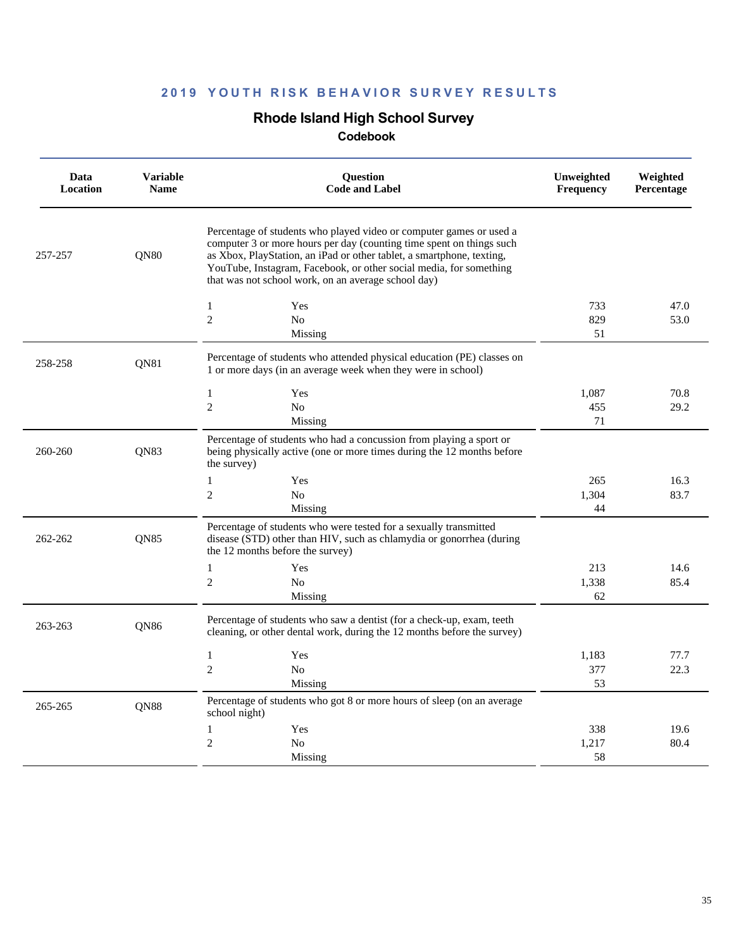## **Rhode Island High School Survey**

| Data<br>Location | <b>Variable</b><br><b>Name</b> | Question<br><b>Code and Label</b>                                                                                                                                                                                                                                                                                                                 | Unweighted<br>Frequency | Weighted<br>Percentage |
|------------------|--------------------------------|---------------------------------------------------------------------------------------------------------------------------------------------------------------------------------------------------------------------------------------------------------------------------------------------------------------------------------------------------|-------------------------|------------------------|
| 257-257          | QN80                           | Percentage of students who played video or computer games or used a<br>computer 3 or more hours per day (counting time spent on things such<br>as Xbox, PlayStation, an iPad or other tablet, a smartphone, texting,<br>YouTube, Instagram, Facebook, or other social media, for something<br>that was not school work, on an average school day) |                         |                        |
|                  |                                | $\mathbf{1}$<br>Yes                                                                                                                                                                                                                                                                                                                               | 733                     | 47.0                   |
|                  |                                | $\overline{c}$<br>N <sub>o</sub>                                                                                                                                                                                                                                                                                                                  | 829                     | 53.0                   |
|                  |                                | Missing                                                                                                                                                                                                                                                                                                                                           | 51                      |                        |
| 258-258          | QN81                           | Percentage of students who attended physical education (PE) classes on<br>1 or more days (in an average week when they were in school)                                                                                                                                                                                                            |                         |                        |
|                  |                                | $\mathbf{1}$<br>Yes                                                                                                                                                                                                                                                                                                                               | 1,087                   | 70.8                   |
|                  |                                | $\overline{c}$<br>No                                                                                                                                                                                                                                                                                                                              | 455                     | 29.2                   |
|                  |                                | Missing                                                                                                                                                                                                                                                                                                                                           | 71                      |                        |
| 260-260          | QN83                           | Percentage of students who had a concussion from playing a sport or<br>being physically active (one or more times during the 12 months before<br>the survey)                                                                                                                                                                                      |                         |                        |
|                  |                                | $\mathbf{1}$<br>Yes                                                                                                                                                                                                                                                                                                                               | 265                     | 16.3                   |
|                  |                                | $\overline{2}$<br>N <sub>0</sub>                                                                                                                                                                                                                                                                                                                  | 1,304                   | 83.7                   |
|                  |                                | Missing                                                                                                                                                                                                                                                                                                                                           | 44                      |                        |
| 262-262          | <b>ON85</b>                    | Percentage of students who were tested for a sexually transmitted<br>disease (STD) other than HIV, such as chlamydia or gonorrhea (during<br>the 12 months before the survey)                                                                                                                                                                     |                         |                        |
|                  |                                | Yes<br>$\mathbf{1}$                                                                                                                                                                                                                                                                                                                               | 213                     | 14.6                   |
|                  |                                | $\overline{c}$<br>N <sub>0</sub>                                                                                                                                                                                                                                                                                                                  | 1,338                   | 85.4                   |
|                  |                                | Missing                                                                                                                                                                                                                                                                                                                                           | 62                      |                        |
| 263-263          | <b>ON86</b>                    | Percentage of students who saw a dentist (for a check-up, exam, teeth<br>cleaning, or other dental work, during the 12 months before the survey)                                                                                                                                                                                                  |                         |                        |
|                  |                                | $\mathbf{1}$<br>Yes                                                                                                                                                                                                                                                                                                                               | 1,183                   | 77.7                   |
|                  |                                | $\overline{c}$<br>N <sub>0</sub>                                                                                                                                                                                                                                                                                                                  | 377                     | 22.3                   |
|                  |                                | Missing                                                                                                                                                                                                                                                                                                                                           | 53                      |                        |
| 265-265          | QN88                           | Percentage of students who got 8 or more hours of sleep (on an average<br>school night)                                                                                                                                                                                                                                                           |                         |                        |
|                  |                                | $\mathbf{1}$<br>Yes                                                                                                                                                                                                                                                                                                                               | 338                     | 19.6                   |
|                  |                                | $\overline{c}$<br>N <sub>0</sub>                                                                                                                                                                                                                                                                                                                  | 1,217                   | 80.4                   |
|                  |                                | Missing                                                                                                                                                                                                                                                                                                                                           | 58                      |                        |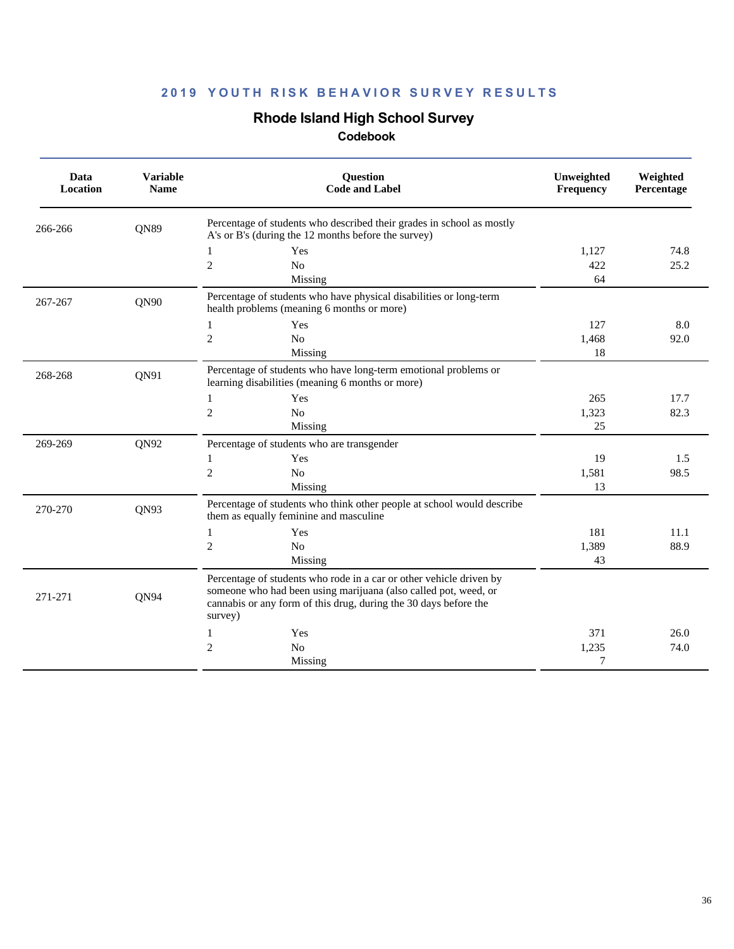## **Rhode Island High School Survey**

| Data<br><b>Location</b> | <b>Variable</b><br><b>Name</b> | Question<br><b>Code and Label</b>                                                                                                                                                                                     | Unweighted<br>Frequency | Weighted<br>Percentage |
|-------------------------|--------------------------------|-----------------------------------------------------------------------------------------------------------------------------------------------------------------------------------------------------------------------|-------------------------|------------------------|
| 266-266                 | QN89                           | Percentage of students who described their grades in school as mostly<br>A's or B's (during the 12 months before the survey)                                                                                          |                         |                        |
|                         |                                | Yes<br>1                                                                                                                                                                                                              | 1,127                   | 74.8                   |
|                         |                                | $\mathfrak{2}$<br>No                                                                                                                                                                                                  | 422                     | 25.2                   |
|                         |                                | Missing                                                                                                                                                                                                               | 64                      |                        |
| 267-267                 | QN90                           | Percentage of students who have physical disabilities or long-term<br>health problems (meaning 6 months or more)                                                                                                      |                         |                        |
|                         |                                | Yes<br>1                                                                                                                                                                                                              | 127                     | 8.0                    |
|                         |                                | $\overline{2}$<br>N <sub>o</sub>                                                                                                                                                                                      | 1,468                   | 92.0                   |
|                         |                                | Missing                                                                                                                                                                                                               | 18                      |                        |
| 268-268                 | QN91                           | Percentage of students who have long-term emotional problems or<br>learning disabilities (meaning 6 months or more)                                                                                                   |                         |                        |
|                         |                                | Yes<br>1                                                                                                                                                                                                              | 265                     | 17.7                   |
|                         |                                | $\overline{2}$<br>N <sub>o</sub>                                                                                                                                                                                      | 1,323                   | 82.3                   |
|                         |                                | Missing                                                                                                                                                                                                               | 25                      |                        |
| 269-269                 | QN92                           | Percentage of students who are transgender                                                                                                                                                                            |                         |                        |
|                         |                                | Yes<br>1                                                                                                                                                                                                              | 19                      | 1.5                    |
|                         |                                | $\overline{2}$<br>N <sub>o</sub>                                                                                                                                                                                      | 1,581                   | 98.5                   |
|                         |                                | Missing                                                                                                                                                                                                               | 13                      |                        |
| 270-270                 | QN93                           | Percentage of students who think other people at school would describe<br>them as equally feminine and masculine                                                                                                      |                         |                        |
|                         |                                | $\mathbf{1}$<br>Yes                                                                                                                                                                                                   | 181                     | 11.1                   |
|                         |                                | $\mathfrak{2}$<br>No                                                                                                                                                                                                  | 1,389                   | 88.9                   |
|                         |                                | Missing                                                                                                                                                                                                               | 43                      |                        |
| 271-271                 | QN94                           | Percentage of students who rode in a car or other vehicle driven by<br>someone who had been using marijuana (also called pot, weed, or<br>cannabis or any form of this drug, during the 30 days before the<br>survey) |                         |                        |
|                         |                                | Yes<br>1                                                                                                                                                                                                              | 371                     | 26.0                   |
|                         |                                | $\overline{2}$<br>N <sub>o</sub>                                                                                                                                                                                      | 1,235                   | 74.0                   |
|                         |                                | Missing                                                                                                                                                                                                               | 7                       |                        |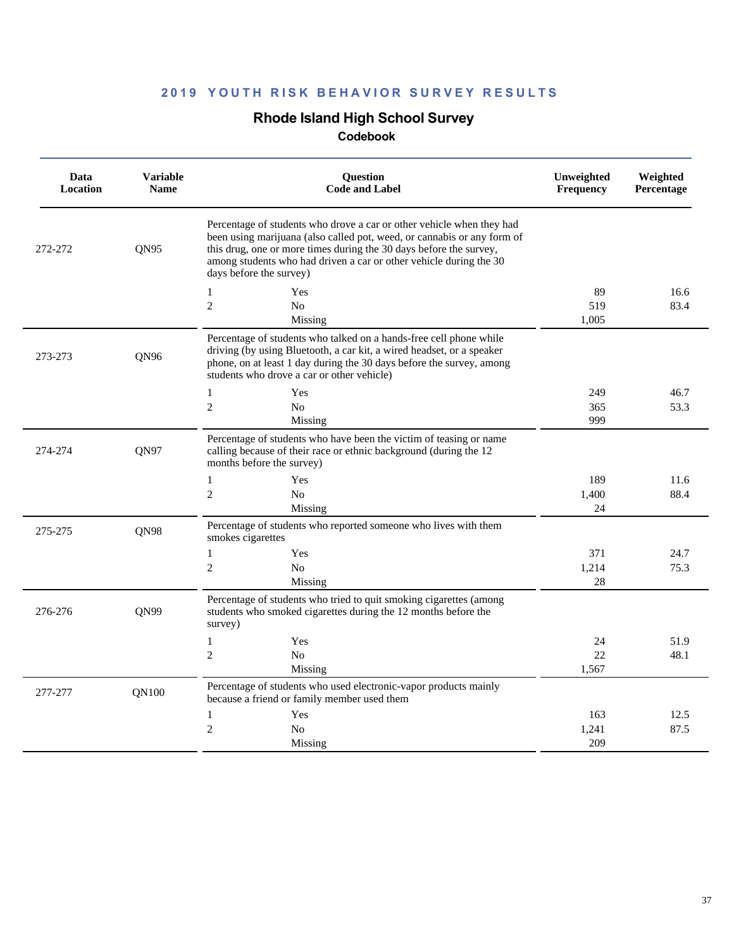## **Rhode Island High School Survey**

| Percentage of students who drove a car or other vehicle when they had<br>been using marijuana (also called pot, weed, or cannabis or any form of<br>QN95<br>this drug, one or more times during the 30 days before the survey,<br>272-272                                            |             |  |
|--------------------------------------------------------------------------------------------------------------------------------------------------------------------------------------------------------------------------------------------------------------------------------------|-------------|--|
| among students who had driven a car or other vehicle during the 30<br>days before the survey)                                                                                                                                                                                        |             |  |
| $\mathbf{1}$<br>Yes                                                                                                                                                                                                                                                                  | 89<br>16.6  |  |
| $\overline{c}$<br>N <sub>0</sub>                                                                                                                                                                                                                                                     | 519<br>83.4 |  |
| Missing<br>1.005                                                                                                                                                                                                                                                                     |             |  |
| Percentage of students who talked on a hands-free cell phone while<br>driving (by using Bluetooth, a car kit, a wired headset, or a speaker<br>QN96<br>273-273<br>phone, on at least 1 day during the 30 days before the survey, among<br>students who drove a car or other vehicle) |             |  |
| $\mathbf{1}$<br>Yes                                                                                                                                                                                                                                                                  | 249<br>46.7 |  |
| $\overline{c}$<br>N <sub>o</sub>                                                                                                                                                                                                                                                     | 365<br>53.3 |  |
| Missing                                                                                                                                                                                                                                                                              | 999         |  |
| Percentage of students who have been the victim of teasing or name<br>274-274<br><b>ON97</b><br>calling because of their race or ethnic background (during the 12<br>months before the survey)                                                                                       |             |  |
| $\mathbf{1}$<br>Yes                                                                                                                                                                                                                                                                  | 189<br>11.6 |  |
| $\overline{c}$<br>N <sub>o</sub><br>1,400                                                                                                                                                                                                                                            | 88.4        |  |
| Missing                                                                                                                                                                                                                                                                              | 24          |  |
| Percentage of students who reported someone who lives with them<br>275-275<br><b>ON98</b><br>smokes cigarettes                                                                                                                                                                       |             |  |
| $\mathbf{1}$<br>Yes                                                                                                                                                                                                                                                                  | 371<br>24.7 |  |
| $\overline{c}$<br>N <sub>o</sub><br>1,214                                                                                                                                                                                                                                            | 75.3        |  |
| Missing                                                                                                                                                                                                                                                                              | 28          |  |
| Percentage of students who tried to quit smoking cigarettes (among<br>276-276<br><b>ON99</b><br>students who smoked cigarettes during the 12 months before the<br>survey)                                                                                                            |             |  |
| $\mathbf{1}$<br>Yes                                                                                                                                                                                                                                                                  | 24<br>51.9  |  |
| $\overline{c}$<br>N <sub>0</sub>                                                                                                                                                                                                                                                     | 22<br>48.1  |  |
| 1,567<br>Missing                                                                                                                                                                                                                                                                     |             |  |
| Percentage of students who used electronic-vapor products mainly<br>277-277<br>QN100<br>because a friend or family member used them                                                                                                                                                  |             |  |
| 1<br>Yes                                                                                                                                                                                                                                                                             | 163<br>12.5 |  |
| $\mathfrak{2}$<br>No<br>1,241                                                                                                                                                                                                                                                        | 87.5        |  |
| Missing                                                                                                                                                                                                                                                                              | 209         |  |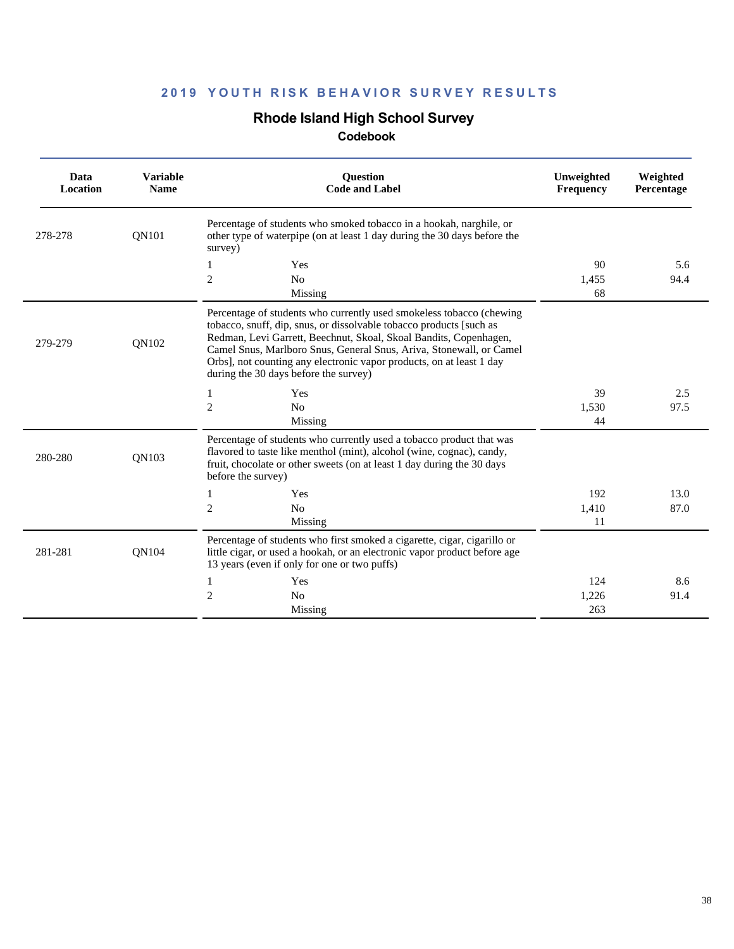## **Rhode Island High School Survey**

| Data<br><b>Location</b> | <b>Variable</b><br><b>Name</b> | <b>Ouestion</b><br><b>Code and Label</b>                                                                                                                                                                                                                                                                                                                                                                 | Unweighted<br>Frequency | Weighted<br>Percentage |
|-------------------------|--------------------------------|----------------------------------------------------------------------------------------------------------------------------------------------------------------------------------------------------------------------------------------------------------------------------------------------------------------------------------------------------------------------------------------------------------|-------------------------|------------------------|
| 278-278                 | <b>ON101</b>                   | Percentage of students who smoked tobacco in a hookah, narghile, or<br>other type of waterpipe (on at least 1 day during the 30 days before the<br>survey)                                                                                                                                                                                                                                               |                         |                        |
|                         |                                | Yes<br>1<br>$\mathfrak{2}$<br>No                                                                                                                                                                                                                                                                                                                                                                         | 90<br>1,455             | 5.6<br>94.4            |
|                         |                                | Missing                                                                                                                                                                                                                                                                                                                                                                                                  | 68                      |                        |
| 279-279                 | QN102                          | Percentage of students who currently used smokeless tobacco (chewing<br>tobacco, snuff, dip, snus, or dissolvable tobacco products [such as<br>Redman, Levi Garrett, Beechnut, Skoal, Skoal Bandits, Copenhagen,<br>Camel Snus, Marlboro Snus, General Snus, Ariva, Stonewall, or Camel<br>Orbs], not counting any electronic vapor products, on at least 1 day<br>during the 30 days before the survey) |                         |                        |
|                         |                                | Yes<br>1                                                                                                                                                                                                                                                                                                                                                                                                 | 39                      | 2.5                    |
|                         |                                | $\mathfrak{2}$<br>No<br>Missing                                                                                                                                                                                                                                                                                                                                                                          | 1,530<br>44             | 97.5                   |
| 280-280                 | <b>ON103</b>                   | Percentage of students who currently used a tobacco product that was<br>flavored to taste like menthol (mint), alcohol (wine, cognac), candy,<br>fruit, chocolate or other sweets (on at least 1 day during the 30 days<br>before the survey)                                                                                                                                                            |                         |                        |
|                         |                                | Yes<br>$\mathbf{1}$                                                                                                                                                                                                                                                                                                                                                                                      | 192                     | 13.0                   |
|                         |                                | $\mathfrak{2}$<br>No<br>Missing                                                                                                                                                                                                                                                                                                                                                                          | 1,410<br>11             | 87.0                   |
| 281-281                 | <b>ON104</b>                   | Percentage of students who first smoked a cigarette, cigar, cigarillo or<br>little cigar, or used a hookah, or an electronic vapor product before age<br>13 years (even if only for one or two puffs)                                                                                                                                                                                                    |                         |                        |
|                         |                                | 1<br>Yes                                                                                                                                                                                                                                                                                                                                                                                                 | 124                     | 8.6                    |
|                         |                                | $\overline{2}$<br>N <sub>0</sub><br>Missing                                                                                                                                                                                                                                                                                                                                                              | 1,226<br>263            | 91.4                   |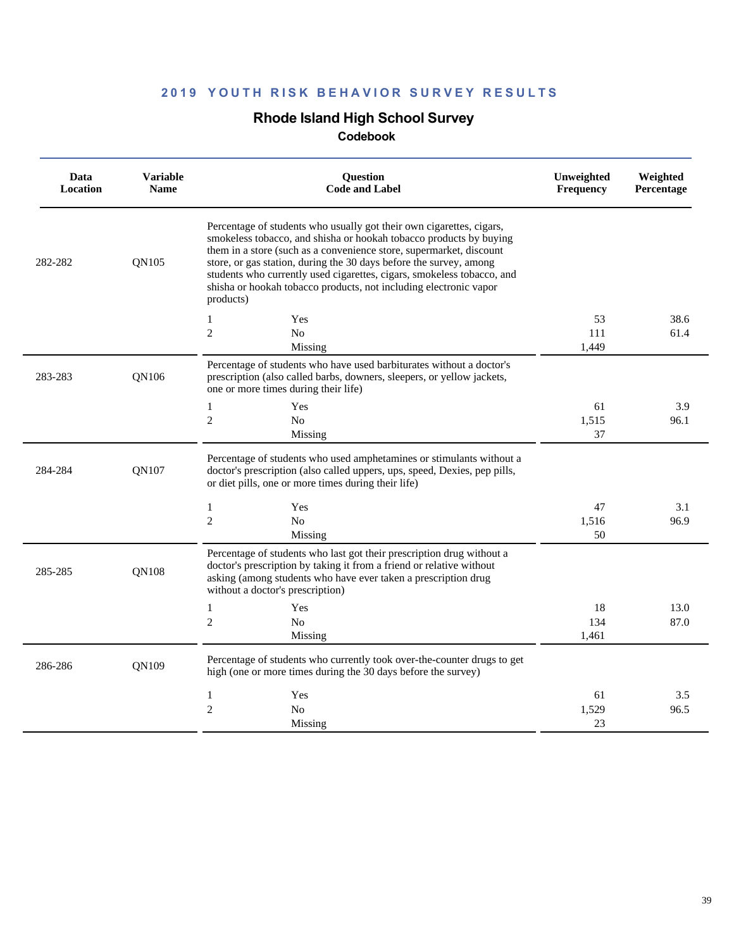## **Rhode Island High School Survey**

| Data<br>Location | <b>Variable</b><br><b>Name</b> | <b>Ouestion</b><br><b>Code and Label</b>                                                                                                                                                                                                                                                                                                                                                                                                            | Unweighted<br>Frequency | Weighted<br>Percentage |
|------------------|--------------------------------|-----------------------------------------------------------------------------------------------------------------------------------------------------------------------------------------------------------------------------------------------------------------------------------------------------------------------------------------------------------------------------------------------------------------------------------------------------|-------------------------|------------------------|
| 282-282          | QN105                          | Percentage of students who usually got their own cigarettes, cigars,<br>smokeless tobacco, and shisha or hookah tobacco products by buying<br>them in a store (such as a convenience store, supermarket, discount<br>store, or gas station, during the 30 days before the survey, among<br>students who currently used cigarettes, cigars, smokeless tobacco, and<br>shisha or hookah tobacco products, not including electronic vapor<br>products) |                         |                        |
|                  |                                | Yes<br>1                                                                                                                                                                                                                                                                                                                                                                                                                                            | 53                      | 38.6                   |
|                  |                                | $\mathfrak{2}$<br>N <sub>o</sub>                                                                                                                                                                                                                                                                                                                                                                                                                    | 111                     | 61.4                   |
|                  |                                | Missing                                                                                                                                                                                                                                                                                                                                                                                                                                             | 1,449                   |                        |
| 283-283          | QN106                          | Percentage of students who have used barbiturates without a doctor's<br>prescription (also called barbs, downers, sleepers, or yellow jackets,<br>one or more times during their life)                                                                                                                                                                                                                                                              |                         |                        |
|                  |                                | $\mathbf{1}$<br>Yes                                                                                                                                                                                                                                                                                                                                                                                                                                 | 61                      | 3.9                    |
|                  |                                | $\overline{c}$<br>N <sub>0</sub>                                                                                                                                                                                                                                                                                                                                                                                                                    | 1,515                   | 96.1                   |
|                  |                                | Missing                                                                                                                                                                                                                                                                                                                                                                                                                                             | 37                      |                        |
| 284-284          | QN107                          | Percentage of students who used amphetamines or stimulants without a<br>doctor's prescription (also called uppers, ups, speed, Dexies, pep pills,<br>or diet pills, one or more times during their life)                                                                                                                                                                                                                                            |                         |                        |
|                  |                                | Yes<br>1                                                                                                                                                                                                                                                                                                                                                                                                                                            | 47                      | 3.1                    |
|                  |                                | $\overline{c}$<br>N <sub>0</sub>                                                                                                                                                                                                                                                                                                                                                                                                                    | 1,516                   | 96.9                   |
|                  |                                | Missing                                                                                                                                                                                                                                                                                                                                                                                                                                             | 50                      |                        |
| 285-285          | QN108                          | Percentage of students who last got their prescription drug without a<br>doctor's prescription by taking it from a friend or relative without<br>asking (among students who have ever taken a prescription drug<br>without a doctor's prescription)                                                                                                                                                                                                 |                         |                        |
|                  |                                | Yes<br>$\mathbf{1}$                                                                                                                                                                                                                                                                                                                                                                                                                                 | 18                      | 13.0                   |
|                  |                                | $\overline{c}$<br>N <sub>0</sub>                                                                                                                                                                                                                                                                                                                                                                                                                    | 134                     | 87.0                   |
|                  |                                | Missing                                                                                                                                                                                                                                                                                                                                                                                                                                             | 1,461                   |                        |
| 286-286          | QN109                          | Percentage of students who currently took over-the-counter drugs to get<br>high (one or more times during the 30 days before the survey)                                                                                                                                                                                                                                                                                                            |                         |                        |
|                  |                                | $\mathbf{1}$<br>Yes                                                                                                                                                                                                                                                                                                                                                                                                                                 | 61                      | 3.5                    |
|                  |                                | $\overline{2}$<br>N <sub>0</sub>                                                                                                                                                                                                                                                                                                                                                                                                                    | 1,529                   | 96.5                   |
|                  |                                | Missing                                                                                                                                                                                                                                                                                                                                                                                                                                             | 23                      |                        |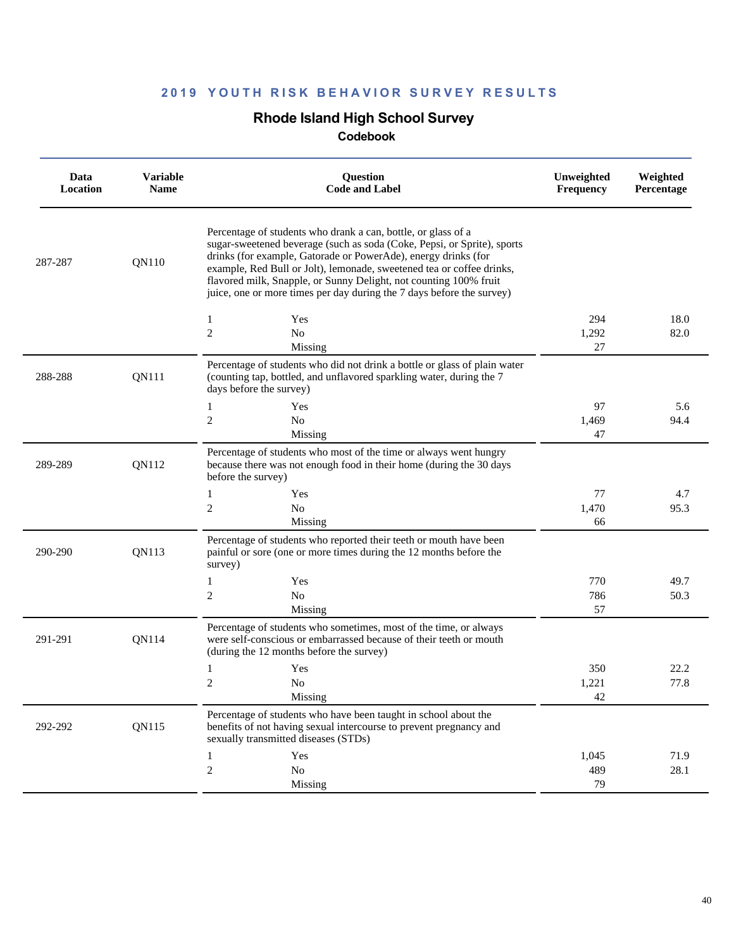## **Rhode Island High School Survey**

| Data<br>Location | <b>Variable</b><br><b>Name</b> | Question<br><b>Code and Label</b>                                                                                                                                                                                                                                                                                                                                                                                                 | Unweighted<br><b>Frequency</b> | Weighted<br>Percentage |
|------------------|--------------------------------|-----------------------------------------------------------------------------------------------------------------------------------------------------------------------------------------------------------------------------------------------------------------------------------------------------------------------------------------------------------------------------------------------------------------------------------|--------------------------------|------------------------|
| 287-287          | QN110                          | Percentage of students who drank a can, bottle, or glass of a<br>sugar-sweetened beverage (such as soda (Coke, Pepsi, or Sprite), sports<br>drinks (for example, Gatorade or PowerAde), energy drinks (for<br>example, Red Bull or Jolt), lemonade, sweetened tea or coffee drinks,<br>flavored milk, Snapple, or Sunny Delight, not counting 100% fruit<br>juice, one or more times per day during the 7 days before the survey) |                                |                        |
|                  |                                | Yes<br>1                                                                                                                                                                                                                                                                                                                                                                                                                          | 294                            | 18.0                   |
|                  |                                | $\overline{c}$<br>No<br>Missing                                                                                                                                                                                                                                                                                                                                                                                                   | 1,292<br>27                    | 82.0                   |
| 288-288          | QN111                          | Percentage of students who did not drink a bottle or glass of plain water<br>(counting tap, bottled, and unflavored sparkling water, during the 7<br>days before the survey)                                                                                                                                                                                                                                                      |                                |                        |
|                  |                                | 1<br>Yes                                                                                                                                                                                                                                                                                                                                                                                                                          | 97                             | 5.6                    |
|                  |                                | 2<br>N <sub>o</sub>                                                                                                                                                                                                                                                                                                                                                                                                               | 1,469                          | 94.4                   |
|                  |                                | Missing                                                                                                                                                                                                                                                                                                                                                                                                                           | 47                             |                        |
| 289-289          | QN112                          | Percentage of students who most of the time or always went hungry<br>because there was not enough food in their home (during the 30 days<br>before the survey)                                                                                                                                                                                                                                                                    |                                |                        |
|                  |                                | $\mathbf{1}$<br>Yes                                                                                                                                                                                                                                                                                                                                                                                                               | 77                             | 4.7                    |
|                  |                                | $\overline{c}$<br>No                                                                                                                                                                                                                                                                                                                                                                                                              | 1,470                          | 95.3                   |
|                  |                                | Missing                                                                                                                                                                                                                                                                                                                                                                                                                           | 66                             |                        |
| 290-290          | QN113                          | Percentage of students who reported their teeth or mouth have been<br>painful or sore (one or more times during the 12 months before the<br>survey)                                                                                                                                                                                                                                                                               |                                |                        |
|                  |                                | Yes<br>1                                                                                                                                                                                                                                                                                                                                                                                                                          | 770                            | 49.7                   |
|                  |                                | 2<br>No                                                                                                                                                                                                                                                                                                                                                                                                                           | 786                            | 50.3                   |
|                  |                                | Missing                                                                                                                                                                                                                                                                                                                                                                                                                           | 57                             |                        |
| 291-291          | QN114                          | Percentage of students who sometimes, most of the time, or always<br>were self-conscious or embarrassed because of their teeth or mouth<br>(during the 12 months before the survey)                                                                                                                                                                                                                                               |                                |                        |
|                  |                                | Yes<br>1                                                                                                                                                                                                                                                                                                                                                                                                                          | 350                            | 22.2                   |
|                  |                                | 2<br>N <sub>0</sub>                                                                                                                                                                                                                                                                                                                                                                                                               | 1,221                          | 77.8                   |
|                  |                                | Missing                                                                                                                                                                                                                                                                                                                                                                                                                           | 42                             |                        |
| 292-292          | QN115                          | Percentage of students who have been taught in school about the<br>benefits of not having sexual intercourse to prevent pregnancy and<br>sexually transmitted diseases (STDs)                                                                                                                                                                                                                                                     |                                |                        |
|                  |                                | Yes<br>1                                                                                                                                                                                                                                                                                                                                                                                                                          | 1,045                          | 71.9                   |
|                  |                                | $\overline{c}$<br>No                                                                                                                                                                                                                                                                                                                                                                                                              | 489                            | 28.1                   |
|                  |                                | Missing                                                                                                                                                                                                                                                                                                                                                                                                                           | 79                             |                        |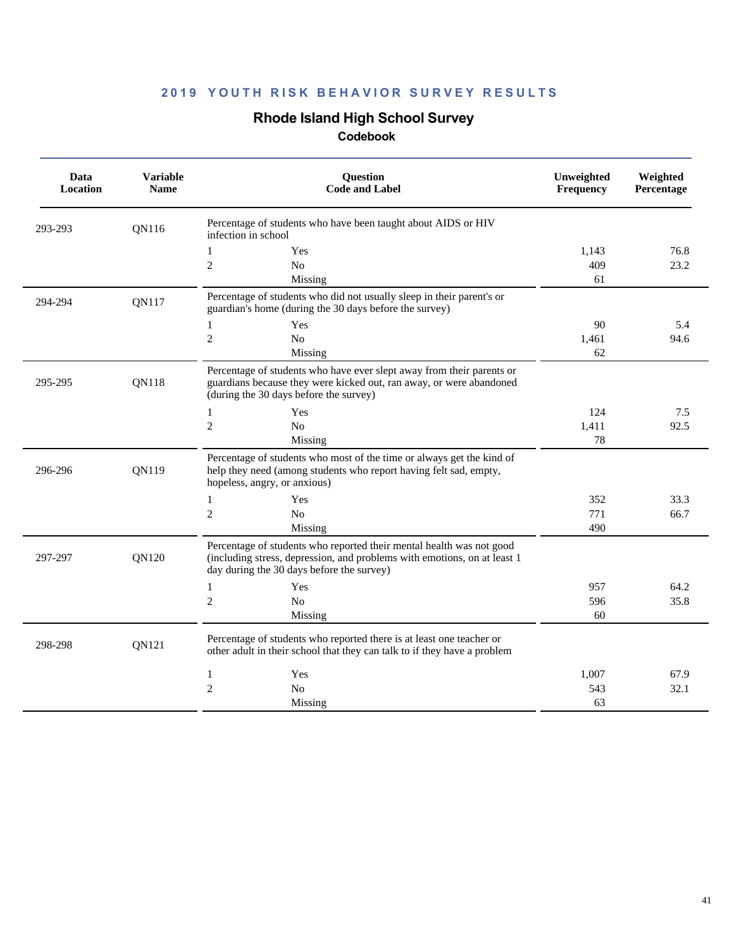## **Rhode Island High School Survey**

| Data<br>Location | <b>Variable</b><br><b>Name</b> | <b>Ouestion</b><br><b>Code and Label</b>                                                                                                                                                      | Unweighted<br>Frequency | Weighted<br>Percentage |
|------------------|--------------------------------|-----------------------------------------------------------------------------------------------------------------------------------------------------------------------------------------------|-------------------------|------------------------|
| 293-293          | QN116                          | Percentage of students who have been taught about AIDS or HIV<br>infection in school                                                                                                          |                         |                        |
|                  |                                | 1<br>Yes                                                                                                                                                                                      | 1,143                   | 76.8                   |
|                  |                                | $\overline{2}$<br>N <sub>o</sub>                                                                                                                                                              | 409                     | 23.2                   |
|                  |                                | Missing                                                                                                                                                                                       | 61                      |                        |
| 294-294          | QN117                          | Percentage of students who did not usually sleep in their parent's or<br>guardian's home (during the 30 days before the survey)                                                               |                         |                        |
|                  |                                | 1<br>Yes                                                                                                                                                                                      | 90                      | 5.4                    |
|                  |                                | $\overline{2}$<br>N <sub>o</sub>                                                                                                                                                              | 1,461                   | 94.6                   |
|                  |                                | Missing                                                                                                                                                                                       | 62                      |                        |
| 295-295          | <b>ON118</b>                   | Percentage of students who have ever slept away from their parents or<br>guardians because they were kicked out, ran away, or were abandoned<br>(during the 30 days before the survey)        |                         |                        |
|                  |                                | Yes<br>1                                                                                                                                                                                      | 124                     | 7.5                    |
|                  |                                | $\overline{2}$<br>N <sub>o</sub>                                                                                                                                                              | 1,411                   | 92.5                   |
|                  |                                | Missing                                                                                                                                                                                       | 78                      |                        |
| 296-296          | <b>ON119</b>                   | Percentage of students who most of the time or always get the kind of<br>help they need (among students who report having felt sad, empty,<br>hopeless, angry, or anxious)                    |                         |                        |
|                  |                                | Yes<br>1                                                                                                                                                                                      | 352                     | 33.3                   |
|                  |                                | $\overline{2}$<br>N <sub>o</sub>                                                                                                                                                              | 771                     | 66.7                   |
|                  |                                | Missing                                                                                                                                                                                       | 490                     |                        |
| 297-297          | <b>ON120</b>                   | Percentage of students who reported their mental health was not good<br>(including stress, depression, and problems with emotions, on at least 1<br>day during the 30 days before the survey) |                         |                        |
|                  |                                | $\mathbf{1}$<br>Yes                                                                                                                                                                           | 957                     | 64.2                   |
|                  |                                | $\overline{2}$<br>N <sub>0</sub>                                                                                                                                                              | 596                     | 35.8                   |
|                  |                                | Missing                                                                                                                                                                                       | 60                      |                        |
| 298-298          | QN121                          | Percentage of students who reported there is at least one teacher or<br>other adult in their school that they can talk to if they have a problem                                              |                         |                        |
|                  |                                | Yes<br>1                                                                                                                                                                                      | 1.007                   | 67.9                   |
|                  |                                | $\overline{2}$<br>No                                                                                                                                                                          | 543                     | 32.1                   |
|                  |                                | Missing                                                                                                                                                                                       | 63                      |                        |
|                  |                                |                                                                                                                                                                                               |                         |                        |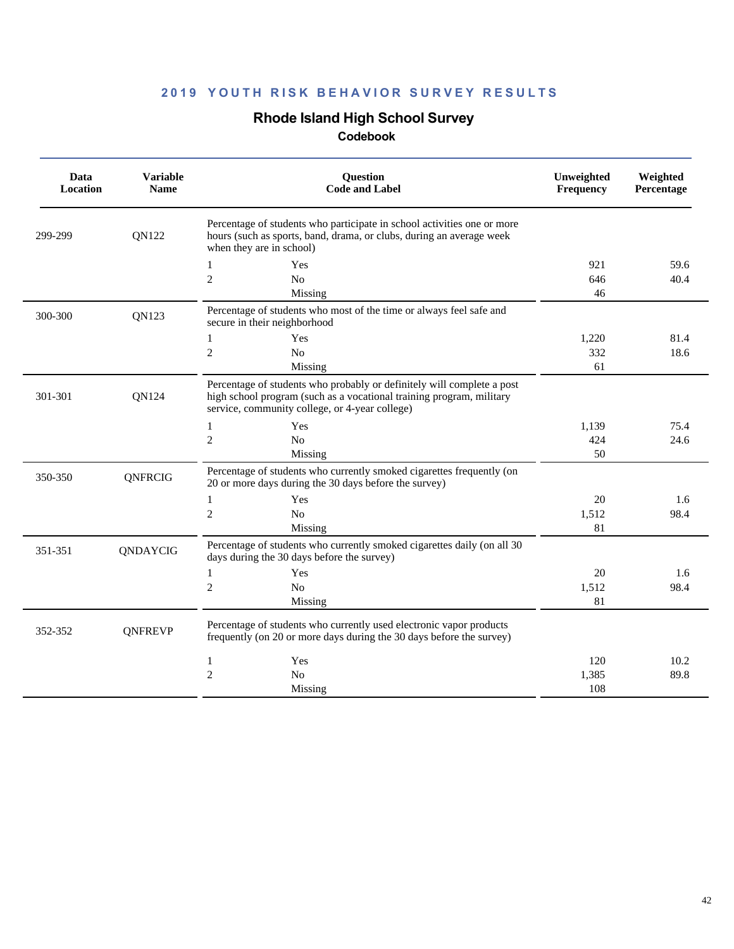## **Rhode Island High School Survey**

| Data<br>Location | <b>Variable</b><br><b>Name</b> | Question<br><b>Code and Label</b>                                                                                                                                                                | Unweighted<br>Frequency | Weighted<br>Percentage |
|------------------|--------------------------------|--------------------------------------------------------------------------------------------------------------------------------------------------------------------------------------------------|-------------------------|------------------------|
| 299-299          | QN122                          | Percentage of students who participate in school activities one or more<br>hours (such as sports, band, drama, or clubs, during an average week<br>when they are in school)                      |                         |                        |
|                  |                                | $\mathbf{1}$<br>Yes                                                                                                                                                                              | 921                     | 59.6                   |
|                  |                                | $\mathfrak{2}$<br>N <sub>o</sub>                                                                                                                                                                 | 646                     | 40.4                   |
|                  |                                | Missing                                                                                                                                                                                          | 46                      |                        |
| 300-300          | QN123                          | Percentage of students who most of the time or always feel safe and<br>secure in their neighborhood                                                                                              |                         |                        |
|                  |                                | $\mathbf{1}$<br>Yes                                                                                                                                                                              | 1,220                   | 81.4                   |
|                  |                                | $\overline{c}$<br>No                                                                                                                                                                             | 332                     | 18.6                   |
|                  |                                | Missing                                                                                                                                                                                          | 61                      |                        |
| 301-301          | QN124                          | Percentage of students who probably or definitely will complete a post<br>high school program (such as a vocational training program, military<br>service, community college, or 4-year college) |                         |                        |
|                  |                                | $\mathbf{1}$<br>Yes                                                                                                                                                                              | 1,139                   | 75.4                   |
|                  |                                | $\overline{c}$<br>N <sub>o</sub>                                                                                                                                                                 | 424                     | 24.6                   |
|                  |                                | Missing                                                                                                                                                                                          | 50                      |                        |
| 350-350          | <b>QNFRCIG</b>                 | Percentage of students who currently smoked cigarettes frequently (on<br>20 or more days during the 30 days before the survey)                                                                   |                         |                        |
|                  |                                | 1<br>Yes                                                                                                                                                                                         | 20                      | 1.6                    |
|                  |                                | $\mathfrak{2}$<br>No                                                                                                                                                                             | 1,512                   | 98.4                   |
|                  |                                | Missing                                                                                                                                                                                          | 81                      |                        |
| 351-351          | QNDAYCIG                       | Percentage of students who currently smoked cigarettes daily (on all 30<br>days during the 30 days before the survey)                                                                            |                         |                        |
|                  |                                | 1<br>Yes                                                                                                                                                                                         | 20                      | 1.6                    |
|                  |                                | $\overline{c}$<br>No                                                                                                                                                                             | 1,512                   | 98.4                   |
|                  |                                | Missing                                                                                                                                                                                          | 81                      |                        |
| 352-352          | <b>ONFREVP</b>                 | Percentage of students who currently used electronic vapor products<br>frequently (on 20 or more days during the 30 days before the survey)                                                      |                         |                        |
|                  |                                | Yes<br>1                                                                                                                                                                                         | 120                     | 10.2                   |
|                  |                                | $\overline{c}$<br>N <sub>o</sub>                                                                                                                                                                 | 1,385                   | 89.8                   |
|                  |                                | Missing                                                                                                                                                                                          | 108                     |                        |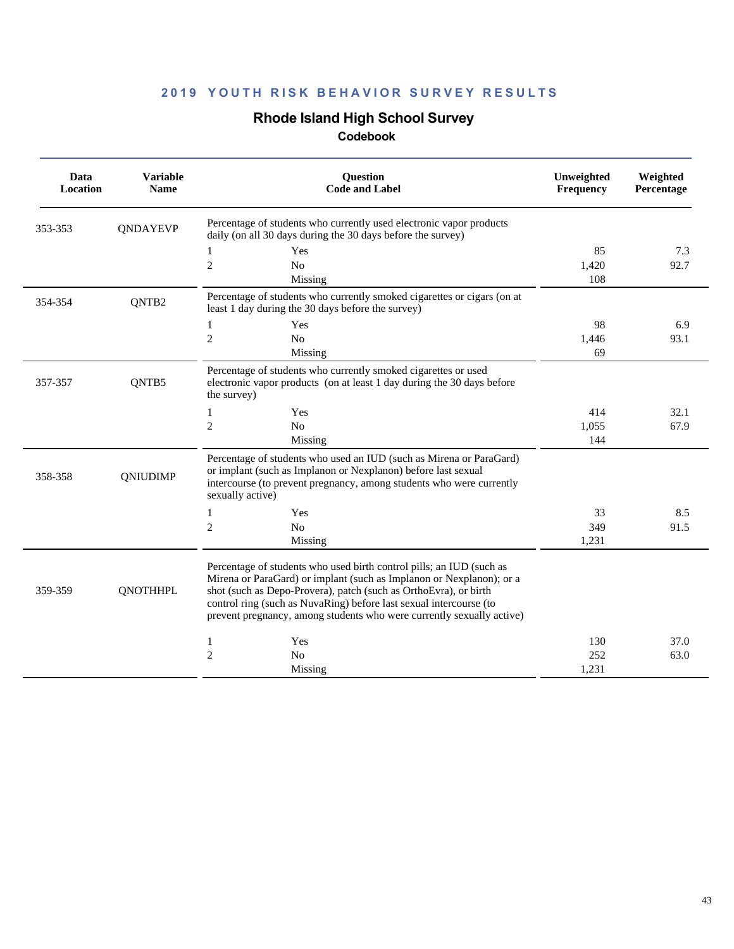# **Rhode Island High School Survey**

| Data<br>Location | <b>Variable</b><br><b>Name</b> | Question<br><b>Code and Label</b>                                                                                                                                                                                                                                                                                                                               | Unweighted<br><b>Frequency</b> | Weighted<br>Percentage |
|------------------|--------------------------------|-----------------------------------------------------------------------------------------------------------------------------------------------------------------------------------------------------------------------------------------------------------------------------------------------------------------------------------------------------------------|--------------------------------|------------------------|
| 353-353          | QNDAYEVP                       | Percentage of students who currently used electronic vapor products<br>daily (on all 30 days during the 30 days before the survey)                                                                                                                                                                                                                              |                                |                        |
|                  |                                | 1<br>Yes                                                                                                                                                                                                                                                                                                                                                        | 85                             | 7.3                    |
|                  |                                | $\overline{2}$<br>N <sub>0</sub>                                                                                                                                                                                                                                                                                                                                | 1,420                          | 92.7                   |
|                  |                                | Missing                                                                                                                                                                                                                                                                                                                                                         | 108                            |                        |
| 354-354          | QNTB2                          | Percentage of students who currently smoked cigarettes or cigars (on at<br>least 1 day during the 30 days before the survey)                                                                                                                                                                                                                                    |                                |                        |
|                  |                                | Yes<br>$\mathbf{1}$                                                                                                                                                                                                                                                                                                                                             | 98                             | 6.9                    |
|                  |                                | $\overline{2}$<br>N <sub>o</sub>                                                                                                                                                                                                                                                                                                                                | 1,446                          | 93.1                   |
|                  |                                | Missing                                                                                                                                                                                                                                                                                                                                                         | 69                             |                        |
| 357-357          | QNTB5                          | Percentage of students who currently smoked cigarettes or used<br>electronic vapor products (on at least 1 day during the 30 days before<br>the survey)                                                                                                                                                                                                         |                                |                        |
|                  |                                | $\mathbf{1}$<br>Yes                                                                                                                                                                                                                                                                                                                                             | 414                            | 32.1                   |
|                  |                                | $\mathfrak{2}$<br>N <sub>o</sub>                                                                                                                                                                                                                                                                                                                                | 1,055                          | 67.9                   |
|                  |                                | Missing                                                                                                                                                                                                                                                                                                                                                         | 144                            |                        |
| 358-358          | <b>QNIUDIMP</b>                | Percentage of students who used an IUD (such as Mirena or ParaGard)<br>or implant (such as Implanon or Nexplanon) before last sexual<br>intercourse (to prevent pregnancy, among students who were currently<br>sexually active)                                                                                                                                |                                |                        |
|                  |                                | $\mathbf{1}$<br>Yes                                                                                                                                                                                                                                                                                                                                             | 33                             | 8.5                    |
|                  |                                | $\sqrt{2}$<br>$\rm No$                                                                                                                                                                                                                                                                                                                                          | 349                            | 91.5                   |
|                  |                                | Missing                                                                                                                                                                                                                                                                                                                                                         | 1,231                          |                        |
| 359-359          | <b>QNOTHHPL</b>                | Percentage of students who used birth control pills; an IUD (such as<br>Mirena or ParaGard) or implant (such as Implanon or Nexplanon); or a<br>shot (such as Depo-Provera), patch (such as OrthoEvra), or birth<br>control ring (such as NuvaRing) before last sexual intercourse (to<br>prevent pregnancy, among students who were currently sexually active) |                                |                        |
|                  |                                | Yes<br>1                                                                                                                                                                                                                                                                                                                                                        | 130                            | 37.0                   |
|                  |                                | $\mathfrak{2}$<br>N <sub>0</sub>                                                                                                                                                                                                                                                                                                                                | 252                            | 63.0                   |
|                  |                                | Missing                                                                                                                                                                                                                                                                                                                                                         | 1,231                          |                        |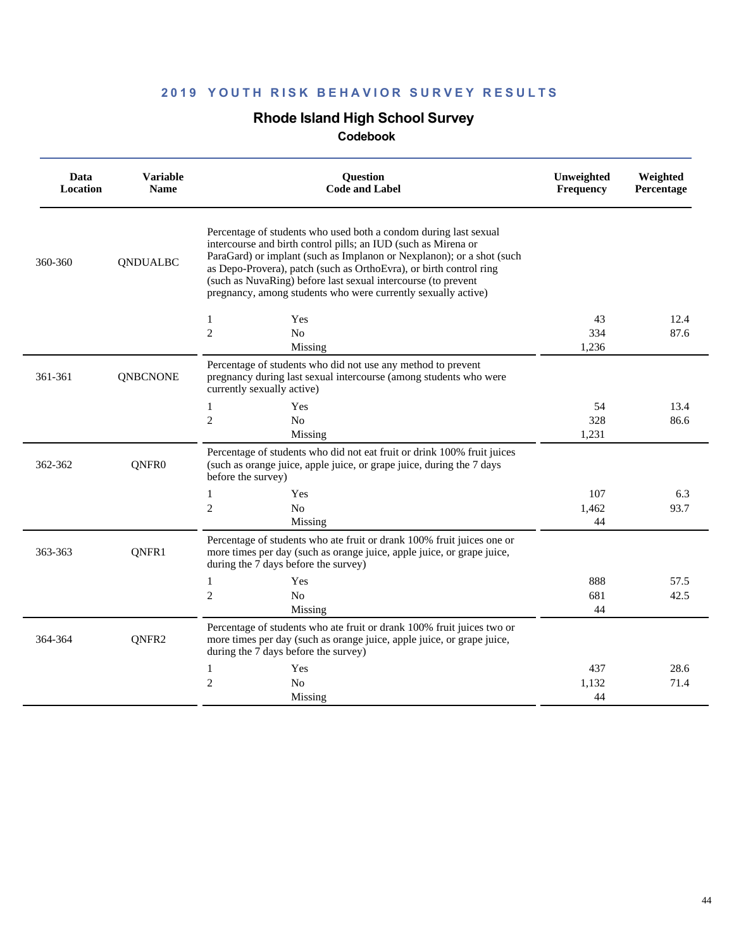## **Rhode Island High School Survey**

| Data<br>Location | <b>Variable</b><br><b>Name</b> | <b>Ouestion</b><br><b>Code and Label</b>                                                                                                                                                                                                                                                                                                                                                                            | Unweighted<br>Frequency | Weighted<br>Percentage |
|------------------|--------------------------------|---------------------------------------------------------------------------------------------------------------------------------------------------------------------------------------------------------------------------------------------------------------------------------------------------------------------------------------------------------------------------------------------------------------------|-------------------------|------------------------|
| 360-360          | <b>QNDUALBC</b>                | Percentage of students who used both a condom during last sexual<br>intercourse and birth control pills; an IUD (such as Mirena or<br>ParaGard) or implant (such as Implanon or Nexplanon); or a shot (such<br>as Depo-Provera), patch (such as OrthoEvra), or birth control ring<br>(such as NuvaRing) before last sexual intercourse (to prevent<br>pregnancy, among students who were currently sexually active) |                         |                        |
|                  |                                | Yes<br>1                                                                                                                                                                                                                                                                                                                                                                                                            | 43                      | 12.4                   |
|                  |                                | $\overline{c}$<br>No                                                                                                                                                                                                                                                                                                                                                                                                | 334                     | 87.6                   |
|                  |                                | Missing                                                                                                                                                                                                                                                                                                                                                                                                             | 1,236                   |                        |
| 361-361          | <b>QNBCNONE</b>                | Percentage of students who did not use any method to prevent<br>pregnancy during last sexual intercourse (among students who were<br>currently sexually active)                                                                                                                                                                                                                                                     |                         |                        |
|                  |                                | Yes<br>1                                                                                                                                                                                                                                                                                                                                                                                                            | 54                      | 13.4                   |
|                  |                                | $\overline{c}$<br>N <sub>o</sub>                                                                                                                                                                                                                                                                                                                                                                                    | 328                     | 86.6                   |
|                  |                                | Missing                                                                                                                                                                                                                                                                                                                                                                                                             | 1,231                   |                        |
| 362-362          | QNFR0                          | Percentage of students who did not eat fruit or drink 100% fruit juices<br>(such as orange juice, apple juice, or grape juice, during the 7 days<br>before the survey)                                                                                                                                                                                                                                              |                         |                        |
|                  |                                | Yes<br>1                                                                                                                                                                                                                                                                                                                                                                                                            | 107                     | 6.3                    |
|                  |                                | $\overline{c}$<br>No                                                                                                                                                                                                                                                                                                                                                                                                | 1,462                   | 93.7                   |
|                  |                                | Missing                                                                                                                                                                                                                                                                                                                                                                                                             | 44                      |                        |
| 363-363          | QNFR1                          | Percentage of students who ate fruit or drank 100% fruit juices one or<br>more times per day (such as orange juice, apple juice, or grape juice,<br>during the 7 days before the survey)                                                                                                                                                                                                                            |                         |                        |
|                  |                                | $\mathbf{1}$<br>Yes                                                                                                                                                                                                                                                                                                                                                                                                 | 888                     | 57.5                   |
|                  |                                | $\overline{c}$<br>No                                                                                                                                                                                                                                                                                                                                                                                                | 681                     | 42.5                   |
|                  |                                | Missing                                                                                                                                                                                                                                                                                                                                                                                                             | 44                      |                        |
| 364-364          | QNFR2                          | Percentage of students who ate fruit or drank 100% fruit juices two or<br>more times per day (such as orange juice, apple juice, or grape juice,<br>during the 7 days before the survey)                                                                                                                                                                                                                            |                         |                        |
|                  |                                | 1<br>Yes                                                                                                                                                                                                                                                                                                                                                                                                            | 437                     | 28.6                   |
|                  |                                | $\overline{c}$<br>N <sub>0</sub>                                                                                                                                                                                                                                                                                                                                                                                    | 1,132                   | 71.4                   |
|                  |                                | Missing                                                                                                                                                                                                                                                                                                                                                                                                             | 44                      |                        |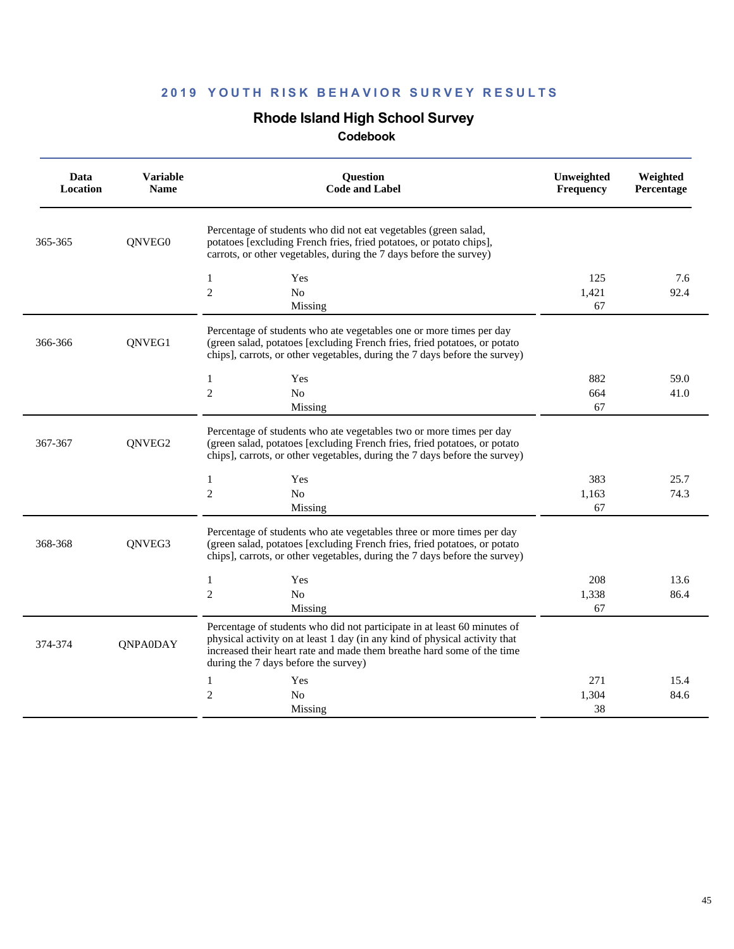## **Rhode Island High School Survey**

| Data<br>Location | <b>Variable</b><br><b>Name</b> | <b>Ouestion</b><br><b>Code and Label</b>                                                                                                                                                                                                                                 | Unweighted<br>Frequency | Weighted<br>Percentage |
|------------------|--------------------------------|--------------------------------------------------------------------------------------------------------------------------------------------------------------------------------------------------------------------------------------------------------------------------|-------------------------|------------------------|
| 365-365          | QNVEG0                         | Percentage of students who did not eat vegetables (green salad,<br>potatoes [excluding French fries, fried potatoes, or potato chips],<br>carrots, or other vegetables, during the 7 days before the survey)                                                             |                         |                        |
|                  |                                | 1<br>Yes<br>$\overline{c}$<br>N <sub>0</sub><br>Missing                                                                                                                                                                                                                  | 125<br>1,421<br>67      | 7.6<br>92.4            |
| 366-366          | ONVEG1                         | Percentage of students who ate vegetables one or more times per day<br>(green salad, potatoes [excluding French fries, fried potatoes, or potato<br>chips], carrots, or other vegetables, during the 7 days before the survey)                                           |                         |                        |
|                  |                                | Yes<br>1<br>$\boldsymbol{2}$<br>No<br>Missing                                                                                                                                                                                                                            | 882<br>664<br>67        | 59.0<br>41.0           |
| 367-367          | QNVEG2                         | Percentage of students who ate vegetables two or more times per day<br>(green salad, potatoes [excluding French fries, fried potatoes, or potato<br>chips], carrots, or other vegetables, during the 7 days before the survey)                                           |                         |                        |
|                  |                                | $\mathbf{1}$<br>Yes<br>$\mathfrak{2}$<br>No<br>Missing                                                                                                                                                                                                                   | 383<br>1,163<br>67      | 25.7<br>74.3           |
| 368-368          | ONVEG3                         | Percentage of students who ate vegetables three or more times per day<br>(green salad, potatoes [excluding French fries, fried potatoes, or potato<br>chips], carrots, or other vegetables, during the 7 days before the survey)                                         |                         |                        |
|                  |                                | 1<br>Yes<br>$\overline{c}$<br>No<br>Missing                                                                                                                                                                                                                              | 208<br>1,338<br>67      | 13.6<br>86.4           |
| 374-374          | <b>QNPA0DAY</b>                | Percentage of students who did not participate in at least 60 minutes of<br>physical activity on at least 1 day (in any kind of physical activity that<br>increased their heart rate and made them breathe hard some of the time<br>during the 7 days before the survey) |                         |                        |
|                  |                                | 1<br>Yes<br>$\mathfrak{2}$<br>N <sub>o</sub><br>Missing                                                                                                                                                                                                                  | 271<br>1,304<br>38      | 15.4<br>84.6           |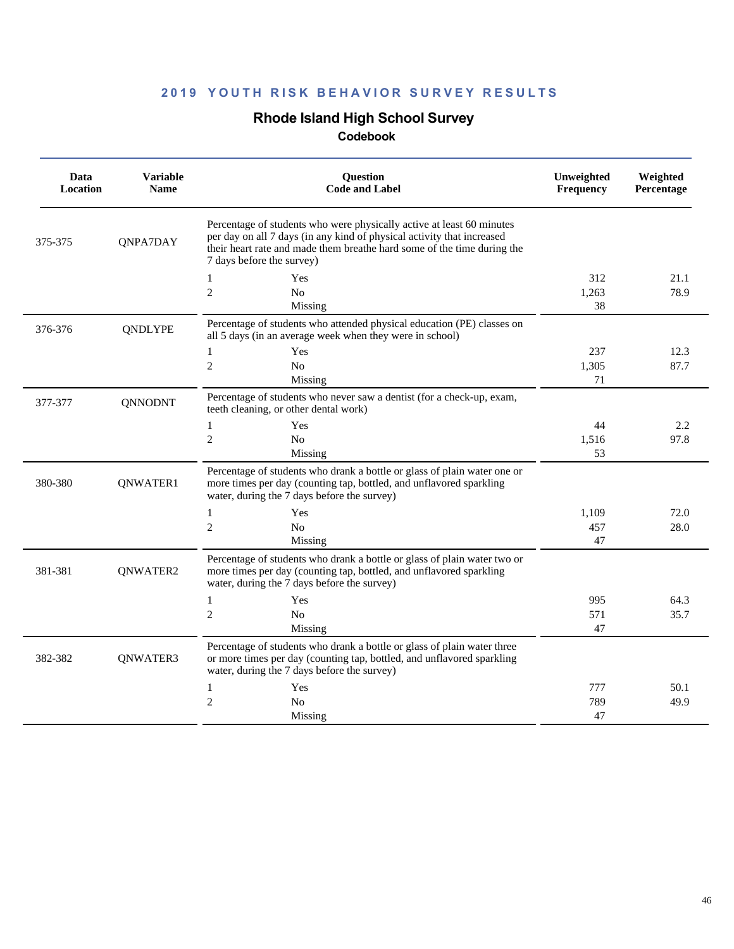## **Rhode Island High School Survey**

| Data<br>Location | <b>Variable</b><br><b>Name</b> | Question<br><b>Code and Label</b>                                                                                                                                                                                                                       | Unweighted<br><b>Frequency</b> | Weighted<br>Percentage |
|------------------|--------------------------------|---------------------------------------------------------------------------------------------------------------------------------------------------------------------------------------------------------------------------------------------------------|--------------------------------|------------------------|
| 375-375          | QNPA7DAY                       | Percentage of students who were physically active at least 60 minutes<br>per day on all 7 days (in any kind of physical activity that increased<br>their heart rate and made them breathe hard some of the time during the<br>7 days before the survey) |                                |                        |
|                  |                                | Yes<br>1                                                                                                                                                                                                                                                | 312                            | 21.1                   |
|                  |                                | $\mathfrak{2}$<br>N <sub>o</sub><br>Missing                                                                                                                                                                                                             | 1,263<br>38                    | 78.9                   |
| 376-376          | <b>ONDLYPE</b>                 | Percentage of students who attended physical education (PE) classes on<br>all 5 days (in an average week when they were in school)                                                                                                                      |                                |                        |
|                  |                                | 1<br>Yes                                                                                                                                                                                                                                                | 237                            | 12.3                   |
|                  |                                | $\overline{2}$<br>N <sub>0</sub>                                                                                                                                                                                                                        | 1,305                          | 87.7                   |
|                  |                                | Missing                                                                                                                                                                                                                                                 | 71                             |                        |
| 377-377          | <b>QNNODNT</b>                 | Percentage of students who never saw a dentist (for a check-up, exam,<br>teeth cleaning, or other dental work)                                                                                                                                          |                                |                        |
|                  |                                | Yes<br>1                                                                                                                                                                                                                                                | 44                             | 2.2                    |
|                  |                                | $\overline{2}$<br>N <sub>0</sub>                                                                                                                                                                                                                        | 1,516                          | 97.8                   |
|                  |                                | Missing                                                                                                                                                                                                                                                 | 53                             |                        |
| 380-380          | QNWATER1                       | Percentage of students who drank a bottle or glass of plain water one or<br>more times per day (counting tap, bottled, and unflavored sparkling<br>water, during the 7 days before the survey)                                                          |                                |                        |
|                  |                                | $\mathbf{1}$<br>Yes                                                                                                                                                                                                                                     | 1,109                          | 72.0                   |
|                  |                                | $\overline{2}$<br>N <sub>0</sub>                                                                                                                                                                                                                        | 457                            | 28.0                   |
|                  |                                | Missing                                                                                                                                                                                                                                                 | 47                             |                        |
| 381-381          | QNWATER2                       | Percentage of students who drank a bottle or glass of plain water two or<br>more times per day (counting tap, bottled, and unflavored sparkling<br>water, during the 7 days before the survey)                                                          |                                |                        |
|                  |                                | $\mathbf{1}$<br>Yes                                                                                                                                                                                                                                     | 995                            | 64.3                   |
|                  |                                | $\overline{c}$<br>N <sub>0</sub>                                                                                                                                                                                                                        | 571                            | 35.7                   |
|                  |                                | Missing                                                                                                                                                                                                                                                 | 47                             |                        |
| 382-382          | QNWATER3                       | Percentage of students who drank a bottle or glass of plain water three<br>or more times per day (counting tap, bottled, and unflavored sparkling<br>water, during the 7 days before the survey)                                                        |                                |                        |
|                  |                                | $\mathbf{1}$<br>Yes                                                                                                                                                                                                                                     | 777                            | 50.1                   |
|                  |                                | $\mathfrak{2}$<br>No                                                                                                                                                                                                                                    | 789                            | 49.9                   |
|                  |                                | Missing                                                                                                                                                                                                                                                 | 47                             |                        |